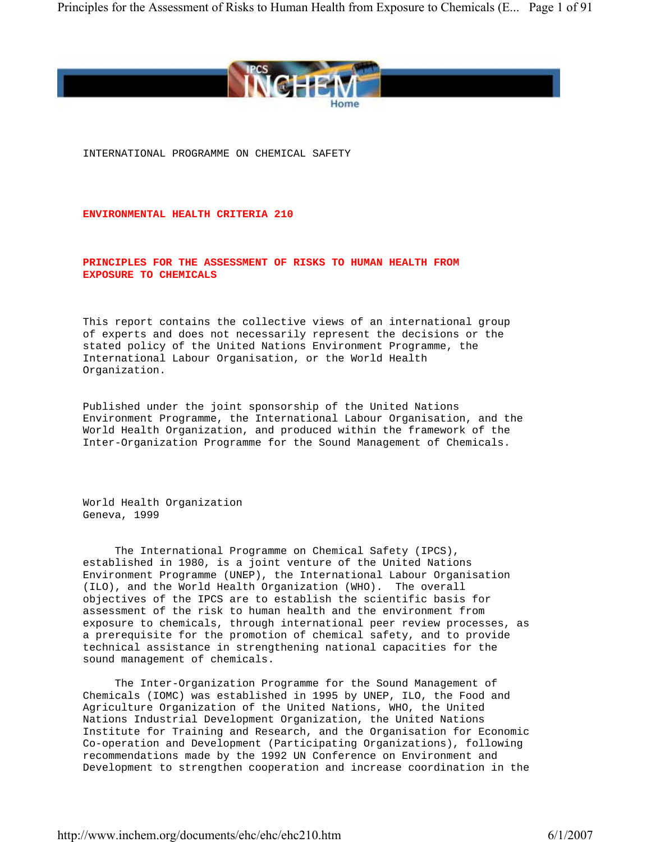

INTERNATIONAL PROGRAMME ON CHEMICAL SAFETY

**ENVIRONMENTAL HEALTH CRITERIA 210** 

 **PRINCIPLES FOR THE ASSESSMENT OF RISKS TO HUMAN HEALTH FROM EXPOSURE TO CHEMICALS**

 This report contains the collective views of an international group of experts and does not necessarily represent the decisions or the stated policy of the United Nations Environment Programme, the International Labour Organisation, or the World Health Organization.

 Published under the joint sponsorship of the United Nations Environment Programme, the International Labour Organisation, and the World Health Organization, and produced within the framework of the Inter-Organization Programme for the Sound Management of Chemicals.

 World Health Organization Geneva, 1999

 The International Programme on Chemical Safety (IPCS), established in 1980, is a joint venture of the United Nations Environment Programme (UNEP), the International Labour Organisation (ILO), and the World Health Organization (WHO). The overall objectives of the IPCS are to establish the scientific basis for assessment of the risk to human health and the environment from exposure to chemicals, through international peer review processes, as a prerequisite for the promotion of chemical safety, and to provide technical assistance in strengthening national capacities for the sound management of chemicals.

 The Inter-Organization Programme for the Sound Management of Chemicals (IOMC) was established in 1995 by UNEP, ILO, the Food and Agriculture Organization of the United Nations, WHO, the United Nations Industrial Development Organization, the United Nations Institute for Training and Research, and the Organisation for Economic Co-operation and Development (Participating Organizations), following recommendations made by the 1992 UN Conference on Environment and Development to strengthen cooperation and increase coordination in the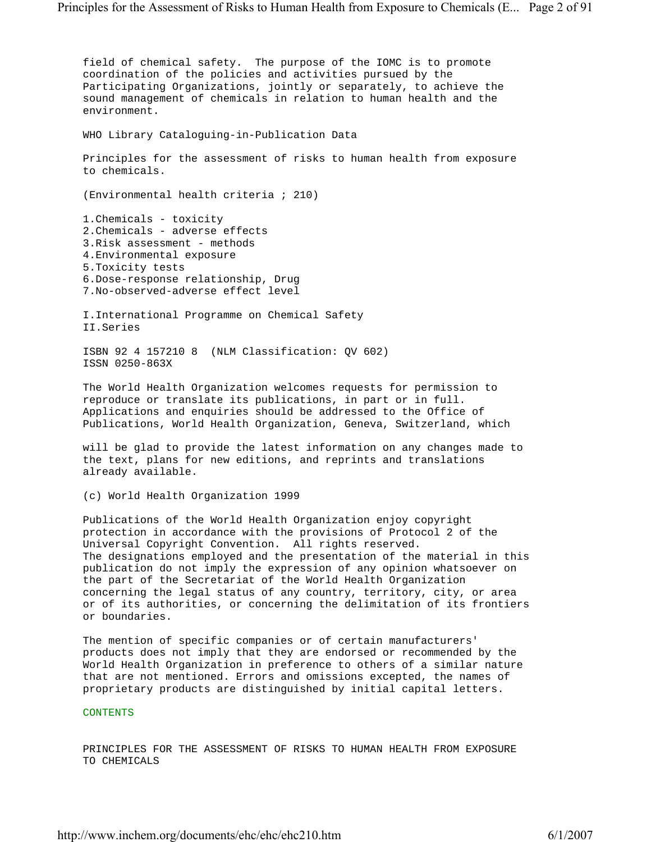field of chemical safety. The purpose of the IOMC is to promote coordination of the policies and activities pursued by the Participating Organizations, jointly or separately, to achieve the sound management of chemicals in relation to human health and the environment. WHO Library Cataloguing-in-Publication Data Principles for the assessment of risks to human health from exposure to chemicals. (Environmental health criteria ; 210) 1.Chemicals - toxicity 2.Chemicals - adverse effects 3.Risk assessment - methods 4.Environmental exposure 5.Toxicity tests 6.Dose-response relationship, Drug 7.No-observed-adverse effect level I.International Programme on Chemical Safety II.Series ISBN 92 4 157210 8 (NLM Classification: QV 602) ISSN 0250-863X The World Health Organization welcomes requests for permission to reproduce or translate its publications, in part or in full. Applications and enquiries should be addressed to the Office of Publications, World Health Organization, Geneva, Switzerland, which will be glad to provide the latest information on any changes made to the text, plans for new editions, and reprints and translations already available. (c) World Health Organization 1999 Publications of the World Health Organization enjoy copyright protection in accordance with the provisions of Protocol 2 of the Universal Copyright Convention. All rights reserved. The designations employed and the presentation of the material in this publication do not imply the expression of any opinion whatsoever on the part of the Secretariat of the World Health Organization concerning the legal status of any country, territory, city, or area

 The mention of specific companies or of certain manufacturers' products does not imply that they are endorsed or recommended by the World Health Organization in preference to others of a similar nature that are not mentioned. Errors and omissions excepted, the names of proprietary products are distinguished by initial capital letters.

or of its authorities, or concerning the delimitation of its frontiers

### CONTENTS

or boundaries.

 PRINCIPLES FOR THE ASSESSMENT OF RISKS TO HUMAN HEALTH FROM EXPOSURE TO CHEMICALS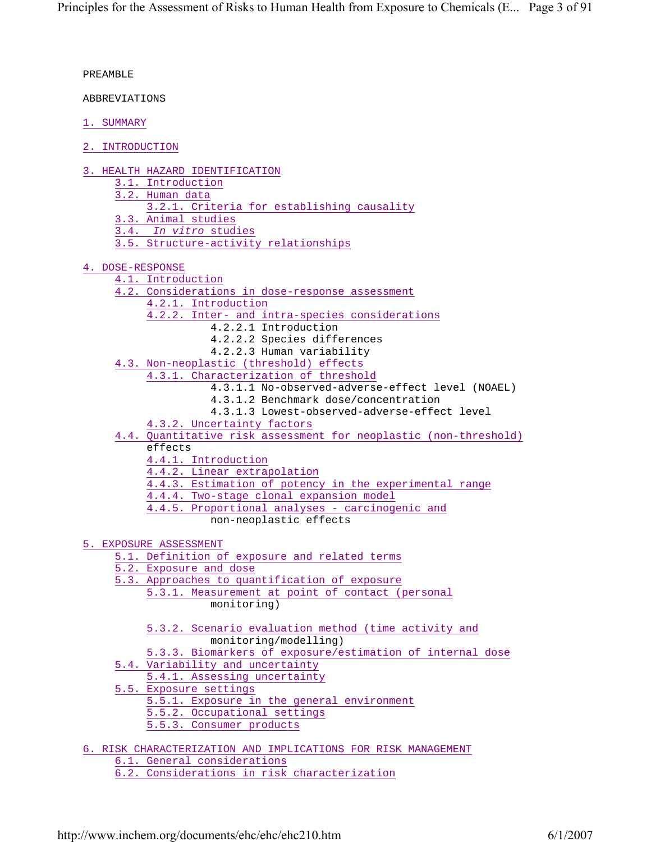PREAMBLE ABBREVIATIONS 1. SUMMARY 2. INTRODUCTION 3. HEALTH HAZARD IDENTIFICATION 3.1. Introduction 3.2. Human data 3.2.1. Criteria for establishing causality 3.3. Animal studies 3.4. *In vitro* studies 3.5. Structure-activity relationships 4. DOSE-RESPONSE 4.1. Introduction 4.2. Considerations in dose-response assessment 4.2.1. Introduction 4.2.2. Inter- and intra-species considerations 4.2.2.1 Introduction 4.2.2.2 Species differences 4.2.2.3 Human variability 4.3. Non-neoplastic (threshold) effects 4.3.1. Characterization of threshold 4.3.1.1 No-observed-adverse-effect level (NOAEL) 4.3.1.2 Benchmark dose/concentration 4.3.1.3 Lowest-observed-adverse-effect level 4.3.2. Uncertainty factors 4.4. Quantitative risk assessment for neoplastic (non-threshold) effects 4.4.1. Introduction 4.4.2. Linear extrapolation 4.4.3. Estimation of potency in the experimental range 4.4.4. Two-stage clonal expansion model 4.4.5. Proportional analyses - carcinogenic and non-neoplastic effects 5. EXPOSURE ASSESSMENT 5.1. Definition of exposure and related terms 5.2. Exposure and dose 5.3. Approaches to quantification of exposure 5.3.1. Measurement at point of contact (personal monitoring) 5.3.2. Scenario evaluation method (time activity and monitoring/modelling) 5.3.3. Biomarkers of exposure/estimation of internal dose 5.4. Variability and uncertainty 5.4.1. Assessing uncertainty 5.5. Exposure settings 5.5.1. Exposure in the general environment 5.5.2. Occupational settings 5.5.3. Consumer products

6. RISK CHARACTERIZATION AND IMPLICATIONS FOR RISK MANAGEMENT

- 6.1. General considerations
- 6.2. Considerations in risk characterization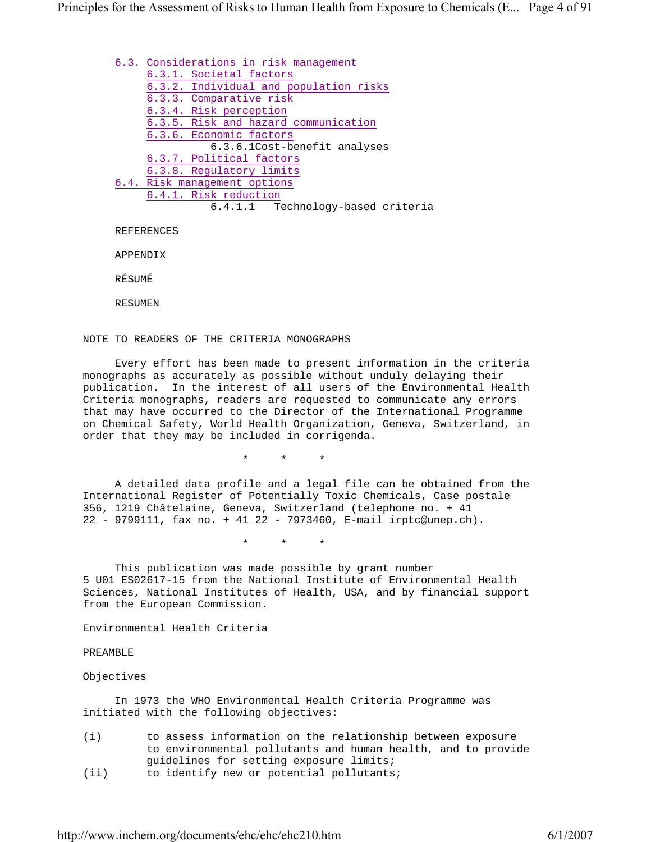6.3. Considerations in risk management 6.3.1. Societal factors 6.3.2. Individual and population risks 6.3.3. Comparative risk 6.3.4. Risk perception 6.3.5. Risk and hazard communication 6.3.6. Economic factors 6.3.6.1Cost-benefit analyses 6.3.7. Political factors 6.3.8. Regulatory limits 6.4. Risk management options 6.4.1. Risk reduction 6.4.1.1 Technology-based criteria REFERENCES

APPENDIX

RÉSUMÉ

RESUMEN

NOTE TO READERS OF THE CRITERIA MONOGRAPHS

 Every effort has been made to present information in the criteria monographs as accurately as possible without unduly delaying their publication. In the interest of all users of the Environmental Health Criteria monographs, readers are requested to communicate any errors that may have occurred to the Director of the International Programme on Chemical Safety, World Health Organization, Geneva, Switzerland, in order that they may be included in corrigenda.

\* \* \*

 A detailed data profile and a legal file can be obtained from the International Register of Potentially Toxic Chemicals, Case postale 356, 1219 Châtelaine, Geneva, Switzerland (telephone no. + 41 22 - 9799111, fax no. + 41 22 - 7973460, E-mail irptc@unep.ch).

\* \* \*

 This publication was made possible by grant number 5 U01 ES02617-15 from the National Institute of Environmental Health Sciences, National Institutes of Health, USA, and by financial support from the European Commission.

Environmental Health Criteria

# PREAMBLE

Objectives

 In 1973 the WHO Environmental Health Criteria Programme was initiated with the following objectives:

 (i) to assess information on the relationship between exposure to environmental pollutants and human health, and to provide guidelines for setting exposure limits;

(ii) to identify new or potential pollutants;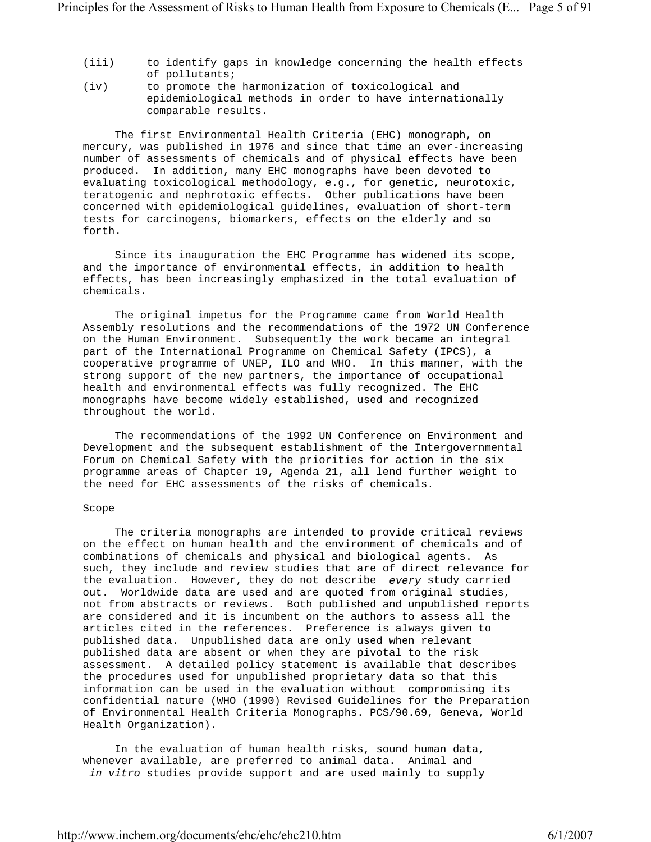- (iii) to identify gaps in knowledge concerning the health effects of pollutants;
- (iv) to promote the harmonization of toxicological and epidemiological methods in order to have internationally comparable results.

 The first Environmental Health Criteria (EHC) monograph, on mercury, was published in 1976 and since that time an ever-increasing number of assessments of chemicals and of physical effects have been produced. In addition, many EHC monographs have been devoted to evaluating toxicological methodology, e.g., for genetic, neurotoxic, teratogenic and nephrotoxic effects. Other publications have been concerned with epidemiological guidelines, evaluation of short-term tests for carcinogens, biomarkers, effects on the elderly and so forth.

 Since its inauguration the EHC Programme has widened its scope, and the importance of environmental effects, in addition to health effects, has been increasingly emphasized in the total evaluation of chemicals.

 The original impetus for the Programme came from World Health Assembly resolutions and the recommendations of the 1972 UN Conference on the Human Environment. Subsequently the work became an integral part of the International Programme on Chemical Safety (IPCS), a cooperative programme of UNEP, ILO and WHO. In this manner, with the strong support of the new partners, the importance of occupational health and environmental effects was fully recognized. The EHC monographs have become widely established, used and recognized throughout the world.

 The recommendations of the 1992 UN Conference on Environment and Development and the subsequent establishment of the Intergovernmental Forum on Chemical Safety with the priorities for action in the six programme areas of Chapter 19, Agenda 21, all lend further weight to the need for EHC assessments of the risks of chemicals.

#### Scope

 The criteria monographs are intended to provide critical reviews on the effect on human health and the environment of chemicals and of combinations of chemicals and physical and biological agents. As such, they include and review studies that are of direct relevance for the evaluation. However, they do not describe *every* study carried out. Worldwide data are used and are quoted from original studies, not from abstracts or reviews. Both published and unpublished reports are considered and it is incumbent on the authors to assess all the articles cited in the references. Preference is always given to published data. Unpublished data are only used when relevant published data are absent or when they are pivotal to the risk assessment. A detailed policy statement is available that describes the procedures used for unpublished proprietary data so that this information can be used in the evaluation without compromising its confidential nature (WHO (1990) Revised Guidelines for the Preparation of Environmental Health Criteria Monographs. PCS/90.69, Geneva, World Health Organization).

 In the evaluation of human health risks, sound human data, whenever available, are preferred to animal data. Animal and *in vitro* studies provide support and are used mainly to supply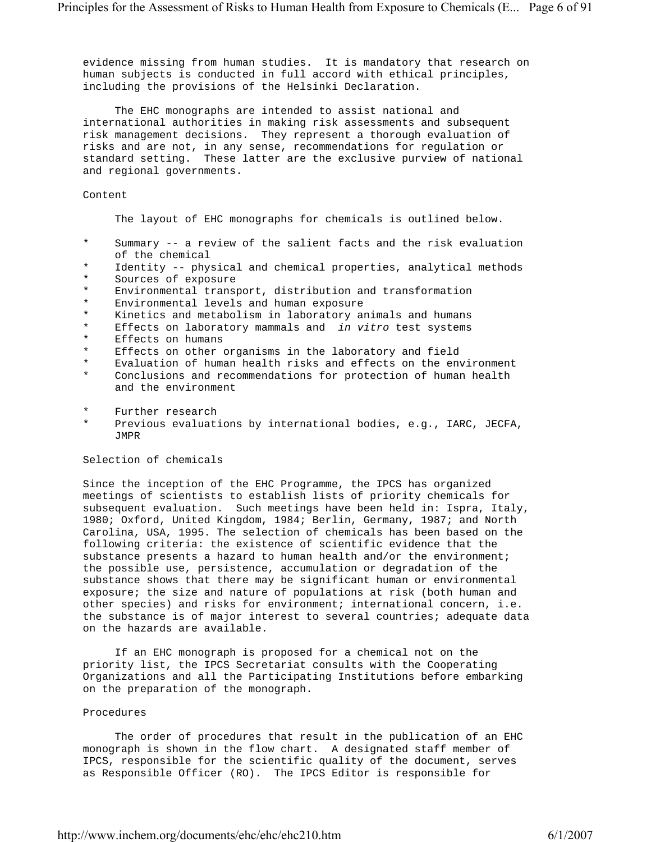evidence missing from human studies. It is mandatory that research on human subjects is conducted in full accord with ethical principles, including the provisions of the Helsinki Declaration.

 The EHC monographs are intended to assist national and international authorities in making risk assessments and subsequent risk management decisions. They represent a thorough evaluation of risks and are not, in any sense, recommendations for regulation or standard setting. These latter are the exclusive purview of national and regional governments.

#### Content

The layout of EHC monographs for chemicals is outlined below.

- \* Summary -- a review of the salient facts and the risk evaluation of the chemical
- Identity -- physical and chemical properties, analytical methods
- Sources of exposure
- Environmental transport, distribution and transformation
- Environmental levels and human exposure
- \* Kinetics and metabolism in laboratory animals and humans
- \* Effects on laboratory mammals and *in vitro* test systems
- \* Effects on humans
- Effects on other organisms in the laboratory and field
- Evaluation of human health risks and effects on the environment Conclusions and recommendations for protection of human health and the environment
- Further research
- Previous evaluations by international bodies, e.g., IARC, JECFA, JMPR

Selection of chemicals

 Since the inception of the EHC Programme, the IPCS has organized meetings of scientists to establish lists of priority chemicals for subsequent evaluation. Such meetings have been held in: Ispra, Italy, 1980; Oxford, United Kingdom, 1984; Berlin, Germany, 1987; and North Carolina, USA, 1995. The selection of chemicals has been based on the following criteria: the existence of scientific evidence that the substance presents a hazard to human health and/or the environment; the possible use, persistence, accumulation or degradation of the substance shows that there may be significant human or environmental exposure; the size and nature of populations at risk (both human and other species) and risks for environment; international concern, i.e. the substance is of major interest to several countries; adequate data on the hazards are available.

 If an EHC monograph is proposed for a chemical not on the priority list, the IPCS Secretariat consults with the Cooperating Organizations and all the Participating Institutions before embarking on the preparation of the monograph.

# Procedures

 The order of procedures that result in the publication of an EHC monograph is shown in the flow chart. A designated staff member of IPCS, responsible for the scientific quality of the document, serves as Responsible Officer (RO). The IPCS Editor is responsible for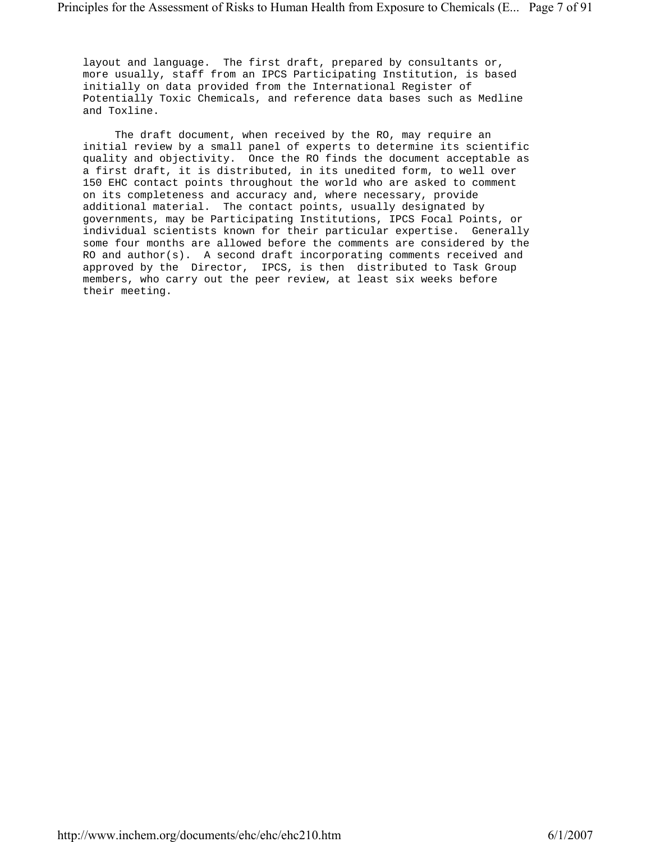layout and language. The first draft, prepared by consultants or, more usually, staff from an IPCS Participating Institution, is based initially on data provided from the International Register of Potentially Toxic Chemicals, and reference data bases such as Medline and Toxline.

 The draft document, when received by the RO, may require an initial review by a small panel of experts to determine its scientific quality and objectivity. Once the RO finds the document acceptable as a first draft, it is distributed, in its unedited form, to well over 150 EHC contact points throughout the world who are asked to comment on its completeness and accuracy and, where necessary, provide additional material. The contact points, usually designated by governments, may be Participating Institutions, IPCS Focal Points, or individual scientists known for their particular expertise. Generally some four months are allowed before the comments are considered by the RO and author(s). A second draft incorporating comments received and approved by the Director, IPCS, is then distributed to Task Group members, who carry out the peer review, at least six weeks before their meeting.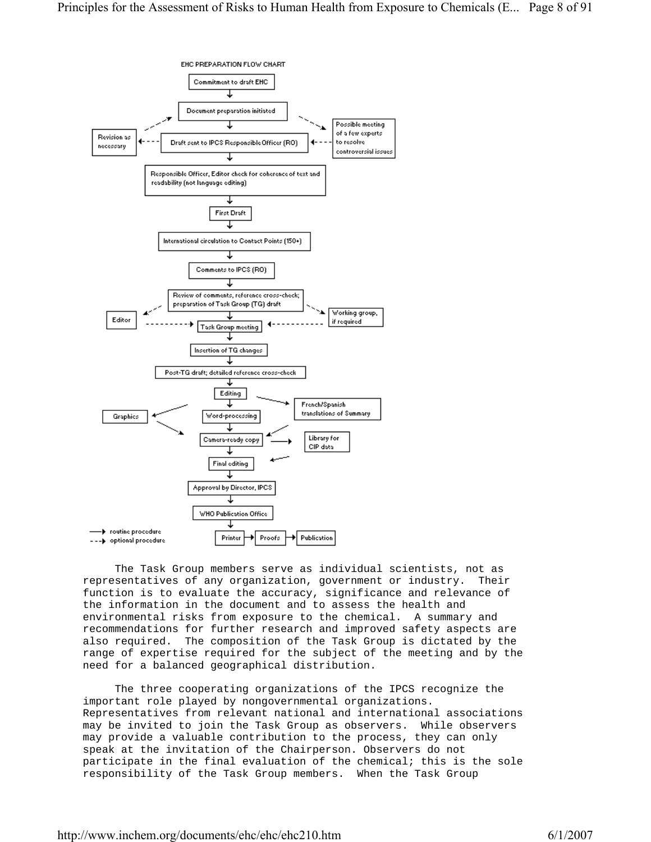

 The Task Group members serve as individual scientists, not as representatives of any organization, government or industry. Their function is to evaluate the accuracy, significance and relevance of the information in the document and to assess the health and environmental risks from exposure to the chemical. A summary and recommendations for further research and improved safety aspects are also required. The composition of the Task Group is dictated by the range of expertise required for the subject of the meeting and by the need for a balanced geographical distribution.

 The three cooperating organizations of the IPCS recognize the important role played by nongovernmental organizations. Representatives from relevant national and international associations may be invited to join the Task Group as observers. While observers may provide a valuable contribution to the process, they can only speak at the invitation of the Chairperson. Observers do not participate in the final evaluation of the chemical; this is the sole responsibility of the Task Group members. When the Task Group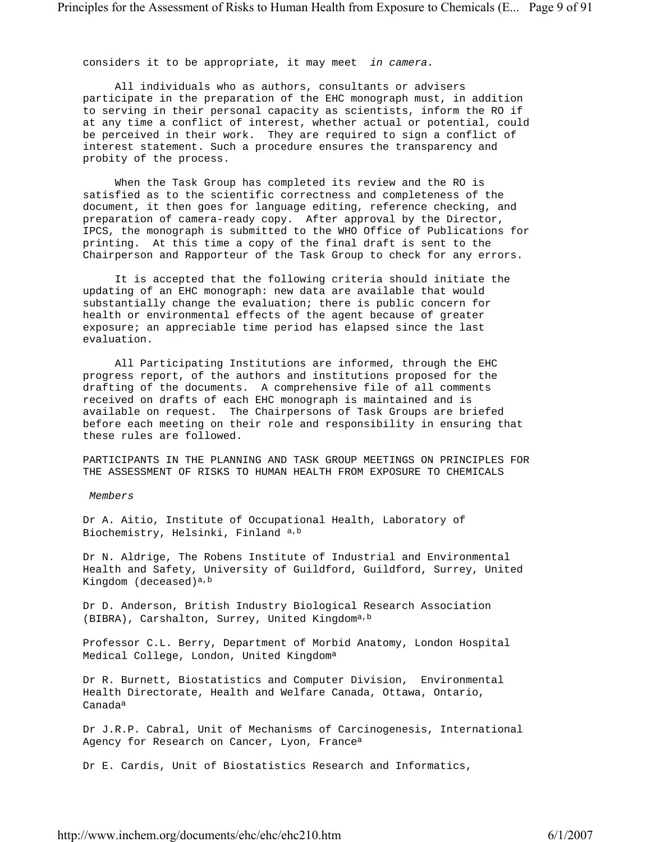considers it to be appropriate, it may meet *in camera.*

 All individuals who as authors, consultants or advisers participate in the preparation of the EHC monograph must, in addition to serving in their personal capacity as scientists, inform the RO if at any time a conflict of interest, whether actual or potential, could be perceived in their work. They are required to sign a conflict of interest statement. Such a procedure ensures the transparency and probity of the process.

 When the Task Group has completed its review and the RO is satisfied as to the scientific correctness and completeness of the document, it then goes for language editing, reference checking, and preparation of camera-ready copy. After approval by the Director, IPCS, the monograph is submitted to the WHO Office of Publications for printing. At this time a copy of the final draft is sent to the Chairperson and Rapporteur of the Task Group to check for any errors.

 It is accepted that the following criteria should initiate the updating of an EHC monograph: new data are available that would substantially change the evaluation; there is public concern for health or environmental effects of the agent because of greater exposure; an appreciable time period has elapsed since the last evaluation.

 All Participating Institutions are informed, through the EHC progress report, of the authors and institutions proposed for the drafting of the documents. A comprehensive file of all comments received on drafts of each EHC monograph is maintained and is available on request. The Chairpersons of Task Groups are briefed before each meeting on their role and responsibility in ensuring that these rules are followed.

 PARTICIPANTS IN THE PLANNING AND TASK GROUP MEETINGS ON PRINCIPLES FOR THE ASSESSMENT OF RISKS TO HUMAN HEALTH FROM EXPOSURE TO CHEMICALS

*Members*

 Dr A. Aitio, Institute of Occupational Health, Laboratory of Biochemistry, Helsinki, Finland a,b

 Dr N. Aldrige, The Robens Institute of Industrial and Environmental Health and Safety, University of Guildford, Guildford, Surrey, United Kingdom (deceased)<sup>a,b</sup>

 Dr D. Anderson, British Industry Biological Research Association (BIBRA), Carshalton, Surrey, United Kingdom<sup>a, b</sup>

 Professor C.L. Berry, Department of Morbid Anatomy, London Hospital Medical College, London, United Kingdoma

 Dr R. Burnett, Biostatistics and Computer Division, Environmental Health Directorate, Health and Welfare Canada, Ottawa, Ontario, Canadaa

 Dr J.R.P. Cabral, Unit of Mechanisms of Carcinogenesis, International Agency for Research on Cancer, Lyon, France<sup>a</sup>

Dr E. Cardis, Unit of Biostatistics Research and Informatics,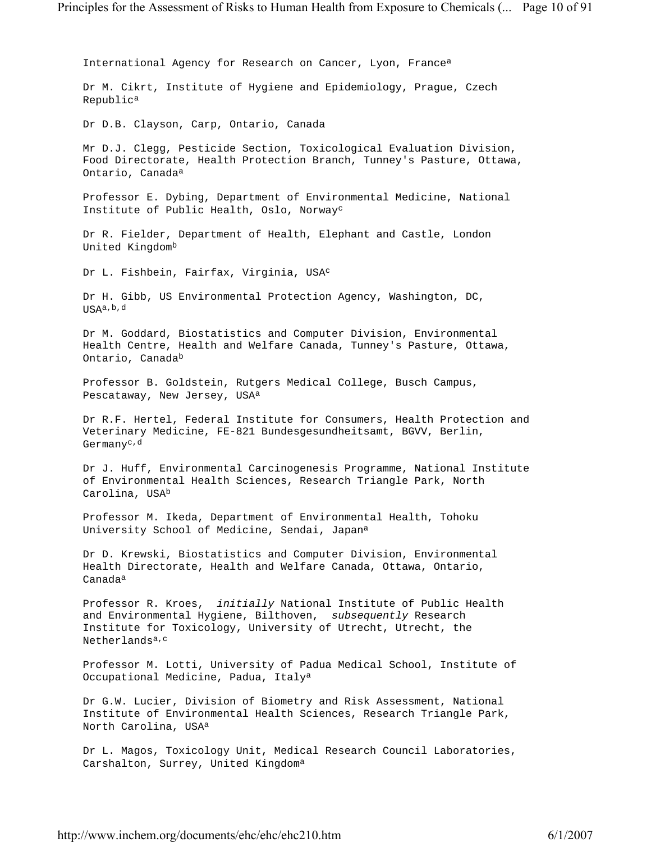International Agency for Research on Cancer, Lyon, Francea Dr M. Cikrt, Institute of Hygiene and Epidemiology, Prague, Czech Republic<sup>a</sup> Dr D.B. Clayson, Carp, Ontario, Canada Mr D.J. Clegg, Pesticide Section, Toxicological Evaluation Division, Food Directorate, Health Protection Branch, Tunney's Pasture, Ottawa, Ontario, Canada<sup>a</sup> Professor E. Dybing, Department of Environmental Medicine, National Institute of Public Health, Oslo, Norwayc Dr R. Fielder, Department of Health, Elephant and Castle, London United Kingdomb Dr L. Fishbein, Fairfax, Virginia, USA<sup>c</sup> Dr H. Gibb, US Environmental Protection Agency, Washington, DC, USAa,b,d Dr M. Goddard, Biostatistics and Computer Division, Environmental Health Centre, Health and Welfare Canada, Tunney's Pasture, Ottawa, Ontario, Canada<sup>b</sup> Professor B. Goldstein, Rutgers Medical College, Busch Campus, Pescataway, New Jersey, USA<sup>a</sup> Dr R.F. Hertel, Federal Institute for Consumers, Health Protection and Veterinary Medicine, FE-821 Bundesgesundheitsamt, BGVV, Berlin, Germanyc,d Dr J. Huff, Environmental Carcinogenesis Programme, National Institute of Environmental Health Sciences, Research Triangle Park, North Carolina, USAb Professor M. Ikeda, Department of Environmental Health, Tohoku University School of Medicine, Sendai, Japana Dr D. Krewski, Biostatistics and Computer Division, Environmental Health Directorate, Health and Welfare Canada, Ottawa, Ontario, Canadaa Professor R. Kroes, *initially* National Institute of Public Health and Environmental Hygiene, Bilthoven, *subsequently* Research Institute for Toxicology, University of Utrecht, Utrecht, the Netherlands<sup>a,c</sup> Professor M. Lotti, University of Padua Medical School, Institute of Occupational Medicine, Padua, Italya Dr G.W. Lucier, Division of Biometry and Risk Assessment, National Institute of Environmental Health Sciences, Research Triangle Park, North Carolina, USAa Dr L. Magos, Toxicology Unit, Medical Research Council Laboratories, Carshalton, Surrey, United Kingdom<sup>a</sup>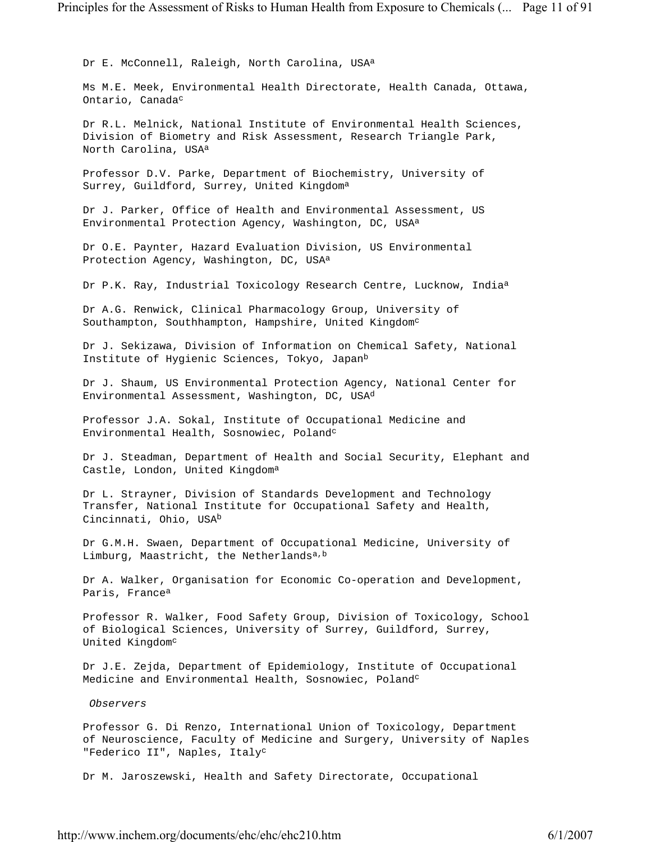Dr E. McConnell, Raleigh, North Carolina, USA<sup>a</sup>

 Ms M.E. Meek, Environmental Health Directorate, Health Canada, Ottawa, Ontario, Canada<sup>c</sup>

 Dr R.L. Melnick, National Institute of Environmental Health Sciences, Division of Biometry and Risk Assessment, Research Triangle Park, North Carolina, USAa

 Professor D.V. Parke, Department of Biochemistry, University of Surrey, Guildford, Surrey, United Kingdoma

 Dr J. Parker, Office of Health and Environmental Assessment, US Environmental Protection Agency, Washington, DC, USAa

 Dr O.E. Paynter, Hazard Evaluation Division, US Environmental Protection Agency, Washington, DC, USAa

Dr P.K. Ray, Industrial Toxicology Research Centre, Lucknow, India<sup>a</sup>

 Dr A.G. Renwick, Clinical Pharmacology Group, University of Southampton, Southhampton, Hampshire, United Kingdomc

 Dr J. Sekizawa, Division of Information on Chemical Safety, National Institute of Hygienic Sciences, Tokyo, Japanb

 Dr J. Shaum, US Environmental Protection Agency, National Center for Environmental Assessment, Washington, DC, USAd

 Professor J.A. Sokal, Institute of Occupational Medicine and Environmental Health, Sosnowiec, Poland<sup>c</sup>

 Dr J. Steadman, Department of Health and Social Security, Elephant and Castle, London, United Kingdom<sup>a</sup>

 Dr L. Strayner, Division of Standards Development and Technology Transfer, National Institute for Occupational Safety and Health, Cincinnati, Ohio, USAb

 Dr G.M.H. Swaen, Department of Occupational Medicine, University of Limburg, Maastricht, the Netherlands<sup>a,b</sup>

 Dr A. Walker, Organisation for Economic Co-operation and Development, Paris, France<sup>a</sup>

 Professor R. Walker, Food Safety Group, Division of Toxicology, School of Biological Sciences, University of Surrey, Guildford, Surrey, United Kingdom<sup>c</sup>

 Dr J.E. Zejda, Department of Epidemiology, Institute of Occupational Medicine and Environmental Health, Sosnowiec, Poland<sup>c</sup>

*Observers*

 Professor G. Di Renzo, International Union of Toxicology, Department of Neuroscience, Faculty of Medicine and Surgery, University of Naples "Federico II", Naples, Italyc

Dr M. Jaroszewski, Health and Safety Directorate, Occupational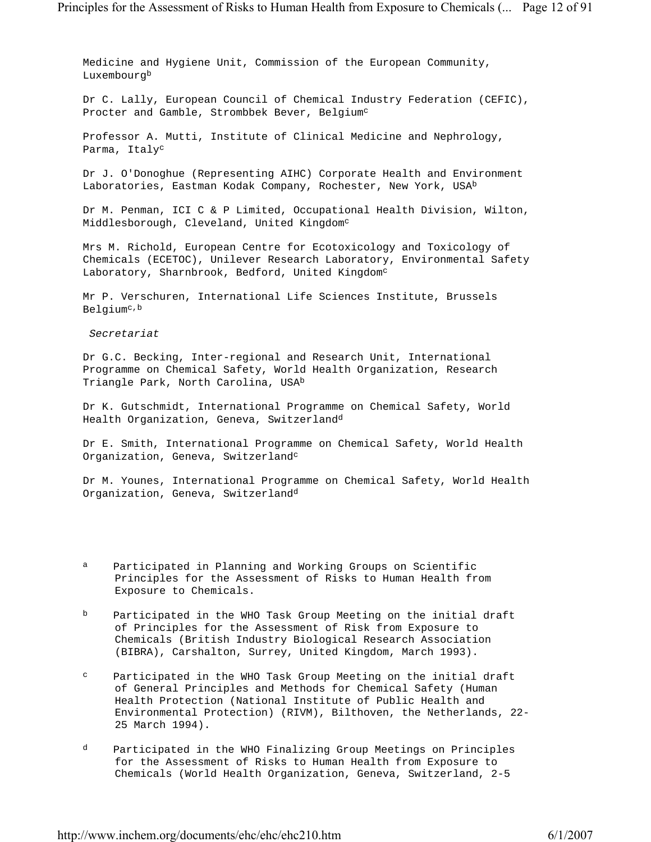Medicine and Hygiene Unit, Commission of the European Community, Luxembourgb Dr C. Lally, European Council of Chemical Industry Federation (CEFIC), Procter and Gamble, Strombbek Bever, Belgium<sup>c</sup> Professor A. Mutti, Institute of Clinical Medicine and Nephrology, Parma, Italyc Dr J. O'Donoghue (Representing AIHC) Corporate Health and Environment Laboratories, Eastman Kodak Company, Rochester, New York, USA<sup>b</sup> Dr M. Penman, ICI C & P Limited, Occupational Health Division, Wilton, Middlesborough, Cleveland, United Kingdom<sup>c</sup> Mrs M. Richold, European Centre for Ecotoxicology and Toxicology of Chemicals (ECETOC), Unilever Research Laboratory, Environmental Safety Laboratory, Sharnbrook, Bedford, United Kingdom<sup>c</sup> Mr P. Verschuren, International Life Sciences Institute, Brussels Belgiumc,b *Secretariat* Dr G.C. Becking, Inter-regional and Research Unit, International Programme on Chemical Safety, World Health Organization, Research Triangle Park, North Carolina, USA<sup>b</sup> Dr K. Gutschmidt, International Programme on Chemical Safety, World Health Organization, Geneva, Switzerlandd Dr E. Smith, International Programme on Chemical Safety, World Health Organization, Geneva, Switzerland<sup>c</sup> Dr M. Younes, International Programme on Chemical Safety, World Health Organization, Geneva, Switzerlandd a Participated in Planning and Working Groups on Scientific Principles for the Assessment of Risks to Human Health from Exposure to Chemicals. b Participated in the WHO Task Group Meeting on the initial draft of Principles for the Assessment of Risk from Exposure to Chemicals (British Industry Biological Research Association (BIBRA), Carshalton, Surrey, United Kingdom, March 1993). c Participated in the WHO Task Group Meeting on the initial draft of General Principles and Methods for Chemical Safety (Human Health Protection (National Institute of Public Health and Environmental Protection) (RIVM), Bilthoven, the Netherlands, 22- 25 March 1994). d Participated in the WHO Finalizing Group Meetings on Principles

 for the Assessment of Risks to Human Health from Exposure to Chemicals (World Health Organization, Geneva, Switzerland, 2-5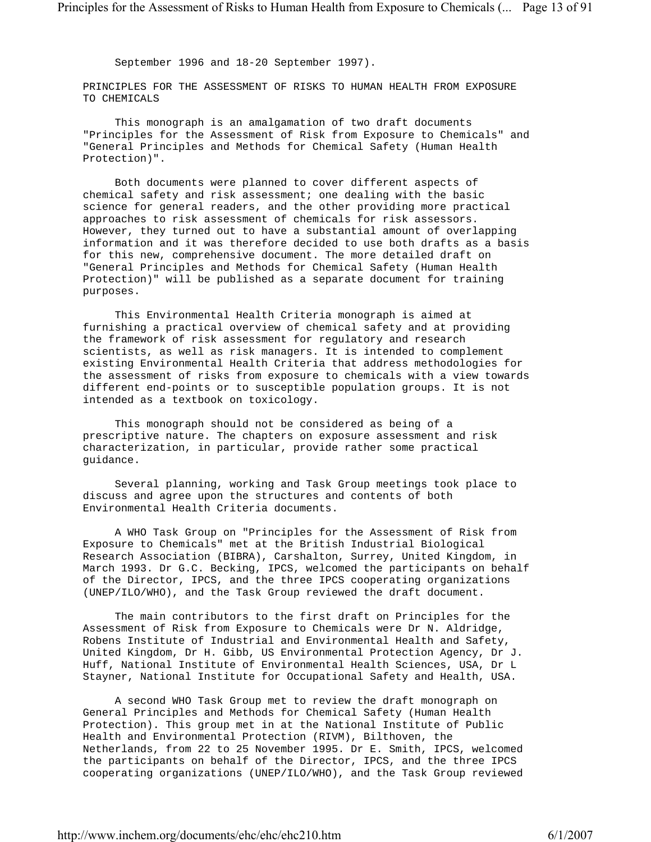September 1996 and 18-20 September 1997).

 PRINCIPLES FOR THE ASSESSMENT OF RISKS TO HUMAN HEALTH FROM EXPOSURE TO CHEMICALS

 This monograph is an amalgamation of two draft documents "Principles for the Assessment of Risk from Exposure to Chemicals" and "General Principles and Methods for Chemical Safety (Human Health Protection)".

 Both documents were planned to cover different aspects of chemical safety and risk assessment; one dealing with the basic science for general readers, and the other providing more practical approaches to risk assessment of chemicals for risk assessors. However, they turned out to have a substantial amount of overlapping information and it was therefore decided to use both drafts as a basis for this new, comprehensive document. The more detailed draft on "General Principles and Methods for Chemical Safety (Human Health Protection)" will be published as a separate document for training purposes.

 This Environmental Health Criteria monograph is aimed at furnishing a practical overview of chemical safety and at providing the framework of risk assessment for regulatory and research scientists, as well as risk managers. It is intended to complement existing Environmental Health Criteria that address methodologies for the assessment of risks from exposure to chemicals with a view towards different end-points or to susceptible population groups. It is not intended as a textbook on toxicology.

 This monograph should not be considered as being of a prescriptive nature. The chapters on exposure assessment and risk characterization, in particular, provide rather some practical guidance.

 Several planning, working and Task Group meetings took place to discuss and agree upon the structures and contents of both Environmental Health Criteria documents.

 A WHO Task Group on "Principles for the Assessment of Risk from Exposure to Chemicals" met at the British Industrial Biological Research Association (BIBRA), Carshalton, Surrey, United Kingdom, in March 1993. Dr G.C. Becking, IPCS, welcomed the participants on behalf of the Director, IPCS, and the three IPCS cooperating organizations (UNEP/ILO/WHO), and the Task Group reviewed the draft document.

 The main contributors to the first draft on Principles for the Assessment of Risk from Exposure to Chemicals were Dr N. Aldridge, Robens Institute of Industrial and Environmental Health and Safety, United Kingdom, Dr H. Gibb, US Environmental Protection Agency, Dr J. Huff, National Institute of Environmental Health Sciences, USA, Dr L Stayner, National Institute for Occupational Safety and Health, USA.

 A second WHO Task Group met to review the draft monograph on General Principles and Methods for Chemical Safety (Human Health Protection). This group met in at the National Institute of Public Health and Environmental Protection (RIVM), Bilthoven, the Netherlands, from 22 to 25 November 1995. Dr E. Smith, IPCS, welcomed the participants on behalf of the Director, IPCS, and the three IPCS cooperating organizations (UNEP/ILO/WHO), and the Task Group reviewed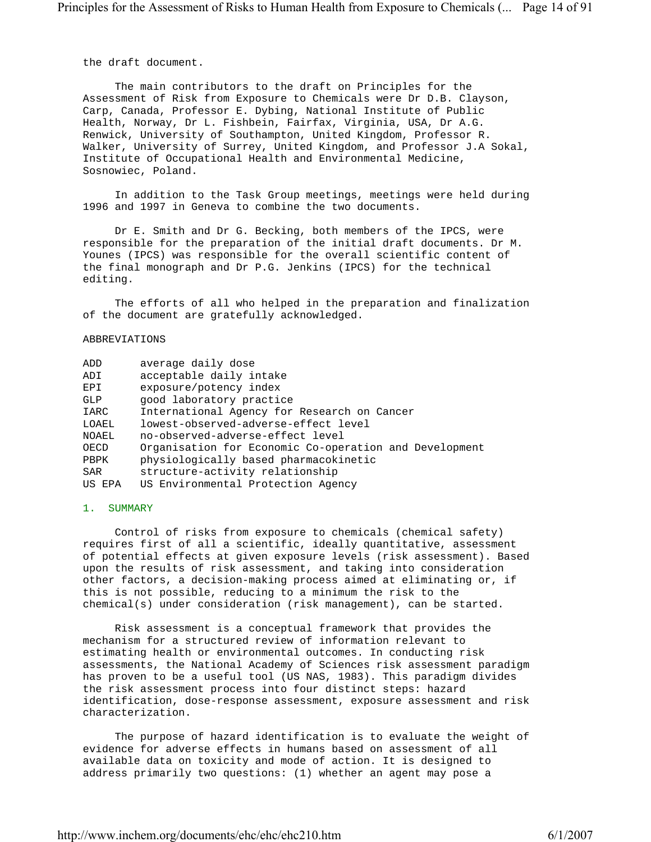the draft document.

 The main contributors to the draft on Principles for the Assessment of Risk from Exposure to Chemicals were Dr D.B. Clayson, Carp, Canada, Professor E. Dybing, National Institute of Public Health, Norway, Dr L. Fishbein, Fairfax, Virginia, USA, Dr A.G. Renwick, University of Southampton, United Kingdom, Professor R. Walker, University of Surrey, United Kingdom, and Professor J.A Sokal, Institute of Occupational Health and Environmental Medicine, Sosnowiec, Poland.

 In addition to the Task Group meetings, meetings were held during 1996 and 1997 in Geneva to combine the two documents.

 Dr E. Smith and Dr G. Becking, both members of the IPCS, were responsible for the preparation of the initial draft documents. Dr M. Younes (IPCS) was responsible for the overall scientific content of the final monograph and Dr P.G. Jenkins (IPCS) for the technical editing.

 The efforts of all who helped in the preparation and finalization of the document are gratefully acknowledged.

# ABBREVIATIONS

| ADD   | average daily dose                                     |
|-------|--------------------------------------------------------|
| ADI   | acceptable daily intake                                |
| EPI   | exposure/potency index                                 |
| GLP   | good laboratory practice                               |
| IARC  | International Agency for Research on Cancer            |
| LOAEL | lowest-observed-adverse-effect level                   |
| NOAEL | no-observed-adverse-effect level                       |
| OECD  | Organisation for Economic Co-operation and Development |
| PBPK  | physiologically based pharmacokinetic                  |
| SAR   | structure-activity relationship                        |
| EPA   | US Environmental Protection Agency                     |

#### 1. SUMMARY

 Control of risks from exposure to chemicals (chemical safety) requires first of all a scientific, ideally quantitative, assessment of potential effects at given exposure levels (risk assessment). Based upon the results of risk assessment, and taking into consideration other factors, a decision-making process aimed at eliminating or, if this is not possible, reducing to a minimum the risk to the chemical(s) under consideration (risk management), can be started.

 Risk assessment is a conceptual framework that provides the mechanism for a structured review of information relevant to estimating health or environmental outcomes. In conducting risk assessments, the National Academy of Sciences risk assessment paradigm has proven to be a useful tool (US NAS, 1983). This paradigm divides the risk assessment process into four distinct steps: hazard identification, dose-response assessment, exposure assessment and risk characterization.

 The purpose of hazard identification is to evaluate the weight of evidence for adverse effects in humans based on assessment of all available data on toxicity and mode of action. It is designed to address primarily two questions: (1) whether an agent may pose a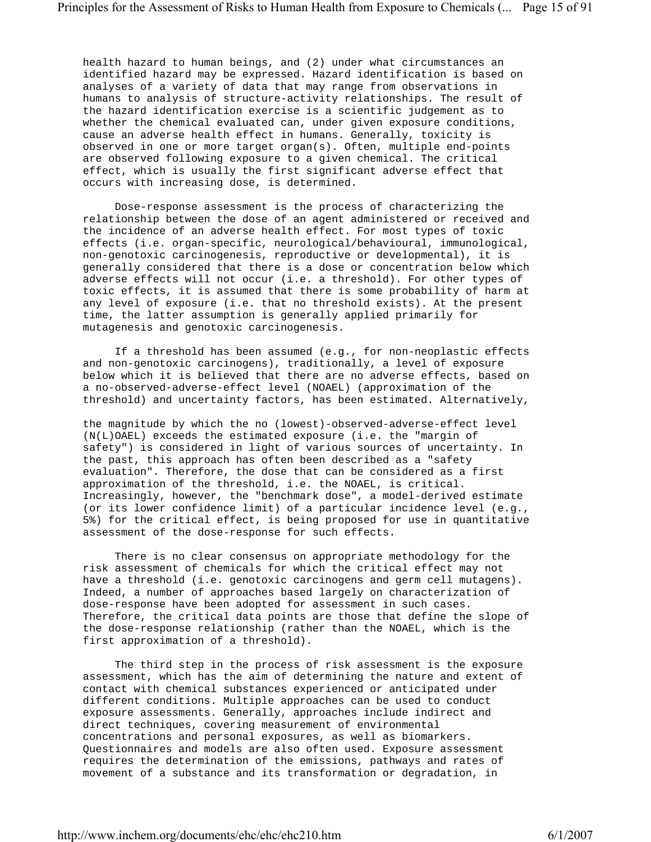health hazard to human beings, and (2) under what circumstances an identified hazard may be expressed. Hazard identification is based on analyses of a variety of data that may range from observations in humans to analysis of structure-activity relationships. The result of the hazard identification exercise is a scientific judgement as to whether the chemical evaluated can, under given exposure conditions, cause an adverse health effect in humans. Generally, toxicity is observed in one or more target organ(s). Often, multiple end-points are observed following exposure to a given chemical. The critical effect, which is usually the first significant adverse effect that occurs with increasing dose, is determined.

 Dose-response assessment is the process of characterizing the relationship between the dose of an agent administered or received and the incidence of an adverse health effect. For most types of toxic effects (i.e. organ-specific, neurological/behavioural, immunological, non-genotoxic carcinogenesis, reproductive or developmental), it is generally considered that there is a dose or concentration below which adverse effects will not occur (i.e. a threshold). For other types of toxic effects, it is assumed that there is some probability of harm at any level of exposure (i.e. that no threshold exists). At the present time, the latter assumption is generally applied primarily for mutagenesis and genotoxic carcinogenesis.

 If a threshold has been assumed (e.g., for non-neoplastic effects and non-genotoxic carcinogens), traditionally, a level of exposure below which it is believed that there are no adverse effects, based on a no-observed-adverse-effect level (NOAEL) (approximation of the threshold) and uncertainty factors, has been estimated. Alternatively,

 the magnitude by which the no (lowest)-observed-adverse-effect level (N(L)OAEL) exceeds the estimated exposure (i.e. the "margin of safety") is considered in light of various sources of uncertainty. In the past, this approach has often been described as a "safety evaluation". Therefore, the dose that can be considered as a first approximation of the threshold, i.e. the NOAEL, is critical. Increasingly, however, the "benchmark dose", a model-derived estimate (or its lower confidence limit) of a particular incidence level (e.g., 5%) for the critical effect, is being proposed for use in quantitative assessment of the dose-response for such effects.

 There is no clear consensus on appropriate methodology for the risk assessment of chemicals for which the critical effect may not have a threshold (i.e. genotoxic carcinogens and germ cell mutagens). Indeed, a number of approaches based largely on characterization of dose-response have been adopted for assessment in such cases. Therefore, the critical data points are those that define the slope of the dose-response relationship (rather than the NOAEL, which is the first approximation of a threshold).

 The third step in the process of risk assessment is the exposure assessment, which has the aim of determining the nature and extent of contact with chemical substances experienced or anticipated under different conditions. Multiple approaches can be used to conduct exposure assessments. Generally, approaches include indirect and direct techniques, covering measurement of environmental concentrations and personal exposures, as well as biomarkers. Questionnaires and models are also often used. Exposure assessment requires the determination of the emissions, pathways and rates of movement of a substance and its transformation or degradation, in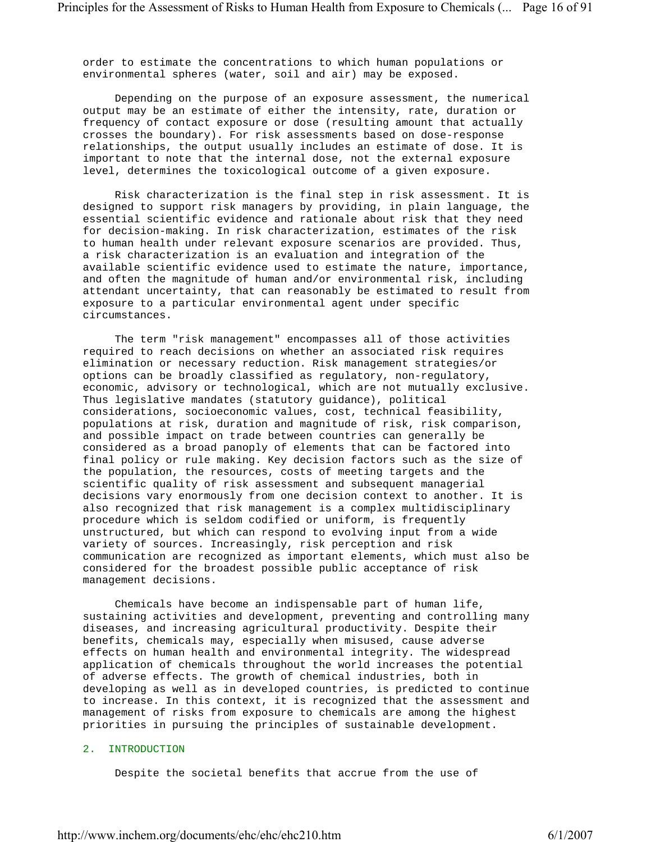order to estimate the concentrations to which human populations or environmental spheres (water, soil and air) may be exposed.

 Depending on the purpose of an exposure assessment, the numerical output may be an estimate of either the intensity, rate, duration or frequency of contact exposure or dose (resulting amount that actually crosses the boundary). For risk assessments based on dose-response relationships, the output usually includes an estimate of dose. It is important to note that the internal dose, not the external exposure level, determines the toxicological outcome of a given exposure.

 Risk characterization is the final step in risk assessment. It is designed to support risk managers by providing, in plain language, the essential scientific evidence and rationale about risk that they need for decision-making. In risk characterization, estimates of the risk to human health under relevant exposure scenarios are provided. Thus, a risk characterization is an evaluation and integration of the available scientific evidence used to estimate the nature, importance, and often the magnitude of human and/or environmental risk, including attendant uncertainty, that can reasonably be estimated to result from exposure to a particular environmental agent under specific circumstances.

 The term "risk management" encompasses all of those activities required to reach decisions on whether an associated risk requires elimination or necessary reduction. Risk management strategies/or options can be broadly classified as regulatory, non-regulatory, economic, advisory or technological, which are not mutually exclusive. Thus legislative mandates (statutory guidance), political considerations, socioeconomic values, cost, technical feasibility, populations at risk, duration and magnitude of risk, risk comparison, and possible impact on trade between countries can generally be considered as a broad panoply of elements that can be factored into final policy or rule making. Key decision factors such as the size of the population, the resources, costs of meeting targets and the scientific quality of risk assessment and subsequent managerial decisions vary enormously from one decision context to another. It is also recognized that risk management is a complex multidisciplinary procedure which is seldom codified or uniform, is frequently unstructured, but which can respond to evolving input from a wide variety of sources. Increasingly, risk perception and risk communication are recognized as important elements, which must also be considered for the broadest possible public acceptance of risk management decisions.

 Chemicals have become an indispensable part of human life, sustaining activities and development, preventing and controlling many diseases, and increasing agricultural productivity. Despite their benefits, chemicals may, especially when misused, cause adverse effects on human health and environmental integrity. The widespread application of chemicals throughout the world increases the potential of adverse effects. The growth of chemical industries, both in developing as well as in developed countries, is predicted to continue to increase. In this context, it is recognized that the assessment and management of risks from exposure to chemicals are among the highest priorities in pursuing the principles of sustainable development.

### 2. INTRODUCTION

Despite the societal benefits that accrue from the use of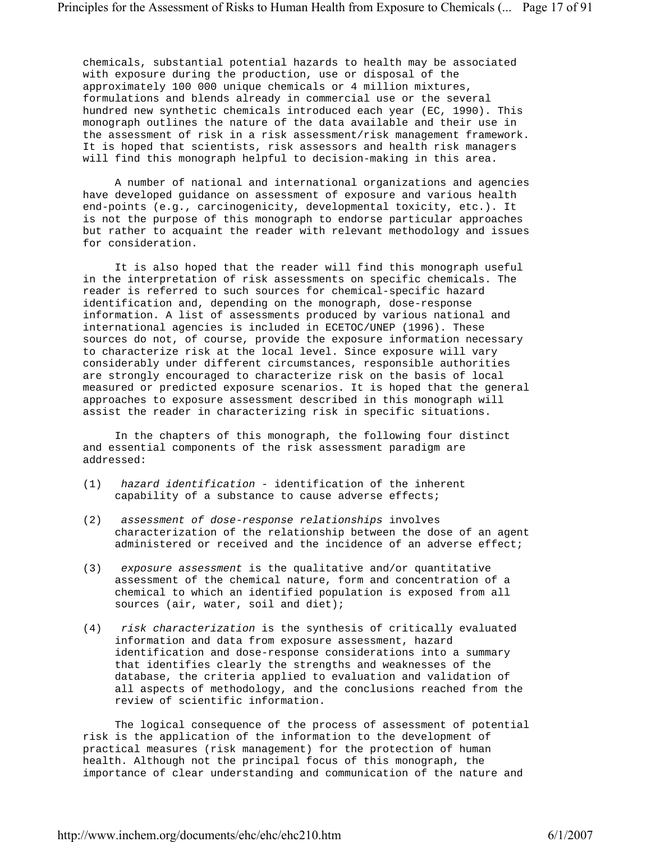chemicals, substantial potential hazards to health may be associated with exposure during the production, use or disposal of the approximately 100 000 unique chemicals or 4 million mixtures, formulations and blends already in commercial use or the several hundred new synthetic chemicals introduced each year (EC, 1990). This monograph outlines the nature of the data available and their use in the assessment of risk in a risk assessment/risk management framework. It is hoped that scientists, risk assessors and health risk managers will find this monograph helpful to decision-making in this area.

 A number of national and international organizations and agencies have developed guidance on assessment of exposure and various health end-points (e.g., carcinogenicity, developmental toxicity, etc.). It is not the purpose of this monograph to endorse particular approaches but rather to acquaint the reader with relevant methodology and issues for consideration.

 It is also hoped that the reader will find this monograph useful in the interpretation of risk assessments on specific chemicals. The reader is referred to such sources for chemical-specific hazard identification and, depending on the monograph, dose-response information. A list of assessments produced by various national and international agencies is included in ECETOC/UNEP (1996). These sources do not, of course, provide the exposure information necessary to characterize risk at the local level. Since exposure will vary considerably under different circumstances, responsible authorities are strongly encouraged to characterize risk on the basis of local measured or predicted exposure scenarios. It is hoped that the general approaches to exposure assessment described in this monograph will assist the reader in characterizing risk in specific situations.

 In the chapters of this monograph, the following four distinct and essential components of the risk assessment paradigm are addressed:

- (1) *hazard identification*  identification of the inherent capability of a substance to cause adverse effects;
- (2) *assessment of dose-response relationships* involves characterization of the relationship between the dose of an agent administered or received and the incidence of an adverse effect;
- (3) *exposure assessment* is the qualitative and/or quantitative assessment of the chemical nature, form and concentration of a chemical to which an identified population is exposed from all sources (air, water, soil and diet);
- (4) *risk characterization* is the synthesis of critically evaluated information and data from exposure assessment, hazard identification and dose-response considerations into a summary that identifies clearly the strengths and weaknesses of the database, the criteria applied to evaluation and validation of all aspects of methodology, and the conclusions reached from the review of scientific information.

 The logical consequence of the process of assessment of potential risk is the application of the information to the development of practical measures (risk management) for the protection of human health. Although not the principal focus of this monograph, the importance of clear understanding and communication of the nature and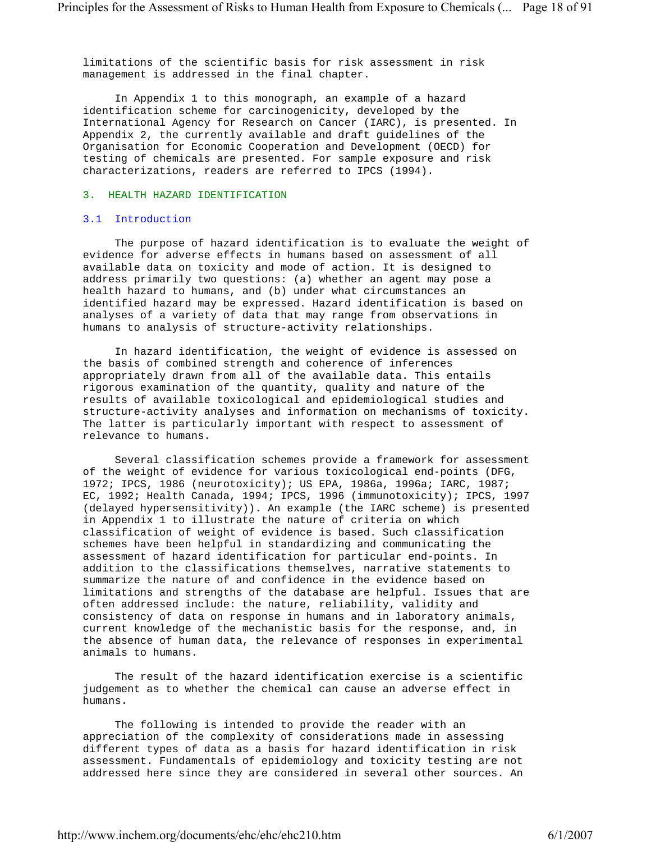limitations of the scientific basis for risk assessment in risk management is addressed in the final chapter.

 In Appendix 1 to this monograph, an example of a hazard identification scheme for carcinogenicity, developed by the International Agency for Research on Cancer (IARC), is presented. In Appendix 2, the currently available and draft guidelines of the Organisation for Economic Cooperation and Development (OECD) for testing of chemicals are presented. For sample exposure and risk characterizations, readers are referred to IPCS (1994).

# 3. HEALTH HAZARD IDENTIFICATION

#### 3.1 Introduction

 The purpose of hazard identification is to evaluate the weight of evidence for adverse effects in humans based on assessment of all available data on toxicity and mode of action. It is designed to address primarily two questions: (a) whether an agent may pose a health hazard to humans, and (b) under what circumstances an identified hazard may be expressed. Hazard identification is based on analyses of a variety of data that may range from observations in humans to analysis of structure-activity relationships.

 In hazard identification, the weight of evidence is assessed on the basis of combined strength and coherence of inferences appropriately drawn from all of the available data. This entails rigorous examination of the quantity, quality and nature of the results of available toxicological and epidemiological studies and structure-activity analyses and information on mechanisms of toxicity. The latter is particularly important with respect to assessment of relevance to humans.

 Several classification schemes provide a framework for assessment of the weight of evidence for various toxicological end-points (DFG, 1972; IPCS, 1986 (neurotoxicity); US EPA, 1986a, 1996a; IARC, 1987; EC, 1992; Health Canada, 1994; IPCS, 1996 (immunotoxicity); IPCS, 1997 (delayed hypersensitivity)). An example (the IARC scheme) is presented in Appendix 1 to illustrate the nature of criteria on which classification of weight of evidence is based. Such classification schemes have been helpful in standardizing and communicating the assessment of hazard identification for particular end-points. In addition to the classifications themselves, narrative statements to summarize the nature of and confidence in the evidence based on limitations and strengths of the database are helpful. Issues that are often addressed include: the nature, reliability, validity and consistency of data on response in humans and in laboratory animals, current knowledge of the mechanistic basis for the response, and, in the absence of human data, the relevance of responses in experimental animals to humans.

 The result of the hazard identification exercise is a scientific judgement as to whether the chemical can cause an adverse effect in humans.

 The following is intended to provide the reader with an appreciation of the complexity of considerations made in assessing different types of data as a basis for hazard identification in risk assessment. Fundamentals of epidemiology and toxicity testing are not addressed here since they are considered in several other sources. An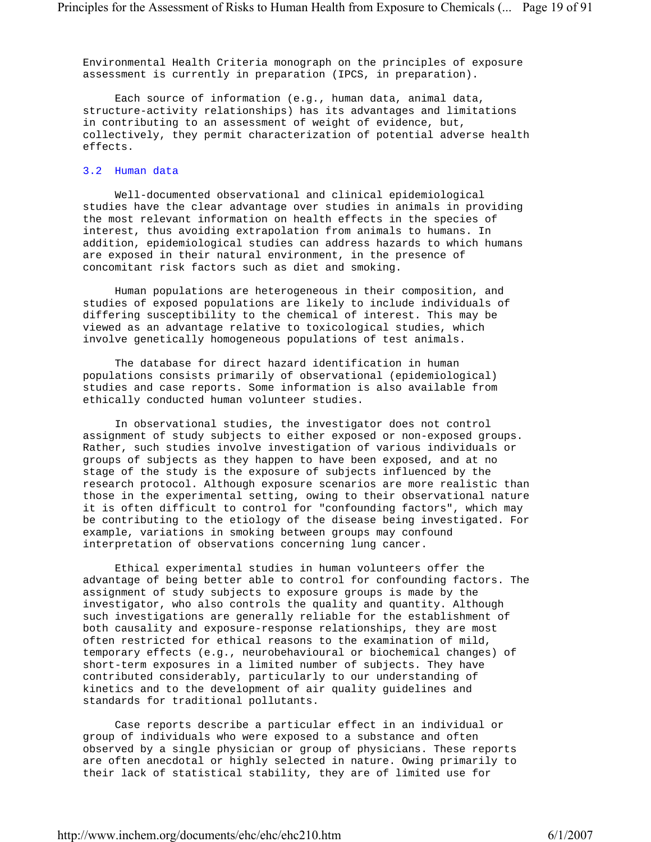Environmental Health Criteria monograph on the principles of exposure assessment is currently in preparation (IPCS, in preparation).

 Each source of information (e.g., human data, animal data, structure-activity relationships) has its advantages and limitations in contributing to an assessment of weight of evidence, but, collectively, they permit characterization of potential adverse health effects.

#### 3.2 Human data

 Well-documented observational and clinical epidemiological studies have the clear advantage over studies in animals in providing the most relevant information on health effects in the species of interest, thus avoiding extrapolation from animals to humans. In addition, epidemiological studies can address hazards to which humans are exposed in their natural environment, in the presence of concomitant risk factors such as diet and smoking.

 Human populations are heterogeneous in their composition, and studies of exposed populations are likely to include individuals of differing susceptibility to the chemical of interest. This may be viewed as an advantage relative to toxicological studies, which involve genetically homogeneous populations of test animals.

 The database for direct hazard identification in human populations consists primarily of observational (epidemiological) studies and case reports. Some information is also available from ethically conducted human volunteer studies.

 In observational studies, the investigator does not control assignment of study subjects to either exposed or non-exposed groups. Rather, such studies involve investigation of various individuals or groups of subjects as they happen to have been exposed, and at no stage of the study is the exposure of subjects influenced by the research protocol. Although exposure scenarios are more realistic than those in the experimental setting, owing to their observational nature it is often difficult to control for "confounding factors", which may be contributing to the etiology of the disease being investigated. For example, variations in smoking between groups may confound interpretation of observations concerning lung cancer.

 Ethical experimental studies in human volunteers offer the advantage of being better able to control for confounding factors. The assignment of study subjects to exposure groups is made by the investigator, who also controls the quality and quantity. Although such investigations are generally reliable for the establishment of both causality and exposure-response relationships, they are most often restricted for ethical reasons to the examination of mild, temporary effects (e.g., neurobehavioural or biochemical changes) of short-term exposures in a limited number of subjects. They have contributed considerably, particularly to our understanding of kinetics and to the development of air quality guidelines and standards for traditional pollutants.

 Case reports describe a particular effect in an individual or group of individuals who were exposed to a substance and often observed by a single physician or group of physicians. These reports are often anecdotal or highly selected in nature. Owing primarily to their lack of statistical stability, they are of limited use for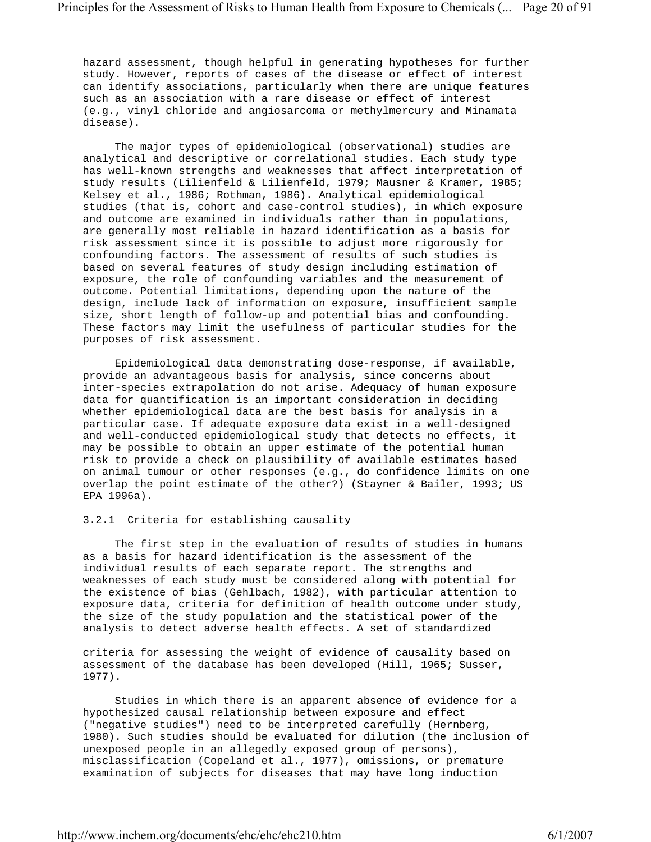hazard assessment, though helpful in generating hypotheses for further study. However, reports of cases of the disease or effect of interest can identify associations, particularly when there are unique features such as an association with a rare disease or effect of interest (e.g., vinyl chloride and angiosarcoma or methylmercury and Minamata disease).

 The major types of epidemiological (observational) studies are analytical and descriptive or correlational studies. Each study type has well-known strengths and weaknesses that affect interpretation of study results (Lilienfeld & Lilienfeld, 1979; Mausner & Kramer, 1985; Kelsey et al., 1986; Rothman, 1986). Analytical epidemiological studies (that is, cohort and case-control studies), in which exposure and outcome are examined in individuals rather than in populations, are generally most reliable in hazard identification as a basis for risk assessment since it is possible to adjust more rigorously for confounding factors. The assessment of results of such studies is based on several features of study design including estimation of exposure, the role of confounding variables and the measurement of outcome. Potential limitations, depending upon the nature of the design, include lack of information on exposure, insufficient sample size, short length of follow-up and potential bias and confounding. These factors may limit the usefulness of particular studies for the purposes of risk assessment.

 Epidemiological data demonstrating dose-response, if available, provide an advantageous basis for analysis, since concerns about inter-species extrapolation do not arise. Adequacy of human exposure data for quantification is an important consideration in deciding whether epidemiological data are the best basis for analysis in a particular case. If adequate exposure data exist in a well-designed and well-conducted epidemiological study that detects no effects, it may be possible to obtain an upper estimate of the potential human risk to provide a check on plausibility of available estimates based on animal tumour or other responses (e.g., do confidence limits on one overlap the point estimate of the other?) (Stayner & Bailer, 1993; US EPA 1996a).

# 3.2.1 Criteria for establishing causality

 The first step in the evaluation of results of studies in humans as a basis for hazard identification is the assessment of the individual results of each separate report. The strengths and weaknesses of each study must be considered along with potential for the existence of bias (Gehlbach, 1982), with particular attention to exposure data, criteria for definition of health outcome under study, the size of the study population and the statistical power of the analysis to detect adverse health effects. A set of standardized

 criteria for assessing the weight of evidence of causality based on assessment of the database has been developed (Hill, 1965; Susser, 1977).

 Studies in which there is an apparent absence of evidence for a hypothesized causal relationship between exposure and effect ("negative studies") need to be interpreted carefully (Hernberg, 1980). Such studies should be evaluated for dilution (the inclusion of unexposed people in an allegedly exposed group of persons), misclassification (Copeland et al., 1977), omissions, or premature examination of subjects for diseases that may have long induction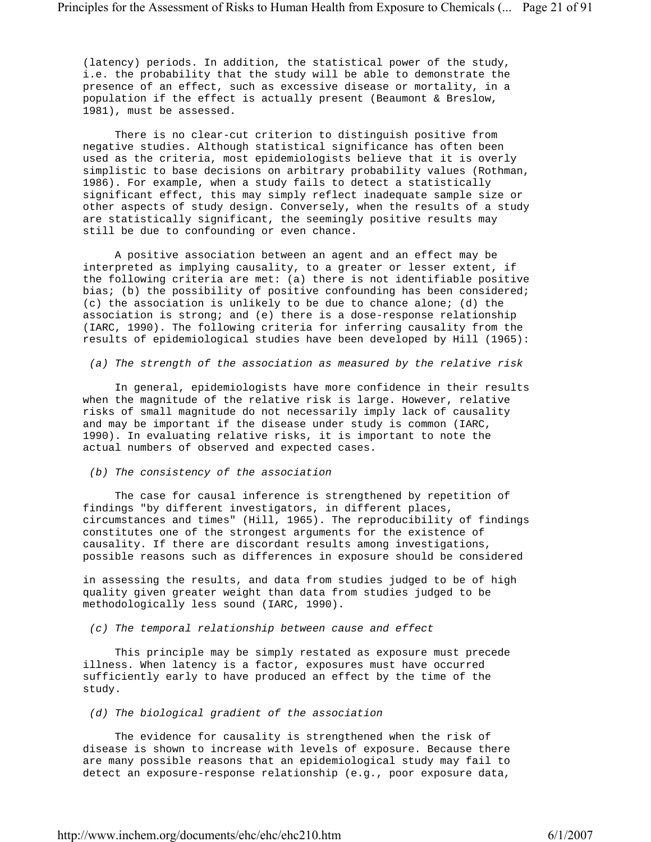(latency) periods. In addition, the statistical power of the study, i.e. the probability that the study will be able to demonstrate the presence of an effect, such as excessive disease or mortality, in a population if the effect is actually present (Beaumont & Breslow, 1981), must be assessed.

 There is no clear-cut criterion to distinguish positive from negative studies. Although statistical significance has often been used as the criteria, most epidemiologists believe that it is overly simplistic to base decisions on arbitrary probability values (Rothman, 1986). For example, when a study fails to detect a statistically significant effect, this may simply reflect inadequate sample size or other aspects of study design. Conversely, when the results of a study are statistically significant, the seemingly positive results may still be due to confounding or even chance.

 A positive association between an agent and an effect may be interpreted as implying causality, to a greater or lesser extent, if the following criteria are met: (a) there is not identifiable positive bias; (b) the possibility of positive confounding has been considered; (c) the association is unlikely to be due to chance alone; (d) the association is strong; and (e) there is a dose-response relationship (IARC, 1990). The following criteria for inferring causality from the results of epidemiological studies have been developed by Hill (1965):

*(a) The strength of the association as measured by the relative risk*

 In general, epidemiologists have more confidence in their results when the magnitude of the relative risk is large. However, relative risks of small magnitude do not necessarily imply lack of causality and may be important if the disease under study is common (IARC, 1990). In evaluating relative risks, it is important to note the actual numbers of observed and expected cases.

# *(b) The consistency of the association*

 The case for causal inference is strengthened by repetition of findings "by different investigators, in different places, circumstances and times" (Hill, 1965). The reproducibility of findings constitutes one of the strongest arguments for the existence of causality. If there are discordant results among investigations, possible reasons such as differences in exposure should be considered

 in assessing the results, and data from studies judged to be of high quality given greater weight than data from studies judged to be methodologically less sound (IARC, 1990).

*(c) The temporal relationship between cause and effect*

 This principle may be simply restated as exposure must precede illness. When latency is a factor, exposures must have occurred sufficiently early to have produced an effect by the time of the study.

*(d) The biological gradient of the association*

 The evidence for causality is strengthened when the risk of disease is shown to increase with levels of exposure. Because there are many possible reasons that an epidemiological study may fail to detect an exposure-response relationship (e.g., poor exposure data,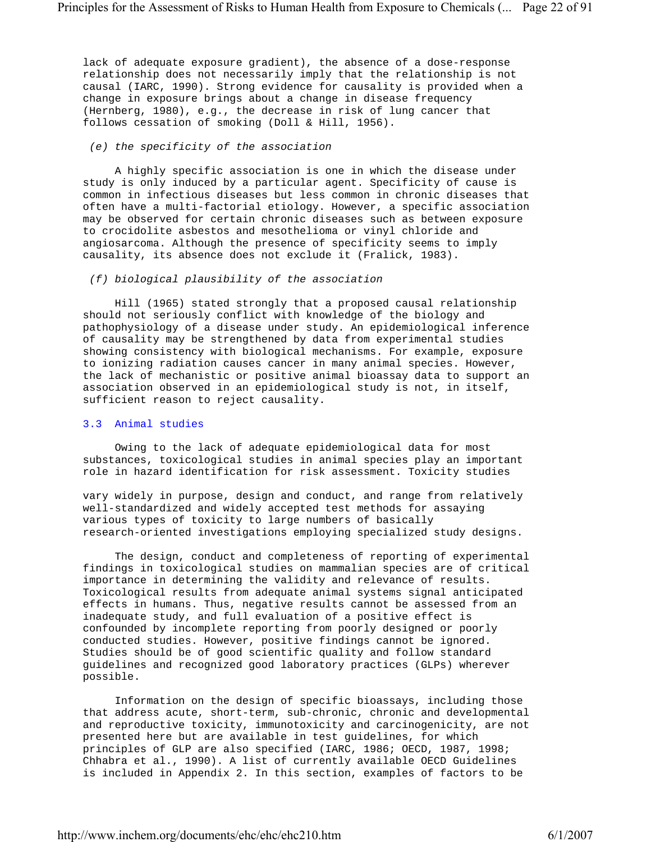lack of adequate exposure gradient), the absence of a dose-response relationship does not necessarily imply that the relationship is not causal (IARC, 1990). Strong evidence for causality is provided when a change in exposure brings about a change in disease frequency (Hernberg, 1980), e.g., the decrease in risk of lung cancer that follows cessation of smoking (Doll & Hill, 1956).

# *(e) the specificity of the association*

 A highly specific association is one in which the disease under study is only induced by a particular agent. Specificity of cause is common in infectious diseases but less common in chronic diseases that often have a multi-factorial etiology. However, a specific association may be observed for certain chronic diseases such as between exposure to crocidolite asbestos and mesothelioma or vinyl chloride and angiosarcoma. Although the presence of specificity seems to imply causality, its absence does not exclude it (Fralick, 1983).

*(f) biological plausibility of the association*

 Hill (1965) stated strongly that a proposed causal relationship should not seriously conflict with knowledge of the biology and pathophysiology of a disease under study. An epidemiological inference of causality may be strengthened by data from experimental studies showing consistency with biological mechanisms. For example, exposure to ionizing radiation causes cancer in many animal species. However, the lack of mechanistic or positive animal bioassay data to support an association observed in an epidemiological study is not, in itself, sufficient reason to reject causality.

# 3.3 Animal studies

 Owing to the lack of adequate epidemiological data for most substances, toxicological studies in animal species play an important role in hazard identification for risk assessment. Toxicity studies

 vary widely in purpose, design and conduct, and range from relatively well-standardized and widely accepted test methods for assaying various types of toxicity to large numbers of basically research-oriented investigations employing specialized study designs.

 The design, conduct and completeness of reporting of experimental findings in toxicological studies on mammalian species are of critical importance in determining the validity and relevance of results. Toxicological results from adequate animal systems signal anticipated effects in humans. Thus, negative results cannot be assessed from an inadequate study, and full evaluation of a positive effect is confounded by incomplete reporting from poorly designed or poorly conducted studies. However, positive findings cannot be ignored. Studies should be of good scientific quality and follow standard guidelines and recognized good laboratory practices (GLPs) wherever possible.

 Information on the design of specific bioassays, including those that address acute, short-term, sub-chronic, chronic and developmental and reproductive toxicity, immunotoxicity and carcinogenicity, are not presented here but are available in test guidelines, for which principles of GLP are also specified (IARC, 1986; OECD, 1987, 1998; Chhabra et al., 1990). A list of currently available OECD Guidelines is included in Appendix 2. In this section, examples of factors to be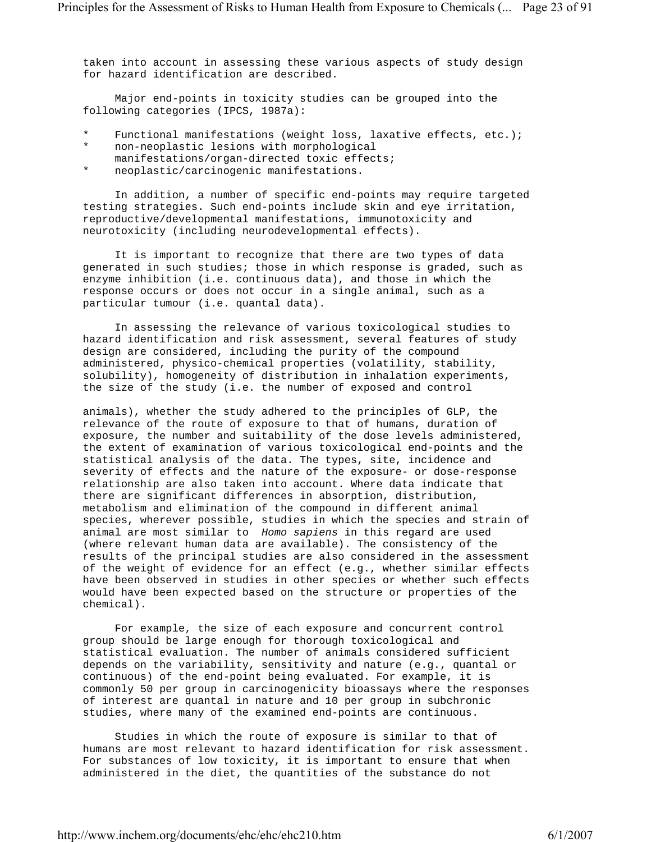taken into account in assessing these various aspects of study design for hazard identification are described.

 Major end-points in toxicity studies can be grouped into the following categories (IPCS, 1987a):

- \* Functional manifestations (weight loss, laxative effects, etc.);
- non-neoplastic lesions with morphological
- manifestations/organ-directed toxic effects;
- neoplastic/carcinogenic manifestations.

 In addition, a number of specific end-points may require targeted testing strategies. Such end-points include skin and eye irritation, reproductive/developmental manifestations, immunotoxicity and neurotoxicity (including neurodevelopmental effects).

 It is important to recognize that there are two types of data generated in such studies; those in which response is graded, such as enzyme inhibition (i.e. continuous data), and those in which the response occurs or does not occur in a single animal, such as a particular tumour (i.e. quantal data).

 In assessing the relevance of various toxicological studies to hazard identification and risk assessment, several features of study design are considered, including the purity of the compound administered, physico-chemical properties (volatility, stability, solubility), homogeneity of distribution in inhalation experiments, the size of the study (i.e. the number of exposed and control

 animals), whether the study adhered to the principles of GLP, the relevance of the route of exposure to that of humans, duration of exposure, the number and suitability of the dose levels administered, the extent of examination of various toxicological end-points and the statistical analysis of the data. The types, site, incidence and severity of effects and the nature of the exposure- or dose-response relationship are also taken into account. Where data indicate that there are significant differences in absorption, distribution, metabolism and elimination of the compound in different animal species, wherever possible, studies in which the species and strain of animal are most similar to *Homo sapiens* in this regard are used (where relevant human data are available). The consistency of the results of the principal studies are also considered in the assessment of the weight of evidence for an effect (e.g., whether similar effects have been observed in studies in other species or whether such effects would have been expected based on the structure or properties of the chemical).

 For example, the size of each exposure and concurrent control group should be large enough for thorough toxicological and statistical evaluation. The number of animals considered sufficient depends on the variability, sensitivity and nature (e.g., quantal or continuous) of the end-point being evaluated. For example, it is commonly 50 per group in carcinogenicity bioassays where the responses of interest are quantal in nature and 10 per group in subchronic studies, where many of the examined end-points are continuous.

 Studies in which the route of exposure is similar to that of humans are most relevant to hazard identification for risk assessment. For substances of low toxicity, it is important to ensure that when administered in the diet, the quantities of the substance do not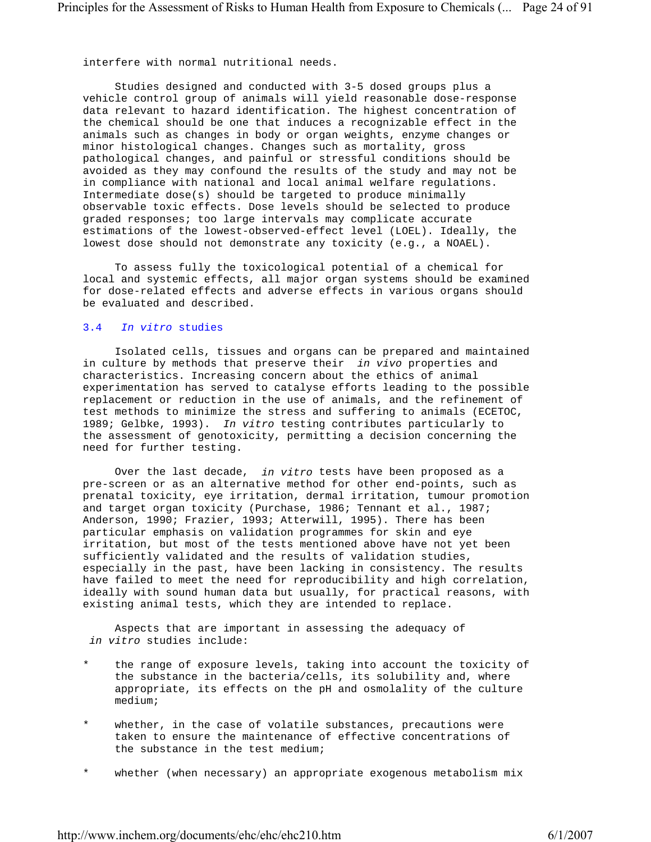interfere with normal nutritional needs.

 Studies designed and conducted with 3-5 dosed groups plus a vehicle control group of animals will yield reasonable dose-response data relevant to hazard identification. The highest concentration of the chemical should be one that induces a recognizable effect in the animals such as changes in body or organ weights, enzyme changes or minor histological changes. Changes such as mortality, gross pathological changes, and painful or stressful conditions should be avoided as they may confound the results of the study and may not be in compliance with national and local animal welfare regulations. Intermediate dose(s) should be targeted to produce minimally observable toxic effects. Dose levels should be selected to produce graded responses; too large intervals may complicate accurate estimations of the lowest-observed-effect level (LOEL). Ideally, the lowest dose should not demonstrate any toxicity (e.g., a NOAEL).

 To assess fully the toxicological potential of a chemical for local and systemic effects, all major organ systems should be examined for dose-related effects and adverse effects in various organs should be evaluated and described.

# 3.4 *In vitro* studies

 Isolated cells, tissues and organs can be prepared and maintained in culture by methods that preserve their *in vivo* properties and characteristics. Increasing concern about the ethics of animal experimentation has served to catalyse efforts leading to the possible replacement or reduction in the use of animals, and the refinement of test methods to minimize the stress and suffering to animals (ECETOC, 1989; Gelbke, 1993). *In vitro* testing contributes particularly to the assessment of genotoxicity, permitting a decision concerning the need for further testing.

 Over the last decade, *in vitro* tests have been proposed as a pre-screen or as an alternative method for other end-points, such as prenatal toxicity, eye irritation, dermal irritation, tumour promotion and target organ toxicity (Purchase, 1986; Tennant et al., 1987; Anderson, 1990; Frazier, 1993; Atterwill, 1995). There has been particular emphasis on validation programmes for skin and eye irritation, but most of the tests mentioned above have not yet been sufficiently validated and the results of validation studies, especially in the past, have been lacking in consistency. The results have failed to meet the need for reproducibility and high correlation, ideally with sound human data but usually, for practical reasons, with existing animal tests, which they are intended to replace.

 Aspects that are important in assessing the adequacy of *in vitro* studies include:

- the range of exposure levels, taking into account the toxicity of the substance in the bacteria/cells, its solubility and, where appropriate, its effects on the pH and osmolality of the culture medium;
- \* whether, in the case of volatile substances, precautions were taken to ensure the maintenance of effective concentrations of the substance in the test medium;
- \* whether (when necessary) an appropriate exogenous metabolism mix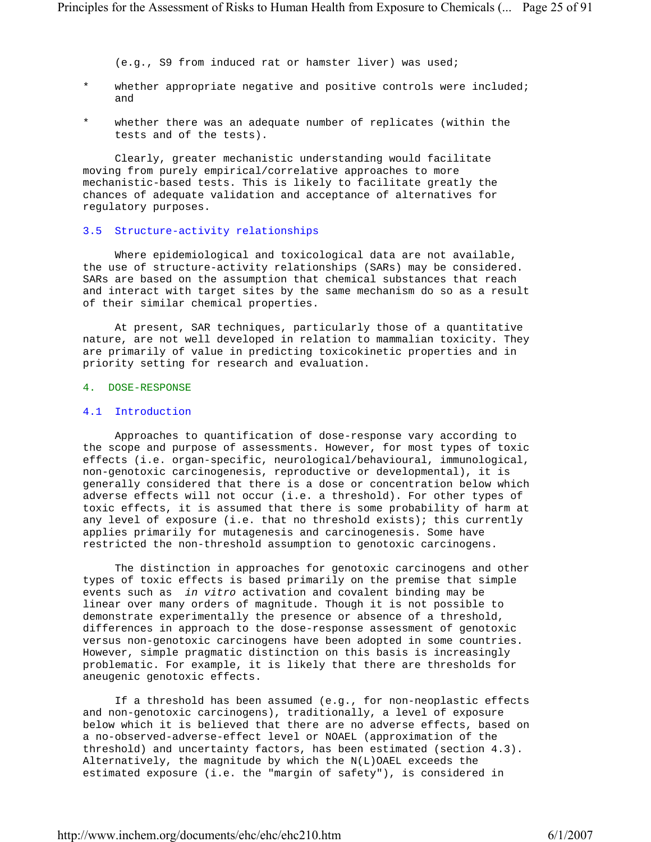(e.g., S9 from induced rat or hamster liver) was used;

- \* whether appropriate negative and positive controls were included; and
- \* whether there was an adequate number of replicates (within the tests and of the tests).

 Clearly, greater mechanistic understanding would facilitate moving from purely empirical/correlative approaches to more mechanistic-based tests. This is likely to facilitate greatly the chances of adequate validation and acceptance of alternatives for regulatory purposes.

# 3.5 Structure-activity relationships

 Where epidemiological and toxicological data are not available, the use of structure-activity relationships (SARs) may be considered. SARs are based on the assumption that chemical substances that reach and interact with target sites by the same mechanism do so as a result of their similar chemical properties.

 At present, SAR techniques, particularly those of a quantitative nature, are not well developed in relation to mammalian toxicity. They are primarily of value in predicting toxicokinetic properties and in priority setting for research and evaluation.

4. DOSE-RESPONSE

#### 4.1 Introduction

 Approaches to quantification of dose-response vary according to the scope and purpose of assessments. However, for most types of toxic effects (i.e. organ-specific, neurological/behavioural, immunological, non-genotoxic carcinogenesis, reproductive or developmental), it is generally considered that there is a dose or concentration below which adverse effects will not occur (i.e. a threshold). For other types of toxic effects, it is assumed that there is some probability of harm at any level of exposure (i.e. that no threshold exists); this currently applies primarily for mutagenesis and carcinogenesis. Some have restricted the non-threshold assumption to genotoxic carcinogens.

 The distinction in approaches for genotoxic carcinogens and other types of toxic effects is based primarily on the premise that simple events such as *in vitro* activation and covalent binding may be linear over many orders of magnitude. Though it is not possible to demonstrate experimentally the presence or absence of a threshold, differences in approach to the dose-response assessment of genotoxic versus non-genotoxic carcinogens have been adopted in some countries. However, simple pragmatic distinction on this basis is increasingly problematic. For example, it is likely that there are thresholds for aneugenic genotoxic effects.

 If a threshold has been assumed (e.g., for non-neoplastic effects and non-genotoxic carcinogens), traditionally, a level of exposure below which it is believed that there are no adverse effects, based on a no-observed-adverse-effect level or NOAEL (approximation of the threshold) and uncertainty factors, has been estimated (section 4.3). Alternatively, the magnitude by which the N(L)OAEL exceeds the estimated exposure (i.e. the "margin of safety"), is considered in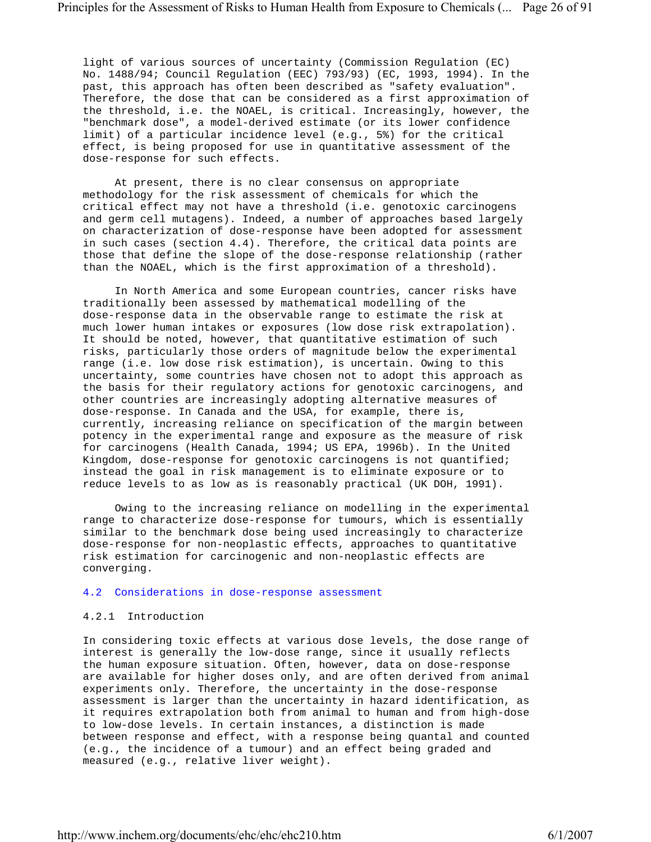light of various sources of uncertainty (Commission Regulation (EC) No. 1488/94; Council Regulation (EEC) 793/93) (EC, 1993, 1994). In the past, this approach has often been described as "safety evaluation". Therefore, the dose that can be considered as a first approximation of the threshold, i.e. the NOAEL, is critical. Increasingly, however, the "benchmark dose", a model-derived estimate (or its lower confidence limit) of a particular incidence level (e.g., 5%) for the critical effect, is being proposed for use in quantitative assessment of the dose-response for such effects.

 At present, there is no clear consensus on appropriate methodology for the risk assessment of chemicals for which the critical effect may not have a threshold (i.e. genotoxic carcinogens and germ cell mutagens). Indeed, a number of approaches based largely on characterization of dose-response have been adopted for assessment in such cases (section 4.4). Therefore, the critical data points are those that define the slope of the dose-response relationship (rather than the NOAEL, which is the first approximation of a threshold).

 In North America and some European countries, cancer risks have traditionally been assessed by mathematical modelling of the dose-response data in the observable range to estimate the risk at much lower human intakes or exposures (low dose risk extrapolation). It should be noted, however, that quantitative estimation of such risks, particularly those orders of magnitude below the experimental range (i.e. low dose risk estimation), is uncertain. Owing to this uncertainty, some countries have chosen not to adopt this approach as the basis for their regulatory actions for genotoxic carcinogens, and other countries are increasingly adopting alternative measures of dose-response. In Canada and the USA, for example, there is, currently, increasing reliance on specification of the margin between potency in the experimental range and exposure as the measure of risk for carcinogens (Health Canada, 1994; US EPA, 1996b). In the United Kingdom, dose-response for genotoxic carcinogens is not quantified; instead the goal in risk management is to eliminate exposure or to reduce levels to as low as is reasonably practical (UK DOH, 1991).

 Owing to the increasing reliance on modelling in the experimental range to characterize dose-response for tumours, which is essentially similar to the benchmark dose being used increasingly to characterize dose-response for non-neoplastic effects, approaches to quantitative risk estimation for carcinogenic and non-neoplastic effects are converging.

### 4.2 Considerations in dose-response assessment

# 4.2.1 Introduction

 In considering toxic effects at various dose levels, the dose range of interest is generally the low-dose range, since it usually reflects the human exposure situation. Often, however, data on dose-response are available for higher doses only, and are often derived from animal experiments only. Therefore, the uncertainty in the dose-response assessment is larger than the uncertainty in hazard identification, as it requires extrapolation both from animal to human and from high-dose to low-dose levels. In certain instances, a distinction is made between response and effect, with a response being quantal and counted (e.g., the incidence of a tumour) and an effect being graded and measured (e.g., relative liver weight).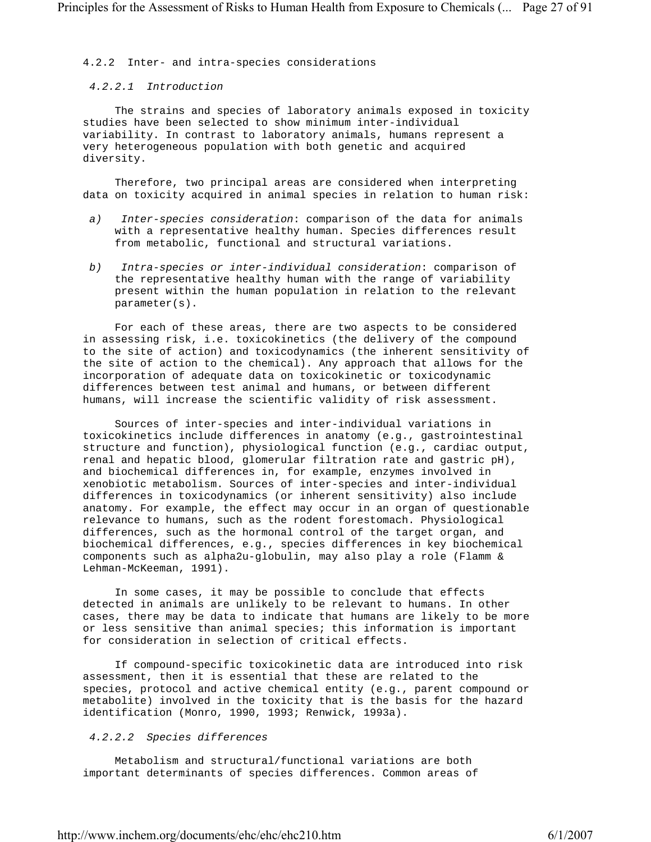4.2.2 Inter- and intra-species considerations

### *4.2.2.1 Introduction*

 The strains and species of laboratory animals exposed in toxicity studies have been selected to show minimum inter-individual variability. In contrast to laboratory animals, humans represent a very heterogeneous population with both genetic and acquired diversity.

 Therefore, two principal areas are considered when interpreting data on toxicity acquired in animal species in relation to human risk:

- *a) Inter-species consideration*: comparison of the data for animals with a representative healthy human. Species differences result from metabolic, functional and structural variations.
- *b) Intra-species or inter-individual consideration*: comparison of the representative healthy human with the range of variability present within the human population in relation to the relevant parameter(s).

 For each of these areas, there are two aspects to be considered in assessing risk, i.e. toxicokinetics (the delivery of the compound to the site of action) and toxicodynamics (the inherent sensitivity of the site of action to the chemical). Any approach that allows for the incorporation of adequate data on toxicokinetic or toxicodynamic differences between test animal and humans, or between different humans, will increase the scientific validity of risk assessment.

 Sources of inter-species and inter-individual variations in toxicokinetics include differences in anatomy (e.g., gastrointestinal structure and function), physiological function (e.g., cardiac output, renal and hepatic blood, glomerular filtration rate and gastric pH), and biochemical differences in, for example, enzymes involved in xenobiotic metabolism. Sources of inter-species and inter-individual differences in toxicodynamics (or inherent sensitivity) also include anatomy. For example, the effect may occur in an organ of questionable relevance to humans, such as the rodent forestomach. Physiological differences, such as the hormonal control of the target organ, and biochemical differences, e.g., species differences in key biochemical components such as alpha2u-globulin, may also play a role (Flamm & Lehman-McKeeman, 1991).

 In some cases, it may be possible to conclude that effects detected in animals are unlikely to be relevant to humans. In other cases, there may be data to indicate that humans are likely to be more or less sensitive than animal species; this information is important for consideration in selection of critical effects.

 If compound-specific toxicokinetic data are introduced into risk assessment, then it is essential that these are related to the species, protocol and active chemical entity (e.g., parent compound or metabolite) involved in the toxicity that is the basis for the hazard identification (Monro, 1990, 1993; Renwick, 1993a).

### *4.2.2.2 Species differences*

 Metabolism and structural/functional variations are both important determinants of species differences. Common areas of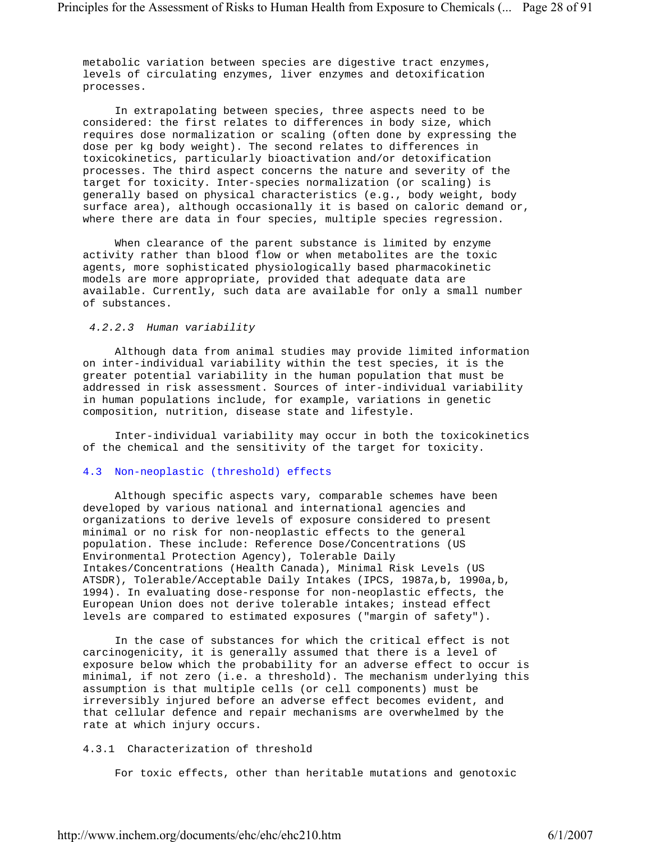metabolic variation between species are digestive tract enzymes, levels of circulating enzymes, liver enzymes and detoxification processes.

 In extrapolating between species, three aspects need to be considered: the first relates to differences in body size, which requires dose normalization or scaling (often done by expressing the dose per kg body weight). The second relates to differences in toxicokinetics, particularly bioactivation and/or detoxification processes. The third aspect concerns the nature and severity of the target for toxicity. Inter-species normalization (or scaling) is generally based on physical characteristics (e.g., body weight, body surface area), although occasionally it is based on caloric demand or, where there are data in four species, multiple species regression.

 When clearance of the parent substance is limited by enzyme activity rather than blood flow or when metabolites are the toxic agents, more sophisticated physiologically based pharmacokinetic models are more appropriate, provided that adequate data are available. Currently, such data are available for only a small number of substances.

### *4.2.2.3 Human variability*

 Although data from animal studies may provide limited information on inter-individual variability within the test species, it is the greater potential variability in the human population that must be addressed in risk assessment. Sources of inter-individual variability in human populations include, for example, variations in genetic composition, nutrition, disease state and lifestyle.

 Inter-individual variability may occur in both the toxicokinetics of the chemical and the sensitivity of the target for toxicity.

# 4.3 Non-neoplastic (threshold) effects

 Although specific aspects vary, comparable schemes have been developed by various national and international agencies and organizations to derive levels of exposure considered to present minimal or no risk for non-neoplastic effects to the general population. These include: Reference Dose/Concentrations (US Environmental Protection Agency), Tolerable Daily Intakes/Concentrations (Health Canada), Minimal Risk Levels (US ATSDR), Tolerable/Acceptable Daily Intakes (IPCS, 1987a,b, 1990a,b, 1994). In evaluating dose-response for non-neoplastic effects, the European Union does not derive tolerable intakes; instead effect levels are compared to estimated exposures ("margin of safety").

 In the case of substances for which the critical effect is not carcinogenicity, it is generally assumed that there is a level of exposure below which the probability for an adverse effect to occur is minimal, if not zero (i.e. a threshold). The mechanism underlying this assumption is that multiple cells (or cell components) must be irreversibly injured before an adverse effect becomes evident, and that cellular defence and repair mechanisms are overwhelmed by the rate at which injury occurs.

# 4.3.1 Characterization of threshold

For toxic effects, other than heritable mutations and genotoxic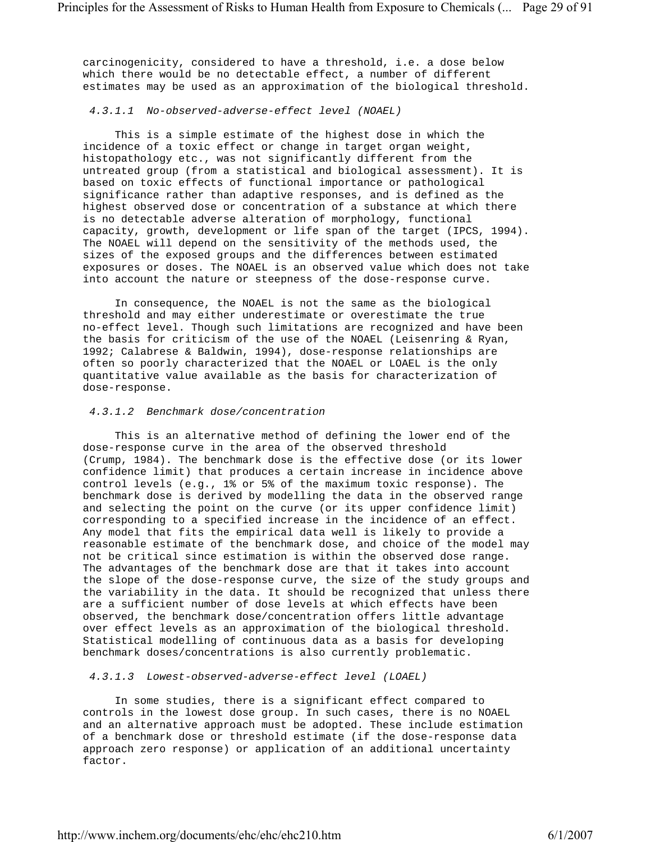carcinogenicity, considered to have a threshold, i.e. a dose below which there would be no detectable effect, a number of different estimates may be used as an approximation of the biological threshold.

# *4.3.1.1 No-observed-adverse-effect level (NOAEL)*

 This is a simple estimate of the highest dose in which the incidence of a toxic effect or change in target organ weight, histopathology etc., was not significantly different from the untreated group (from a statistical and biological assessment). It is based on toxic effects of functional importance or pathological significance rather than adaptive responses, and is defined as the highest observed dose or concentration of a substance at which there is no detectable adverse alteration of morphology, functional capacity, growth, development or life span of the target (IPCS, 1994). The NOAEL will depend on the sensitivity of the methods used, the sizes of the exposed groups and the differences between estimated exposures or doses. The NOAEL is an observed value which does not take into account the nature or steepness of the dose-response curve.

 In consequence, the NOAEL is not the same as the biological threshold and may either underestimate or overestimate the true no-effect level. Though such limitations are recognized and have been the basis for criticism of the use of the NOAEL (Leisenring & Ryan, 1992; Calabrese & Baldwin, 1994), dose-response relationships are often so poorly characterized that the NOAEL or LOAEL is the only quantitative value available as the basis for characterization of dose-response.

#### *4.3.1.2 Benchmark dose/concentration*

 This is an alternative method of defining the lower end of the dose-response curve in the area of the observed threshold (Crump, 1984). The benchmark dose is the effective dose (or its lower confidence limit) that produces a certain increase in incidence above control levels (e.g., 1% or 5% of the maximum toxic response). The benchmark dose is derived by modelling the data in the observed range and selecting the point on the curve (or its upper confidence limit) corresponding to a specified increase in the incidence of an effect. Any model that fits the empirical data well is likely to provide a reasonable estimate of the benchmark dose, and choice of the model may not be critical since estimation is within the observed dose range. The advantages of the benchmark dose are that it takes into account the slope of the dose-response curve, the size of the study groups and the variability in the data. It should be recognized that unless there are a sufficient number of dose levels at which effects have been observed, the benchmark dose/concentration offers little advantage over effect levels as an approximation of the biological threshold. Statistical modelling of continuous data as a basis for developing benchmark doses/concentrations is also currently problematic.

# *4.3.1.3 Lowest-observed-adverse-effect level (LOAEL)*

 In some studies, there is a significant effect compared to controls in the lowest dose group. In such cases, there is no NOAEL and an alternative approach must be adopted. These include estimation of a benchmark dose or threshold estimate (if the dose-response data approach zero response) or application of an additional uncertainty factor.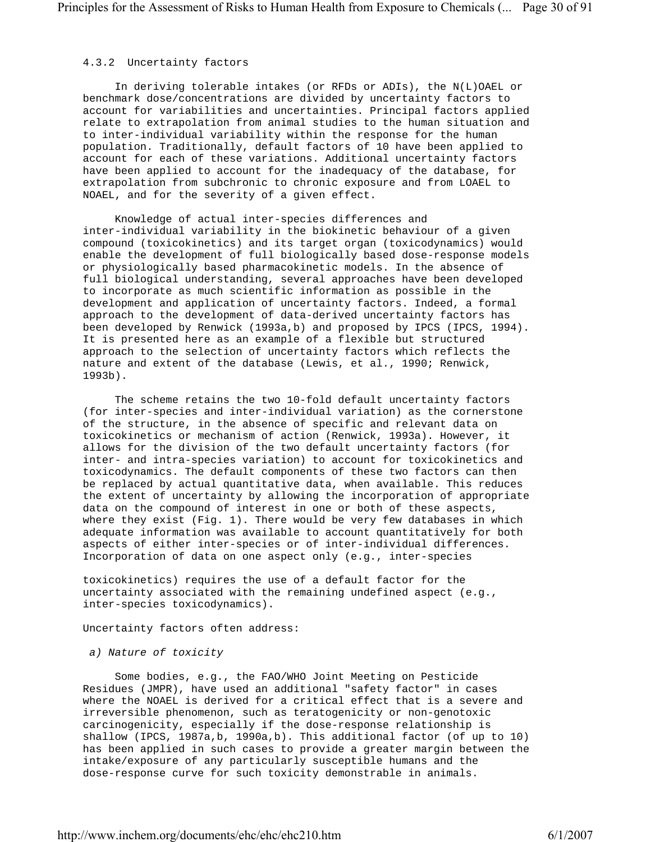# 4.3.2 Uncertainty factors

 In deriving tolerable intakes (or RFDs or ADIs), the N(L)OAEL or benchmark dose/concentrations are divided by uncertainty factors to account for variabilities and uncertainties. Principal factors applied relate to extrapolation from animal studies to the human situation and to inter-individual variability within the response for the human population. Traditionally, default factors of 10 have been applied to account for each of these variations. Additional uncertainty factors have been applied to account for the inadequacy of the database, for extrapolation from subchronic to chronic exposure and from LOAEL to NOAEL, and for the severity of a given effect.

 Knowledge of actual inter-species differences and inter-individual variability in the biokinetic behaviour of a given compound (toxicokinetics) and its target organ (toxicodynamics) would enable the development of full biologically based dose-response models or physiologically based pharmacokinetic models. In the absence of full biological understanding, several approaches have been developed to incorporate as much scientific information as possible in the development and application of uncertainty factors. Indeed, a formal approach to the development of data-derived uncertainty factors has been developed by Renwick (1993a,b) and proposed by IPCS (IPCS, 1994). It is presented here as an example of a flexible but structured approach to the selection of uncertainty factors which reflects the nature and extent of the database (Lewis, et al., 1990; Renwick, 1993b).

 The scheme retains the two 10-fold default uncertainty factors (for inter-species and inter-individual variation) as the cornerstone of the structure, in the absence of specific and relevant data on toxicokinetics or mechanism of action (Renwick, 1993a). However, it allows for the division of the two default uncertainty factors (for inter- and intra-species variation) to account for toxicokinetics and toxicodynamics. The default components of these two factors can then be replaced by actual quantitative data, when available. This reduces the extent of uncertainty by allowing the incorporation of appropriate data on the compound of interest in one or both of these aspects, where they exist (Fig. 1). There would be very few databases in which adequate information was available to account quantitatively for both aspects of either inter-species or of inter-individual differences. Incorporation of data on one aspect only (e.g., inter-species

 toxicokinetics) requires the use of a default factor for the uncertainty associated with the remaining undefined aspect (e.g., inter-species toxicodynamics).

Uncertainty factors often address:

#### *a) Nature of toxicity*

 Some bodies, e.g., the FAO/WHO Joint Meeting on Pesticide Residues (JMPR), have used an additional "safety factor" in cases where the NOAEL is derived for a critical effect that is a severe and irreversible phenomenon, such as teratogenicity or non-genotoxic carcinogenicity, especially if the dose-response relationship is shallow (IPCS, 1987a,b, 1990a,b). This additional factor (of up to 10) has been applied in such cases to provide a greater margin between the intake/exposure of any particularly susceptible humans and the dose-response curve for such toxicity demonstrable in animals.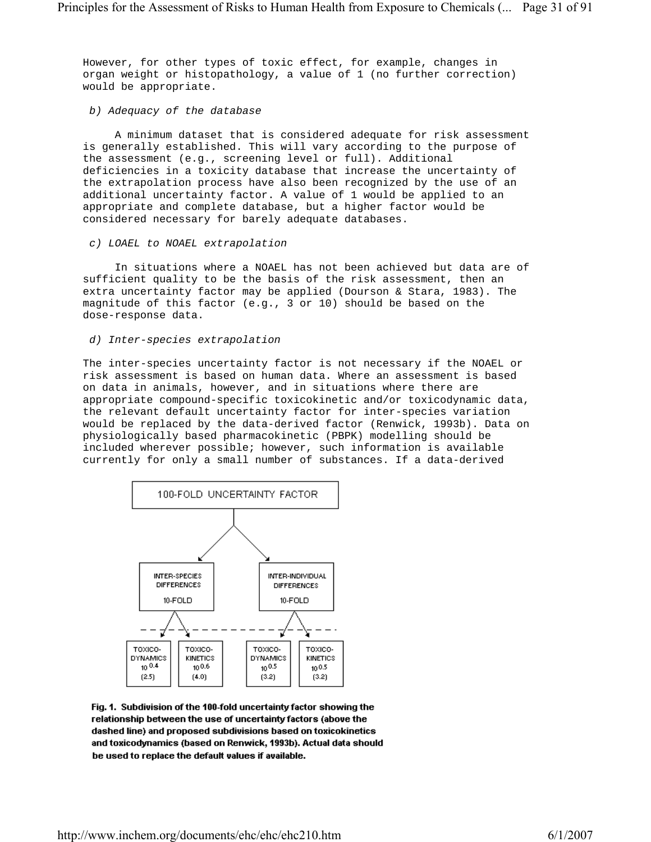However, for other types of toxic effect, for example, changes in organ weight or histopathology, a value of 1 (no further correction) would be appropriate.

# *b) Adequacy of the database*

 A minimum dataset that is considered adequate for risk assessment is generally established. This will vary according to the purpose of the assessment (e.g., screening level or full). Additional deficiencies in a toxicity database that increase the uncertainty of the extrapolation process have also been recognized by the use of an additional uncertainty factor. A value of 1 would be applied to an appropriate and complete database, but a higher factor would be considered necessary for barely adequate databases.

#### *c) LOAEL to NOAEL extrapolation*

 In situations where a NOAEL has not been achieved but data are of sufficient quality to be the basis of the risk assessment, then an extra uncertainty factor may be applied (Dourson & Stara, 1983). The magnitude of this factor (e.g., 3 or 10) should be based on the dose-response data.

# *d) Inter-species extrapolation*

 The inter-species uncertainty factor is not necessary if the NOAEL or risk assessment is based on human data. Where an assessment is based on data in animals, however, and in situations where there are appropriate compound-specific toxicokinetic and/or toxicodynamic data, the relevant default uncertainty factor for inter-species variation would be replaced by the data-derived factor (Renwick, 1993b). Data on physiologically based pharmacokinetic (PBPK) modelling should be included wherever possible; however, such information is available currently for only a small number of substances. If a data-derived



Fig. 1. Subdivision of the 100-fold uncertainty factor showing the relationship between the use of uncertainty factors (above the dashed line) and proposed subdivisions based on toxicokinetics and toxicodynamics (based on Renwick, 1993b). Actual data should be used to replace the default values if available.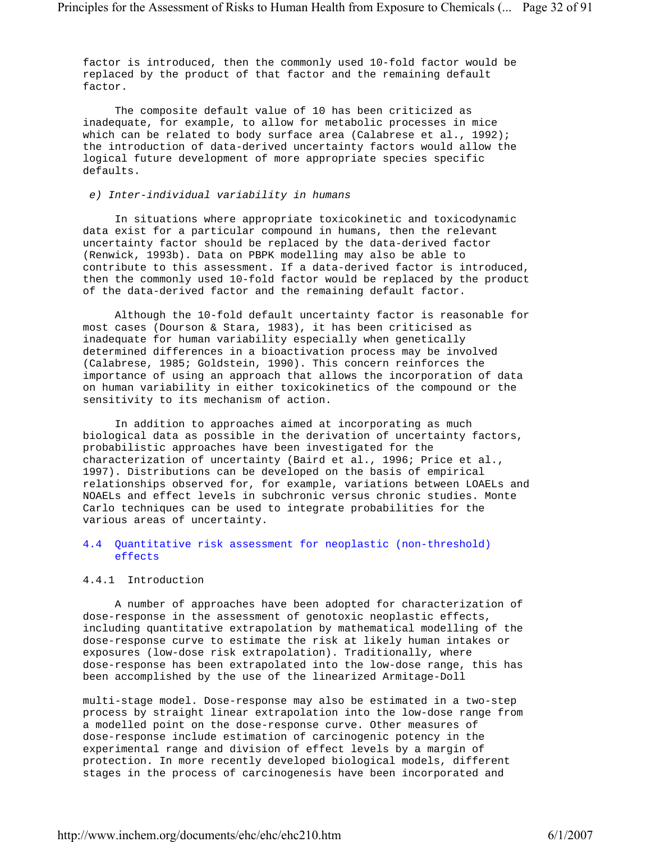factor is introduced, then the commonly used 10-fold factor would be replaced by the product of that factor and the remaining default factor.

 The composite default value of 10 has been criticized as inadequate, for example, to allow for metabolic processes in mice which can be related to body surface area (Calabrese et al., 1992); the introduction of data-derived uncertainty factors would allow the logical future development of more appropriate species specific defaults.

# *e) Inter-individual variability in humans*

 In situations where appropriate toxicokinetic and toxicodynamic data exist for a particular compound in humans, then the relevant uncertainty factor should be replaced by the data-derived factor (Renwick, 1993b). Data on PBPK modelling may also be able to contribute to this assessment. If a data-derived factor is introduced, then the commonly used 10-fold factor would be replaced by the product of the data-derived factor and the remaining default factor.

 Although the 10-fold default uncertainty factor is reasonable for most cases (Dourson & Stara, 1983), it has been criticised as inadequate for human variability especially when genetically determined differences in a bioactivation process may be involved (Calabrese, 1985; Goldstein, 1990). This concern reinforces the importance of using an approach that allows the incorporation of data on human variability in either toxicokinetics of the compound or the sensitivity to its mechanism of action.

 In addition to approaches aimed at incorporating as much biological data as possible in the derivation of uncertainty factors, probabilistic approaches have been investigated for the characterization of uncertainty (Baird et al., 1996; Price et al., 1997). Distributions can be developed on the basis of empirical relationships observed for, for example, variations between LOAELs and NOAELs and effect levels in subchronic versus chronic studies. Monte Carlo techniques can be used to integrate probabilities for the various areas of uncertainty.

# 4.4 Quantitative risk assessment for neoplastic (non-threshold) effects

# 4.4.1 Introduction

 A number of approaches have been adopted for characterization of dose-response in the assessment of genotoxic neoplastic effects, including quantitative extrapolation by mathematical modelling of the dose-response curve to estimate the risk at likely human intakes or exposures (low-dose risk extrapolation). Traditionally, where dose-response has been extrapolated into the low-dose range, this has been accomplished by the use of the linearized Armitage-Doll

 multi-stage model. Dose-response may also be estimated in a two-step process by straight linear extrapolation into the low-dose range from a modelled point on the dose-response curve. Other measures of dose-response include estimation of carcinogenic potency in the experimental range and division of effect levels by a margin of protection. In more recently developed biological models, different stages in the process of carcinogenesis have been incorporated and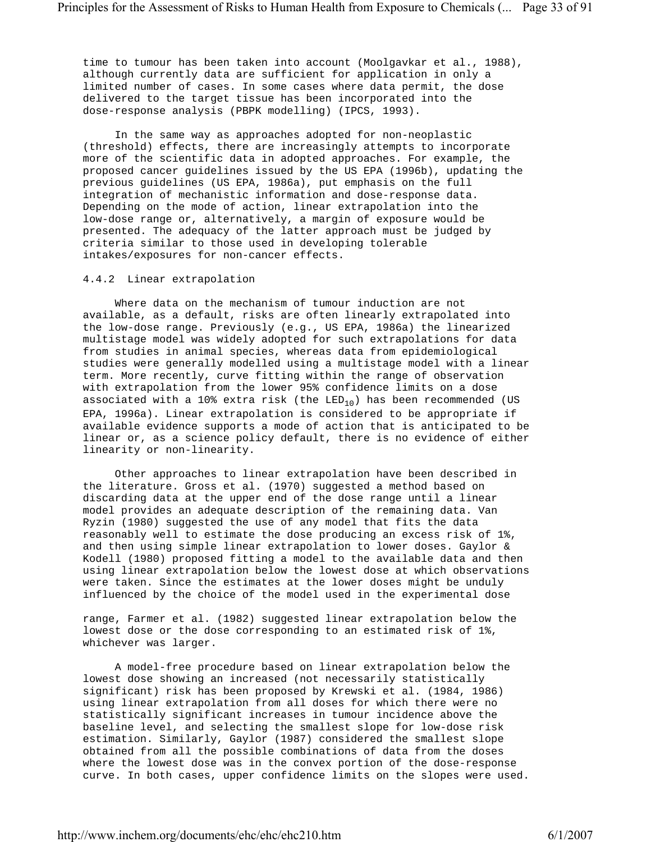time to tumour has been taken into account (Moolgavkar et al., 1988), although currently data are sufficient for application in only a limited number of cases. In some cases where data permit, the dose delivered to the target tissue has been incorporated into the dose-response analysis (PBPK modelling) (IPCS, 1993).

 In the same way as approaches adopted for non-neoplastic (threshold) effects, there are increasingly attempts to incorporate more of the scientific data in adopted approaches. For example, the proposed cancer guidelines issued by the US EPA (1996b), updating the previous guidelines (US EPA, 1986a), put emphasis on the full integration of mechanistic information and dose-response data. Depending on the mode of action, linear extrapolation into the low-dose range or, alternatively, a margin of exposure would be presented. The adequacy of the latter approach must be judged by criteria similar to those used in developing tolerable intakes/exposures for non-cancer effects.

# 4.4.2 Linear extrapolation

 Where data on the mechanism of tumour induction are not available, as a default, risks are often linearly extrapolated into the low-dose range. Previously (e.g., US EPA, 1986a) the linearized multistage model was widely adopted for such extrapolations for data from studies in animal species, whereas data from epidemiological studies were generally modelled using a multistage model with a linear term. More recently, curve fitting within the range of observation with extrapolation from the lower 95% confidence limits on a dose associated with a 10% extra risk (the LED<sub>10</sub>) has been recommended (US EPA, 1996a). Linear extrapolation is considered to be appropriate if available evidence supports a mode of action that is anticipated to be linear or, as a science policy default, there is no evidence of either linearity or non-linearity.

 Other approaches to linear extrapolation have been described in the literature. Gross et al. (1970) suggested a method based on discarding data at the upper end of the dose range until a linear model provides an adequate description of the remaining data. Van Ryzin (1980) suggested the use of any model that fits the data reasonably well to estimate the dose producing an excess risk of 1%, and then using simple linear extrapolation to lower doses. Gaylor & Kodell (1980) proposed fitting a model to the available data and then using linear extrapolation below the lowest dose at which observations were taken. Since the estimates at the lower doses might be unduly influenced by the choice of the model used in the experimental dose

 range, Farmer et al. (1982) suggested linear extrapolation below the lowest dose or the dose corresponding to an estimated risk of 1%, whichever was larger.

 A model-free procedure based on linear extrapolation below the lowest dose showing an increased (not necessarily statistically significant) risk has been proposed by Krewski et al. (1984, 1986) using linear extrapolation from all doses for which there were no statistically significant increases in tumour incidence above the baseline level, and selecting the smallest slope for low-dose risk estimation. Similarly, Gaylor (1987) considered the smallest slope obtained from all the possible combinations of data from the doses where the lowest dose was in the convex portion of the dose-response curve. In both cases, upper confidence limits on the slopes were used.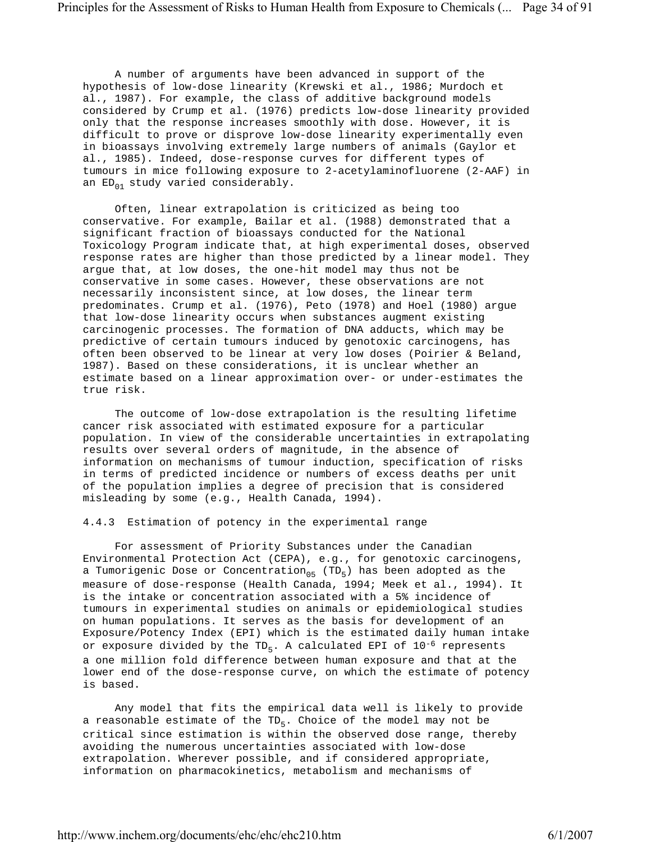A number of arguments have been advanced in support of the hypothesis of low-dose linearity (Krewski et al., 1986; Murdoch et al., 1987). For example, the class of additive background models considered by Crump et al. (1976) predicts low-dose linearity provided only that the response increases smoothly with dose. However, it is difficult to prove or disprove low-dose linearity experimentally even in bioassays involving extremely large numbers of animals (Gaylor et al., 1985). Indeed, dose-response curves for different types of tumours in mice following exposure to 2-acetylaminofluorene (2-AAF) in an  $ED_{01}$  study varied considerably.

 Often, linear extrapolation is criticized as being too conservative. For example, Bailar et al. (1988) demonstrated that a significant fraction of bioassays conducted for the National Toxicology Program indicate that, at high experimental doses, observed response rates are higher than those predicted by a linear model. They argue that, at low doses, the one-hit model may thus not be conservative in some cases. However, these observations are not necessarily inconsistent since, at low doses, the linear term predominates. Crump et al. (1976), Peto (1978) and Hoel (1980) argue that low-dose linearity occurs when substances augment existing carcinogenic processes. The formation of DNA adducts, which may be predictive of certain tumours induced by genotoxic carcinogens, has often been observed to be linear at very low doses (Poirier & Beland, 1987). Based on these considerations, it is unclear whether an estimate based on a linear approximation over- or under-estimates the true risk.

 The outcome of low-dose extrapolation is the resulting lifetime cancer risk associated with estimated exposure for a particular population. In view of the considerable uncertainties in extrapolating results over several orders of magnitude, in the absence of information on mechanisms of tumour induction, specification of risks in terms of predicted incidence or numbers of excess deaths per unit of the population implies a degree of precision that is considered misleading by some (e.g., Health Canada, 1994).

# 4.4.3 Estimation of potency in the experimental range

 For assessment of Priority Substances under the Canadian Environmental Protection Act (CEPA), e.g., for genotoxic carcinogens, a Tumorigenic Dose or Concentration<sub>05</sub> (TD<sub>5</sub>) has been adopted as the measure of dose-response (Health Canada, 1994; Meek et al., 1994). It is the intake or concentration associated with a 5% incidence of tumours in experimental studies on animals or epidemiological studies on human populations. It serves as the basis for development of an Exposure/Potency Index (EPI) which is the estimated daily human intake or exposure divided by the TD<sub>5</sub>. A calculated EPI of  $10^{-6}$  represents a one million fold difference between human exposure and that at the lower end of the dose-response curve, on which the estimate of potency is based.

 Any model that fits the empirical data well is likely to provide a reasonable estimate of the TD<sub>5</sub>. Choice of the model may not be critical since estimation is within the observed dose range, thereby avoiding the numerous uncertainties associated with low-dose extrapolation. Wherever possible, and if considered appropriate, information on pharmacokinetics, metabolism and mechanisms of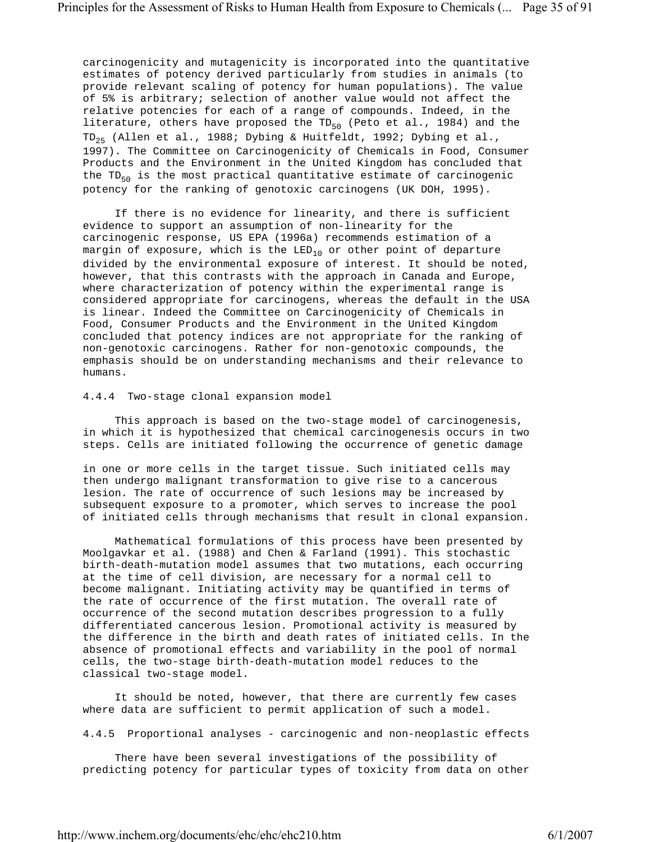carcinogenicity and mutagenicity is incorporated into the quantitative estimates of potency derived particularly from studies in animals (to provide relevant scaling of potency for human populations). The value of 5% is arbitrary; selection of another value would not affect the relative potencies for each of a range of compounds. Indeed, in the literature, others have proposed the  $TD_{50}$  (Peto et al., 1984) and the  $TD_{25}$  (Allen et al., 1988; Dybing & Huitfeldt, 1992; Dybing et al., 1997). The Committee on Carcinogenicity of Chemicals in Food, Consumer Products and the Environment in the United Kingdom has concluded that the TD<sub>50</sub> is the most practical quantitative estimate of carcinogenic potency for the ranking of genotoxic carcinogens (UK DOH, 1995).

 If there is no evidence for linearity, and there is sufficient evidence to support an assumption of non-linearity for the carcinogenic response, US EPA (1996a) recommends estimation of a margin of exposure, which is the  $LED_{10}$  or other point of departure divided by the environmental exposure of interest. It should be noted, however, that this contrasts with the approach in Canada and Europe, where characterization of potency within the experimental range is considered appropriate for carcinogens, whereas the default in the USA is linear. Indeed the Committee on Carcinogenicity of Chemicals in Food, Consumer Products and the Environment in the United Kingdom concluded that potency indices are not appropriate for the ranking of non-genotoxic carcinogens. Rather for non-genotoxic compounds, the emphasis should be on understanding mechanisms and their relevance to humans.

4.4.4 Two-stage clonal expansion model

 This approach is based on the two-stage model of carcinogenesis, in which it is hypothesized that chemical carcinogenesis occurs in two steps. Cells are initiated following the occurrence of genetic damage

 in one or more cells in the target tissue. Such initiated cells may then undergo malignant transformation to give rise to a cancerous lesion. The rate of occurrence of such lesions may be increased by subsequent exposure to a promoter, which serves to increase the pool of initiated cells through mechanisms that result in clonal expansion.

 Mathematical formulations of this process have been presented by Moolgavkar et al. (1988) and Chen & Farland (1991). This stochastic birth-death-mutation model assumes that two mutations, each occurring at the time of cell division, are necessary for a normal cell to become malignant. Initiating activity may be quantified in terms of the rate of occurrence of the first mutation. The overall rate of occurrence of the second mutation describes progression to a fully differentiated cancerous lesion. Promotional activity is measured by the difference in the birth and death rates of initiated cells. In the absence of promotional effects and variability in the pool of normal cells, the two-stage birth-death-mutation model reduces to the classical two-stage model.

 It should be noted, however, that there are currently few cases where data are sufficient to permit application of such a model.

4.4.5 Proportional analyses - carcinogenic and non-neoplastic effects

 There have been several investigations of the possibility of predicting potency for particular types of toxicity from data on other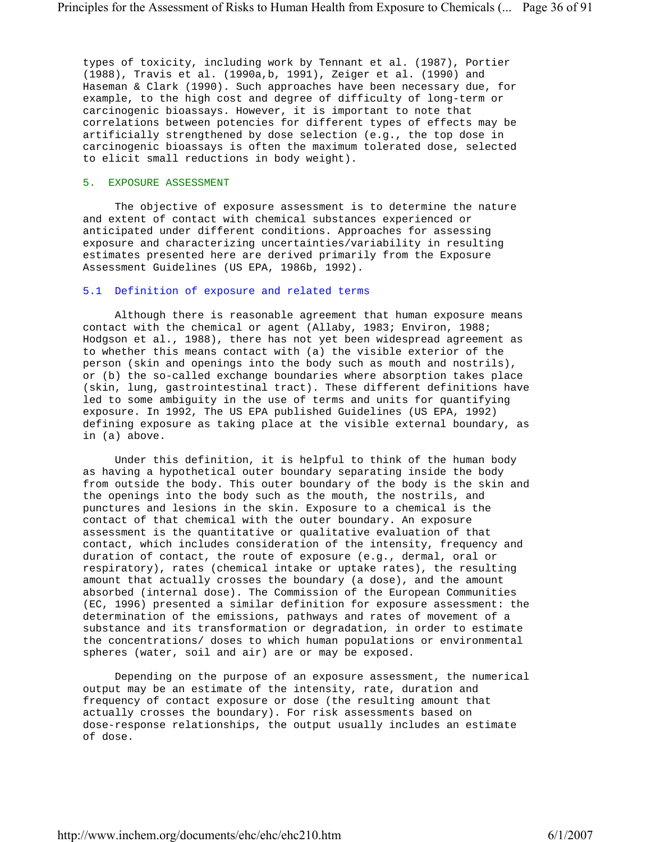types of toxicity, including work by Tennant et al. (1987), Portier (1988), Travis et al. (1990a,b, 1991), Zeiger et al. (1990) and Haseman & Clark (1990). Such approaches have been necessary due, for example, to the high cost and degree of difficulty of long-term or carcinogenic bioassays. However, it is important to note that correlations between potencies for different types of effects may be artificially strengthened by dose selection (e.g., the top dose in carcinogenic bioassays is often the maximum tolerated dose, selected to elicit small reductions in body weight).

### 5. EXPOSURE ASSESSMENT

 The objective of exposure assessment is to determine the nature and extent of contact with chemical substances experienced or anticipated under different conditions. Approaches for assessing exposure and characterizing uncertainties/variability in resulting estimates presented here are derived primarily from the Exposure Assessment Guidelines (US EPA, 1986b, 1992).

# 5.1 Definition of exposure and related terms

 Although there is reasonable agreement that human exposure means contact with the chemical or agent (Allaby, 1983; Environ, 1988; Hodgson et al., 1988), there has not yet been widespread agreement as to whether this means contact with (a) the visible exterior of the person (skin and openings into the body such as mouth and nostrils), or (b) the so-called exchange boundaries where absorption takes place (skin, lung, gastrointestinal tract). These different definitions have led to some ambiguity in the use of terms and units for quantifying exposure. In 1992, The US EPA published Guidelines (US EPA, 1992) defining exposure as taking place at the visible external boundary, as in (a) above.

 Under this definition, it is helpful to think of the human body as having a hypothetical outer boundary separating inside the body from outside the body. This outer boundary of the body is the skin and the openings into the body such as the mouth, the nostrils, and punctures and lesions in the skin. Exposure to a chemical is the contact of that chemical with the outer boundary. An exposure assessment is the quantitative or qualitative evaluation of that contact, which includes consideration of the intensity, frequency and duration of contact, the route of exposure (e.g., dermal, oral or respiratory), rates (chemical intake or uptake rates), the resulting amount that actually crosses the boundary (a dose), and the amount absorbed (internal dose). The Commission of the European Communities (EC, 1996) presented a similar definition for exposure assessment: the determination of the emissions, pathways and rates of movement of a substance and its transformation or degradation, in order to estimate the concentrations/ doses to which human populations or environmental spheres (water, soil and air) are or may be exposed.

 Depending on the purpose of an exposure assessment, the numerical output may be an estimate of the intensity, rate, duration and frequency of contact exposure or dose (the resulting amount that actually crosses the boundary). For risk assessments based on dose-response relationships, the output usually includes an estimate of dose.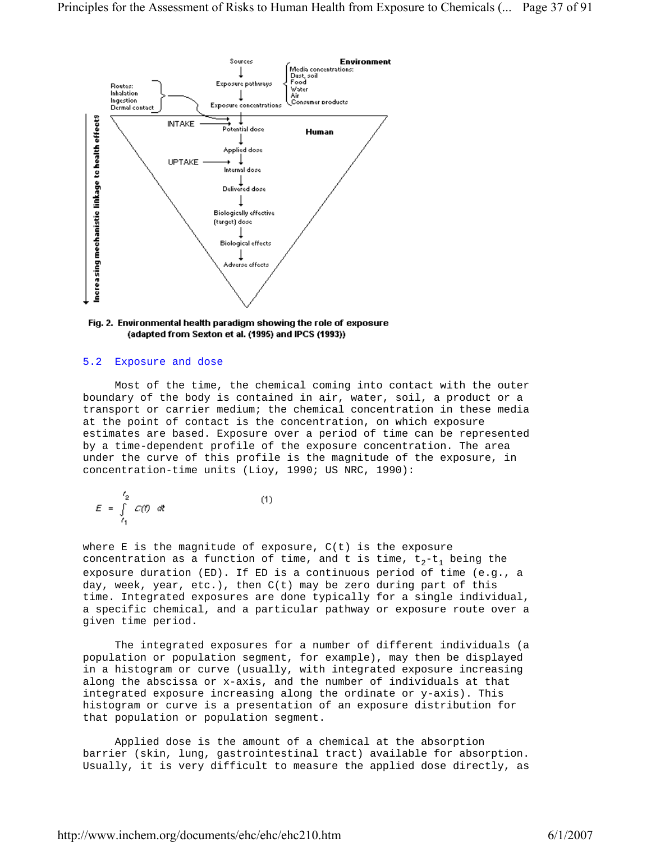

Fig. 2. Environmental health paradigm showing the role of exposure (adapted from Sexton et al. (1995) and IPCS (1993))

# 5.2 Exposure and dose

 Most of the time, the chemical coming into contact with the outer boundary of the body is contained in air, water, soil, a product or a transport or carrier medium; the chemical concentration in these media at the point of contact is the concentration, on which exposure estimates are based. Exposure over a period of time can be represented by a time-dependent profile of the exposure concentration. The area under the curve of this profile is the magnitude of the exposure, in concentration-time units (Lioy, 1990; US NRC, 1990):

$$
E = \int_{t_1}^{t_2} C(t) dt
$$
 (1)

where E is the magnitude of exposure,  $C(t)$  is the exposure concentration as a function of time, and t is time,  $t_2-t_1$  being the exposure duration (ED). If ED is a continuous period of time (e.g., a day, week, year, etc.), then C(t) may be zero during part of this time. Integrated exposures are done typically for a single individual, a specific chemical, and a particular pathway or exposure route over a given time period.

 The integrated exposures for a number of different individuals (a population or population segment, for example), may then be displayed in a histogram or curve (usually, with integrated exposure increasing along the abscissa or x-axis, and the number of individuals at that integrated exposure increasing along the ordinate or y-axis). This histogram or curve is a presentation of an exposure distribution for that population or population segment.

 Applied dose is the amount of a chemical at the absorption barrier (skin, lung, gastrointestinal tract) available for absorption. Usually, it is very difficult to measure the applied dose directly, as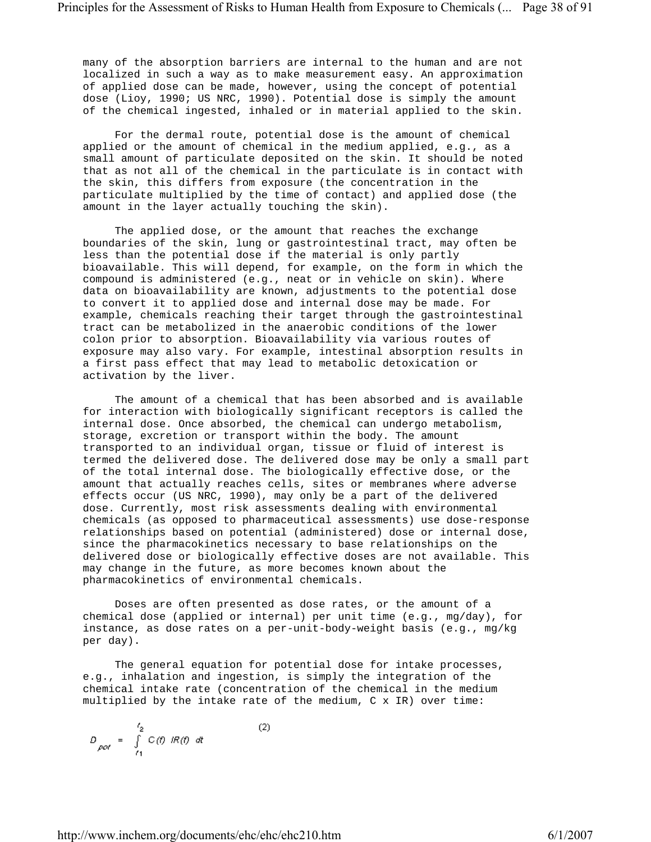many of the absorption barriers are internal to the human and are not localized in such a way as to make measurement easy. An approximation of applied dose can be made, however, using the concept of potential dose (Lioy, 1990; US NRC, 1990). Potential dose is simply the amount of the chemical ingested, inhaled or in material applied to the skin.

 For the dermal route, potential dose is the amount of chemical applied or the amount of chemical in the medium applied, e.g., as a small amount of particulate deposited on the skin. It should be noted that as not all of the chemical in the particulate is in contact with the skin, this differs from exposure (the concentration in the particulate multiplied by the time of contact) and applied dose (the amount in the layer actually touching the skin).

 The applied dose, or the amount that reaches the exchange boundaries of the skin, lung or gastrointestinal tract, may often be less than the potential dose if the material is only partly bioavailable. This will depend, for example, on the form in which the compound is administered (e.g., neat or in vehicle on skin). Where data on bioavailability are known, adjustments to the potential dose to convert it to applied dose and internal dose may be made. For example, chemicals reaching their target through the gastrointestinal tract can be metabolized in the anaerobic conditions of the lower colon prior to absorption. Bioavailability via various routes of exposure may also vary. For example, intestinal absorption results in a first pass effect that may lead to metabolic detoxication or activation by the liver.

 The amount of a chemical that has been absorbed and is available for interaction with biologically significant receptors is called the internal dose. Once absorbed, the chemical can undergo metabolism, storage, excretion or transport within the body. The amount transported to an individual organ, tissue or fluid of interest is termed the delivered dose. The delivered dose may be only a small part of the total internal dose. The biologically effective dose, or the amount that actually reaches cells, sites or membranes where adverse effects occur (US NRC, 1990), may only be a part of the delivered dose. Currently, most risk assessments dealing with environmental chemicals (as opposed to pharmaceutical assessments) use dose-response relationships based on potential (administered) dose or internal dose, since the pharmacokinetics necessary to base relationships on the delivered dose or biologically effective doses are not available. This may change in the future, as more becomes known about the pharmacokinetics of environmental chemicals.

 Doses are often presented as dose rates, or the amount of a chemical dose (applied or internal) per unit time (e.g., mg/day), for instance, as dose rates on a per-unit-body-weight basis (e.g., mg/kg per day).

 The general equation for potential dose for intake processes, e.g., inhalation and ingestion, is simply the integration of the chemical intake rate (concentration of the chemical in the medium multiplied by the intake rate of the medium, C x IR) over time:

$$
D_{pot} = \int_{\ell_1}^{\ell_2} C(\ell) \, iR(\ell) \, dt \tag{2}
$$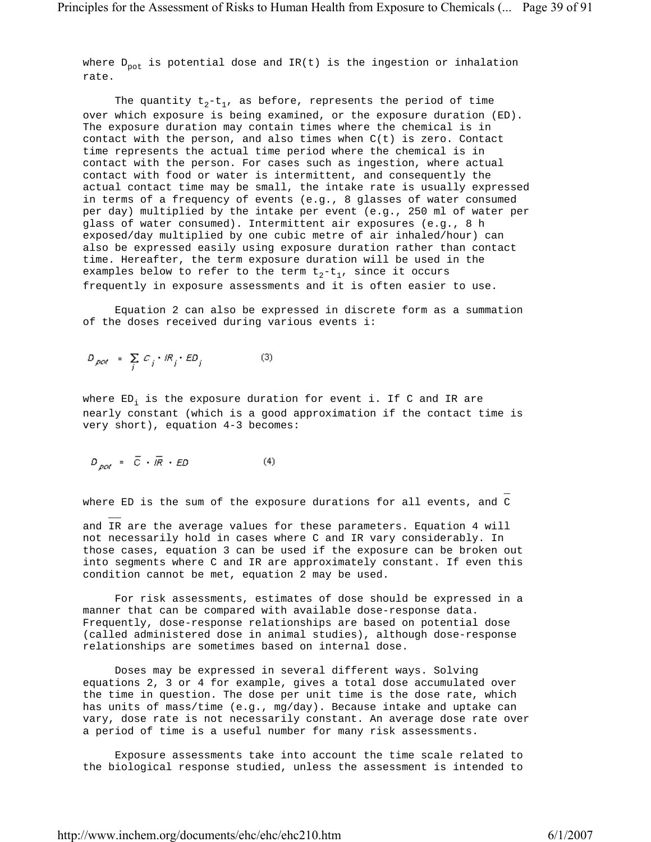where  $D_{pot}$  is potential dose and IR(t) is the ingestion or inhalation rate.

The quantity  $t_2-t_1$ , as before, represents the period of time over which exposure is being examined, or the exposure duration (ED). The exposure duration may contain times where the chemical is in contact with the person, and also times when C(t) is zero. Contact time represents the actual time period where the chemical is in contact with the person. For cases such as ingestion, where actual contact with food or water is intermittent, and consequently the actual contact time may be small, the intake rate is usually expressed in terms of a frequency of events (e.g., 8 glasses of water consumed per day) multiplied by the intake per event (e.g., 250 ml of water per glass of water consumed). Intermittent air exposures (e.g., 8 h exposed/day multiplied by one cubic metre of air inhaled/hour) can also be expressed easily using exposure duration rather than contact time. Hereafter, the term exposure duration will be used in the examples below to refer to the term  $t_2-t_1$ , since it occurs frequently in exposure assessments and it is often easier to use.

 Equation 2 can also be expressed in discrete form as a summation of the doses received during various events i:

$$
D_{pot} = \sum_{j} C_j \cdot iR_j \cdot ED_j \tag{3}
$$

where ED<sub>i</sub> is the exposure duration for event i. If C and IR are nearly constant (which is a good approximation if the contact time is very short), equation 4-3 becomes:

$$
D_{pot} = \overline{C} \cdot \overline{R} \cdot ED \tag{4}
$$

 $\mathcal{L}=\mathcal{L}=\mathcal{L}$ 

where ED is the sum of the exposure durations for all events, and C

 $\mathcal{L}=\mathcal{L}=\mathcal{L}=\mathcal{L}=\mathcal{L}=\mathcal{L}=\mathcal{L}=\mathcal{L}=\mathcal{L}=\mathcal{L}=\mathcal{L}=\mathcal{L}=\mathcal{L}=\mathcal{L}=\mathcal{L}=\mathcal{L}=\mathcal{L}=\mathcal{L}=\mathcal{L}=\mathcal{L}=\mathcal{L}=\mathcal{L}=\mathcal{L}=\mathcal{L}=\mathcal{L}=\mathcal{L}=\mathcal{L}=\mathcal{L}=\mathcal{L}=\mathcal{L}=\mathcal{L}=\mathcal{L}=\mathcal{L}=\mathcal{L}=\mathcal{L}=\mathcal{L}=\mathcal{$ 

 and IR are the average values for these parameters. Equation 4 will not necessarily hold in cases where C and IR vary considerably. In those cases, equation 3 can be used if the exposure can be broken out into segments where C and IR are approximately constant. If even this condition cannot be met, equation 2 may be used.

 For risk assessments, estimates of dose should be expressed in a manner that can be compared with available dose-response data. Frequently, dose-response relationships are based on potential dose (called administered dose in animal studies), although dose-response relationships are sometimes based on internal dose.

 Doses may be expressed in several different ways. Solving equations 2, 3 or 4 for example, gives a total dose accumulated over the time in question. The dose per unit time is the dose rate, which has units of mass/time (e.g., mg/day). Because intake and uptake can vary, dose rate is not necessarily constant. An average dose rate over a period of time is a useful number for many risk assessments.

 Exposure assessments take into account the time scale related to the biological response studied, unless the assessment is intended to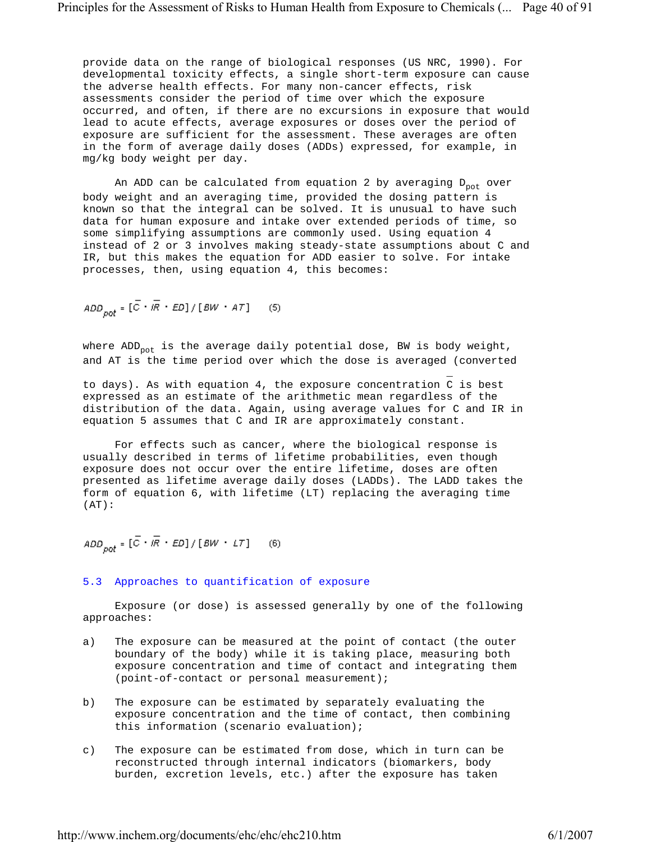provide data on the range of biological responses (US NRC, 1990). For developmental toxicity effects, a single short-term exposure can cause the adverse health effects. For many non-cancer effects, risk assessments consider the period of time over which the exposure occurred, and often, if there are no excursions in exposure that would lead to acute effects, average exposures or doses over the period of exposure are sufficient for the assessment. These averages are often in the form of average daily doses (ADDs) expressed, for example, in mg/kg body weight per day.

An ADD can be calculated from equation 2 by averaging  $D_{pot}$  over body weight and an averaging time, provided the dosing pattern is known so that the integral can be solved. It is unusual to have such data for human exposure and intake over extended periods of time, so some simplifying assumptions are commonly used. Using equation 4 instead of 2 or 3 involves making steady-state assumptions about C and IR, but this makes the equation for ADD easier to solve. For intake processes, then, using equation 4, this becomes:

$$
ADD_{pot} = [\overline{C} \cdot \overline{IR} \cdot ED]/[BW \cdot AT] \qquad (5)
$$

where  $ADD_{pot}$  is the average daily potential dose, BW is body weight, and AT is the time period over which the dose is averaged (converted

\_

 to days). As with equation 4, the exposure concentration C is best expressed as an estimate of the arithmetic mean regardless of the distribution of the data. Again, using average values for C and IR in equation 5 assumes that C and IR are approximately constant.

 For effects such as cancer, where the biological response is usually described in terms of lifetime probabilities, even though exposure does not occur over the entire lifetime, doses are often presented as lifetime average daily doses (LADDs). The LADD takes the form of equation 6, with lifetime (LT) replacing the averaging time  $(AT):$ 

 $ADD_{\text{ant}} = [\overline{C} \cdot \overline{R} \cdot ED]/[BW \cdot LT]$  (6)

# 5.3 Approaches to quantification of exposure

 Exposure (or dose) is assessed generally by one of the following approaches:

- a) The exposure can be measured at the point of contact (the outer boundary of the body) while it is taking place, measuring both exposure concentration and time of contact and integrating them (point-of-contact or personal measurement);
- b) The exposure can be estimated by separately evaluating the exposure concentration and the time of contact, then combining this information (scenario evaluation);
- c) The exposure can be estimated from dose, which in turn can be reconstructed through internal indicators (biomarkers, body burden, excretion levels, etc.) after the exposure has taken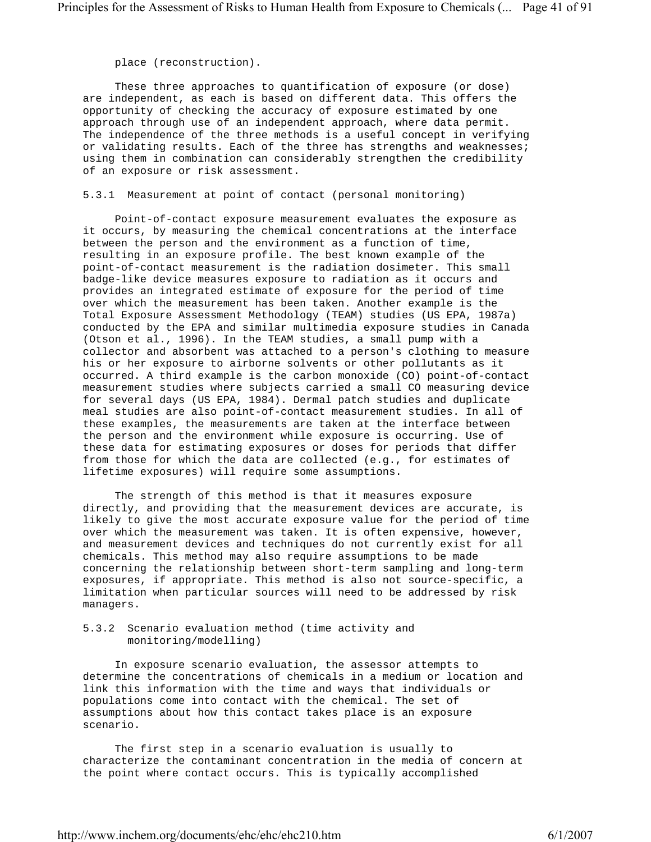place (reconstruction).

 These three approaches to quantification of exposure (or dose) are independent, as each is based on different data. This offers the opportunity of checking the accuracy of exposure estimated by one approach through use of an independent approach, where data permit. The independence of the three methods is a useful concept in verifying or validating results. Each of the three has strengths and weaknesses; using them in combination can considerably strengthen the credibility of an exposure or risk assessment.

# 5.3.1 Measurement at point of contact (personal monitoring)

 Point-of-contact exposure measurement evaluates the exposure as it occurs, by measuring the chemical concentrations at the interface between the person and the environment as a function of time, resulting in an exposure profile. The best known example of the point-of-contact measurement is the radiation dosimeter. This small badge-like device measures exposure to radiation as it occurs and provides an integrated estimate of exposure for the period of time over which the measurement has been taken. Another example is the Total Exposure Assessment Methodology (TEAM) studies (US EPA, 1987a) conducted by the EPA and similar multimedia exposure studies in Canada (Otson et al., 1996). In the TEAM studies, a small pump with a collector and absorbent was attached to a person's clothing to measure his or her exposure to airborne solvents or other pollutants as it occurred. A third example is the carbon monoxide (CO) point-of-contact measurement studies where subjects carried a small CO measuring device for several days (US EPA, 1984). Dermal patch studies and duplicate meal studies are also point-of-contact measurement studies. In all of these examples, the measurements are taken at the interface between the person and the environment while exposure is occurring. Use of these data for estimating exposures or doses for periods that differ from those for which the data are collected (e.g., for estimates of lifetime exposures) will require some assumptions.

 The strength of this method is that it measures exposure directly, and providing that the measurement devices are accurate, is likely to give the most accurate exposure value for the period of time over which the measurement was taken. It is often expensive, however, and measurement devices and techniques do not currently exist for all chemicals. This method may also require assumptions to be made concerning the relationship between short-term sampling and long-term exposures, if appropriate. This method is also not source-specific, a limitation when particular sources will need to be addressed by risk managers.

# 5.3.2 Scenario evaluation method (time activity and monitoring/modelling)

 In exposure scenario evaluation, the assessor attempts to determine the concentrations of chemicals in a medium or location and link this information with the time and ways that individuals or populations come into contact with the chemical. The set of assumptions about how this contact takes place is an exposure scenario.

 The first step in a scenario evaluation is usually to characterize the contaminant concentration in the media of concern at the point where contact occurs. This is typically accomplished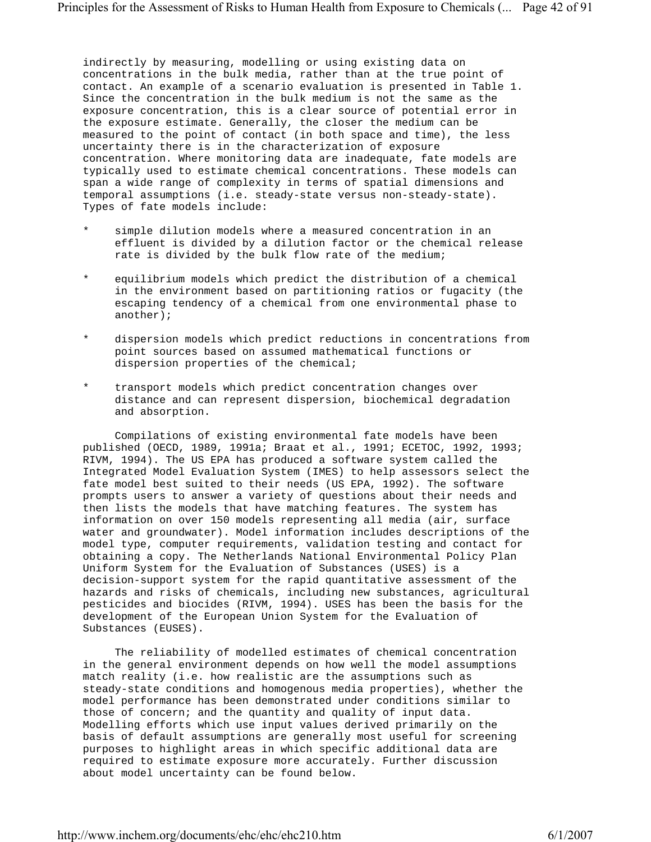indirectly by measuring, modelling or using existing data on concentrations in the bulk media, rather than at the true point of contact. An example of a scenario evaluation is presented in Table 1. Since the concentration in the bulk medium is not the same as the exposure concentration, this is a clear source of potential error in the exposure estimate. Generally, the closer the medium can be measured to the point of contact (in both space and time), the less uncertainty there is in the characterization of exposure concentration. Where monitoring data are inadequate, fate models are typically used to estimate chemical concentrations. These models can span a wide range of complexity in terms of spatial dimensions and temporal assumptions (i.e. steady-state versus non-steady-state). Types of fate models include:

- simple dilution models where a measured concentration in an effluent is divided by a dilution factor or the chemical release rate is divided by the bulk flow rate of the medium;
- equilibrium models which predict the distribution of a chemical in the environment based on partitioning ratios or fugacity (the escaping tendency of a chemical from one environmental phase to another);
- \* dispersion models which predict reductions in concentrations from point sources based on assumed mathematical functions or dispersion properties of the chemical;
- \* transport models which predict concentration changes over distance and can represent dispersion, biochemical degradation and absorption.

 Compilations of existing environmental fate models have been published (OECD, 1989, 1991a; Braat et al., 1991; ECETOC, 1992, 1993; RIVM, 1994). The US EPA has produced a software system called the Integrated Model Evaluation System (IMES) to help assessors select the fate model best suited to their needs (US EPA, 1992). The software prompts users to answer a variety of questions about their needs and then lists the models that have matching features. The system has information on over 150 models representing all media (air, surface water and groundwater). Model information includes descriptions of the model type, computer requirements, validation testing and contact for obtaining a copy. The Netherlands National Environmental Policy Plan Uniform System for the Evaluation of Substances (USES) is a decision-support system for the rapid quantitative assessment of the hazards and risks of chemicals, including new substances, agricultural pesticides and biocides (RIVM, 1994). USES has been the basis for the development of the European Union System for the Evaluation of Substances (EUSES).

 The reliability of modelled estimates of chemical concentration in the general environment depends on how well the model assumptions match reality (i.e. how realistic are the assumptions such as steady-state conditions and homogenous media properties), whether the model performance has been demonstrated under conditions similar to those of concern; and the quantity and quality of input data. Modelling efforts which use input values derived primarily on the basis of default assumptions are generally most useful for screening purposes to highlight areas in which specific additional data are required to estimate exposure more accurately. Further discussion about model uncertainty can be found below.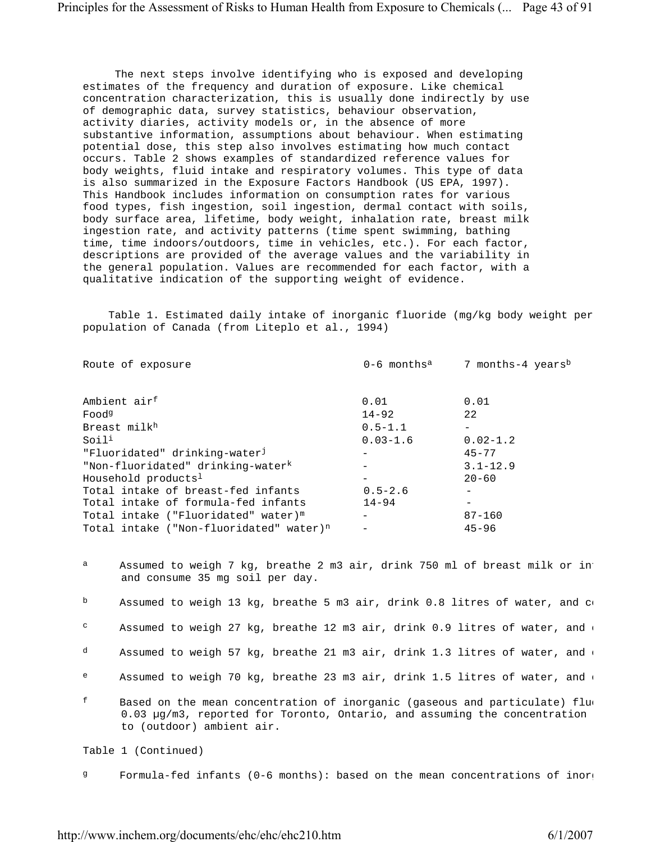The next steps involve identifying who is exposed and developing estimates of the frequency and duration of exposure. Like chemical concentration characterization, this is usually done indirectly by use of demographic data, survey statistics, behaviour observation, activity diaries, activity models or, in the absence of more substantive information, assumptions about behaviour. When estimating potential dose, this step also involves estimating how much contact occurs. Table 2 shows examples of standardized reference values for body weights, fluid intake and respiratory volumes. This type of data is also summarized in the Exposure Factors Handbook (US EPA, 1997). This Handbook includes information on consumption rates for various food types, fish ingestion, soil ingestion, dermal contact with soils, body surface area, lifetime, body weight, inhalation rate, breast milk ingestion rate, and activity patterns (time spent swimming, bathing time, time indoors/outdoors, time in vehicles, etc.). For each factor, descriptions are provided of the average values and the variability in the general population. Values are recommended for each factor, with a qualitative indication of the supporting weight of evidence.

 Table 1. Estimated daily intake of inorganic fluoride (mg/kg body weight per population of Canada (from Liteplo et al., 1994)

| Route of exposure                                   | 0-6 months <sup>a</sup> | 7 months-4 years <sup>b</sup> |  |
|-----------------------------------------------------|-------------------------|-------------------------------|--|
|                                                     |                         |                               |  |
| Ambient air <sup>f</sup>                            | 0.01                    | 0.01                          |  |
| Food <sup>g</sup>                                   | $14 - 92$               | 22                            |  |
| Breast milkh                                        | $0.5 - 1.1$             |                               |  |
| Soil <sup>i</sup>                                   | $0.03 - 1.6$            | $0.02 - 1.2$                  |  |
| "Fluoridated" drinking-water <sup>j</sup>           |                         | $45 - 77$                     |  |
| "Non-fluoridated" drinking-waterk                   |                         | $3.1 - 12.9$                  |  |
| Household products <sup>1</sup>                     |                         | $20 - 60$                     |  |
| Total intake of breast-fed infants                  | $0.5 - 2.6$             |                               |  |
| Total intake of formula-fed infants                 | $14 - 94$               |                               |  |
| Total intake ("Fluoridated" water) <sup>m</sup>     |                         | $87 - 160$                    |  |
| Total intake ("Non-fluoridated" water) <sup>n</sup> |                         | $45 - 96$                     |  |

a Assumed to weigh 7 kg, breathe 2 m3 air, drink 750 ml of breast milk or in: and consume 35 mg soil per day.

b Assumed to weigh 13 kg, breathe 5 m3 air, drink 0.8 litres of water, and  $c_0$ 

<sup>c</sup> Assumed to weigh 27 kg, breathe 12 m3 air, drink 0.9 litres of water, and  $\epsilon$ 

- $d$  Assumed to weigh 57 kg, breathe 21 m3 air, drink 1.3 litres of water, and  $d$
- e Assumed to weigh 70 kg, breathe 23 m3 air, drink 1.5 litres of water, and c
- $f$  Based on the mean concentration of inorganic (gaseous and particulate) fluo 0.03 µg/m3, reported for Toronto, Ontario, and assuming the concentration to (outdoor) ambient air.

Table 1 (Continued)

Formula-fed infants (0-6 months): based on the mean concentrations of inorg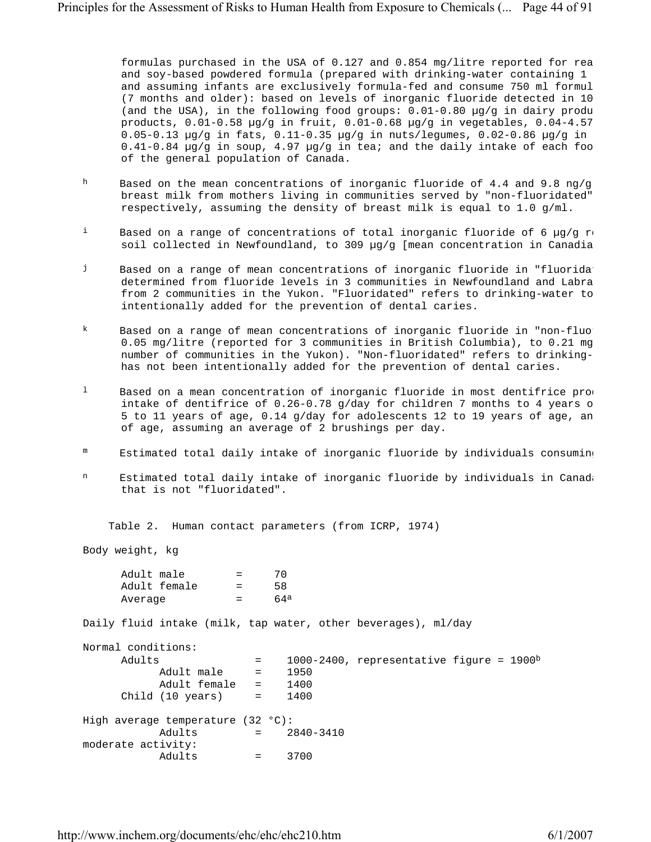formulas purchased in the USA of 0.127 and 0.854 mg/litre reported for rea and soy-based powdered formula (prepared with drinking-water containing 1 and assuming infants are exclusively formula-fed and consume 750 ml formul (7 months and older): based on levels of inorganic fluoride detected in 10 (and the USA), in the following food groups: 0.01-0.80 µg/g in dairy produ products, 0.01-0.58 µg/g in fruit, 0.01-0.68 µg/g in vegetables, 0.04-4.57 0.05-0.13  $\mu$ g/g in fats, 0.11-0.35  $\mu$ g/g in nuts/legumes, 0.02-0.86  $\mu$ g/g in  $0.41-0.84$  µg/g in soup,  $4.97$  µg/g in tea; and the daily intake of each foo of the general population of Canada.

- h Based on the mean concentrations of inorganic fluoride of 4.4 and 9.8 ng/g breast milk from mothers living in communities served by "non-fluoridated" respectively, assuming the density of breast milk is equal to 1.0 g/ml.
- <sup>i</sup> Based on a range of concentrations of total inorganic fluoride of 6  $\mu q/q$  re soil collected in Newfoundland, to 309 µg/g [mean concentration in Canadia
- j Based on a range of mean concentrations of inorganic fluoride in "fluoridat determined from fluoride levels in 3 communities in Newfoundland and Labra from 2 communities in the Yukon. "Fluoridated" refers to drinking-water to intentionally added for the prevention of dental caries.
- $k$  Based on a range of mean concentrations of inorganic fluoride in "non-fluor 0.05 mg/litre (reported for 3 communities in British Columbia), to 0.21 mg number of communities in the Yukon). "Non-fluoridated" refers to drinking has not been intentionally added for the prevention of dental caries.
- $l$  Based on a mean concentration of inorganic fluoride in most dentifrice prod intake of dentifrice of 0.26-0.78 g/day for children 7 months to 4 years o 5 to 11 years of age, 0.14 g/day for adolescents 12 to 19 years of age, an of age, assuming an average of 2 brushings per day.
- $m$  Estimated total daily intake of inorganic fluoride by individuals consuming
- n Estimated total daily intake of inorganic fluoride by individuals in Canada that is not "fluoridated".

Table 2. Human contact parameters (from ICRP, 1974)

Body weight, kg

|  | Average | Adult male =<br>Adult female =                             | $\mathcal{L} = \mathcal{L} \mathcal{L}$ |                   | 70<br>58<br>64a |                                                               |  |
|--|---------|------------------------------------------------------------|-----------------------------------------|-------------------|-----------------|---------------------------------------------------------------|--|
|  |         |                                                            |                                         |                   |                 | Daily fluid intake (milk, tap water, other beverages), ml/day |  |
|  |         | Normal conditions:                                         |                                         |                   |                 |                                                               |  |
|  | Adults  |                                                            |                                         | $\equiv$ $\equiv$ |                 | 1000-2400, representative figure = $1900b$                    |  |
|  |         | Adult male =                                               |                                         |                   | 1950            |                                                               |  |
|  |         | Adult female $= 1400$                                      |                                         |                   |                 |                                                               |  |
|  |         | Child $(10 \text{ years})$ = 1400                          |                                         |                   |                 |                                                               |  |
|  |         | High average temperature $(32 \text{ }^{\circ}\text{C})$ : |                                         |                   |                 |                                                               |  |
|  |         | Adults                                                     |                                         |                   | $= 2840 - 3410$ |                                                               |  |
|  |         | moderate activity:                                         |                                         |                   |                 |                                                               |  |
|  |         | Adults                                                     |                                         | $=$               | 3700            |                                                               |  |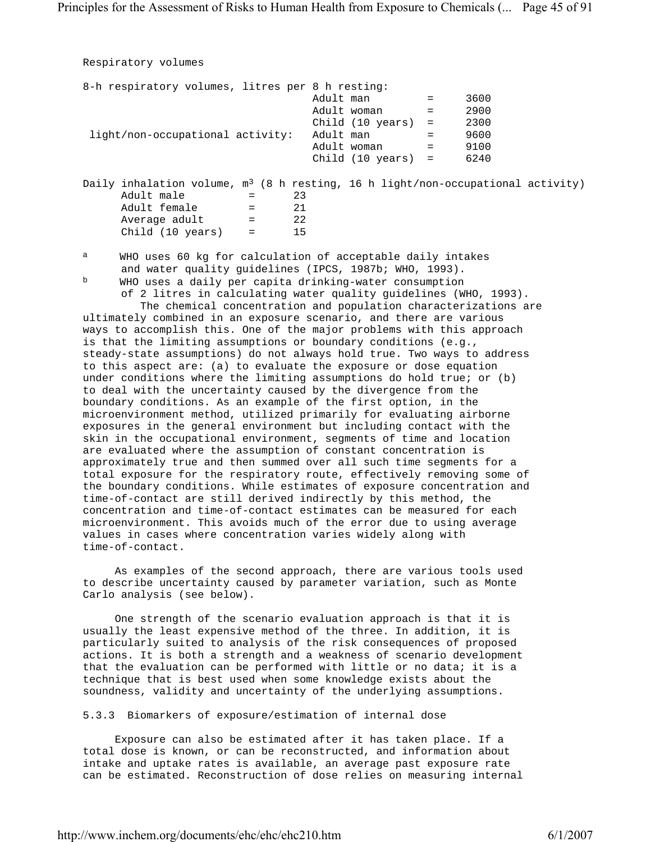Respiratory volumes 8-h respiratory volumes, litres per 8 h resting:  $\text{Adult man}$  = 3600 Adult woman  $=$  2900 Child (10 years) = 2300 light/non-occupational activity: Adult man = 9600 Adult woman  $=$  9100 Child (10 years) = 6240 Daily inhalation volume,  $m^3$  (8 h resting, 16 h light/non-occupational activity) Adult male  $=$  23  $\text{Adult female}$  = 21<br>Average adult = 22 Average adult = Child (10 years) = 15

a WHO uses 60 kg for calculation of acceptable daily intakes and water quality guidelines (IPCS, 1987b; WHO, 1993).

WHO uses a daily per capita drinking-water consumption of 2 litres in calculating water quality guidelines (WHO, 1993).

 The chemical concentration and population characterizations are ultimately combined in an exposure scenario, and there are various ways to accomplish this. One of the major problems with this approach is that the limiting assumptions or boundary conditions (e.g., steady-state assumptions) do not always hold true. Two ways to address to this aspect are: (a) to evaluate the exposure or dose equation under conditions where the limiting assumptions do hold true; or (b) to deal with the uncertainty caused by the divergence from the boundary conditions. As an example of the first option, in the microenvironment method, utilized primarily for evaluating airborne exposures in the general environment but including contact with the skin in the occupational environment, segments of time and location are evaluated where the assumption of constant concentration is approximately true and then summed over all such time segments for a total exposure for the respiratory route, effectively removing some of the boundary conditions. While estimates of exposure concentration and time-of-contact are still derived indirectly by this method, the concentration and time-of-contact estimates can be measured for each microenvironment. This avoids much of the error due to using average values in cases where concentration varies widely along with time-of-contact.

 As examples of the second approach, there are various tools used to describe uncertainty caused by parameter variation, such as Monte Carlo analysis (see below).

 One strength of the scenario evaluation approach is that it is usually the least expensive method of the three. In addition, it is particularly suited to analysis of the risk consequences of proposed actions. It is both a strength and a weakness of scenario development that the evaluation can be performed with little or no data; it is a technique that is best used when some knowledge exists about the soundness, validity and uncertainty of the underlying assumptions.

5.3.3 Biomarkers of exposure/estimation of internal dose

 Exposure can also be estimated after it has taken place. If a total dose is known, or can be reconstructed, and information about intake and uptake rates is available, an average past exposure rate can be estimated. Reconstruction of dose relies on measuring internal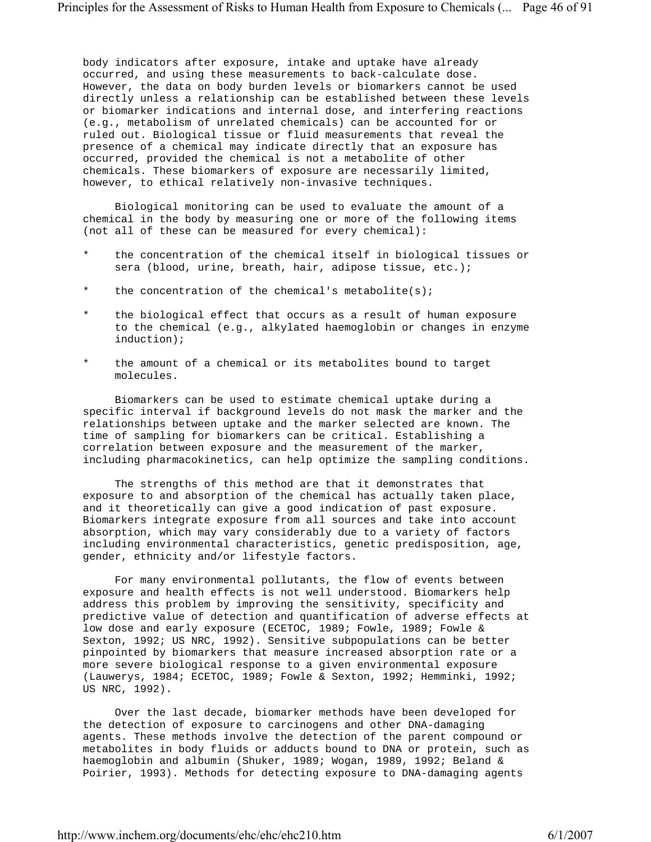body indicators after exposure, intake and uptake have already occurred, and using these measurements to back-calculate dose. However, the data on body burden levels or biomarkers cannot be used directly unless a relationship can be established between these levels or biomarker indications and internal dose, and interfering reactions (e.g., metabolism of unrelated chemicals) can be accounted for or ruled out. Biological tissue or fluid measurements that reveal the presence of a chemical may indicate directly that an exposure has occurred, provided the chemical is not a metabolite of other chemicals. These biomarkers of exposure are necessarily limited, however, to ethical relatively non-invasive techniques.

 Biological monitoring can be used to evaluate the amount of a chemical in the body by measuring one or more of the following items (not all of these can be measured for every chemical):

- \* the concentration of the chemical itself in biological tissues or sera (blood, urine, breath, hair, adipose tissue, etc.);
- \* the concentration of the chemical's metabolite(s);
- the biological effect that occurs as a result of human exposure to the chemical (e.g., alkylated haemoglobin or changes in enzyme induction);
- the amount of a chemical or its metabolites bound to target molecules.

 Biomarkers can be used to estimate chemical uptake during a specific interval if background levels do not mask the marker and the relationships between uptake and the marker selected are known. The time of sampling for biomarkers can be critical. Establishing a correlation between exposure and the measurement of the marker, including pharmacokinetics, can help optimize the sampling conditions.

 The strengths of this method are that it demonstrates that exposure to and absorption of the chemical has actually taken place, and it theoretically can give a good indication of past exposure. Biomarkers integrate exposure from all sources and take into account absorption, which may vary considerably due to a variety of factors including environmental characteristics, genetic predisposition, age, gender, ethnicity and/or lifestyle factors.

 For many environmental pollutants, the flow of events between exposure and health effects is not well understood. Biomarkers help address this problem by improving the sensitivity, specificity and predictive value of detection and quantification of adverse effects at low dose and early exposure (ECETOC, 1989; Fowle, 1989; Fowle & Sexton, 1992; US NRC, 1992). Sensitive subpopulations can be better pinpointed by biomarkers that measure increased absorption rate or a more severe biological response to a given environmental exposure (Lauwerys, 1984; ECETOC, 1989; Fowle & Sexton, 1992; Hemminki, 1992; US NRC, 1992).

 Over the last decade, biomarker methods have been developed for the detection of exposure to carcinogens and other DNA-damaging agents. These methods involve the detection of the parent compound or metabolites in body fluids or adducts bound to DNA or protein, such as haemoglobin and albumin (Shuker, 1989; Wogan, 1989, 1992; Beland & Poirier, 1993). Methods for detecting exposure to DNA-damaging agents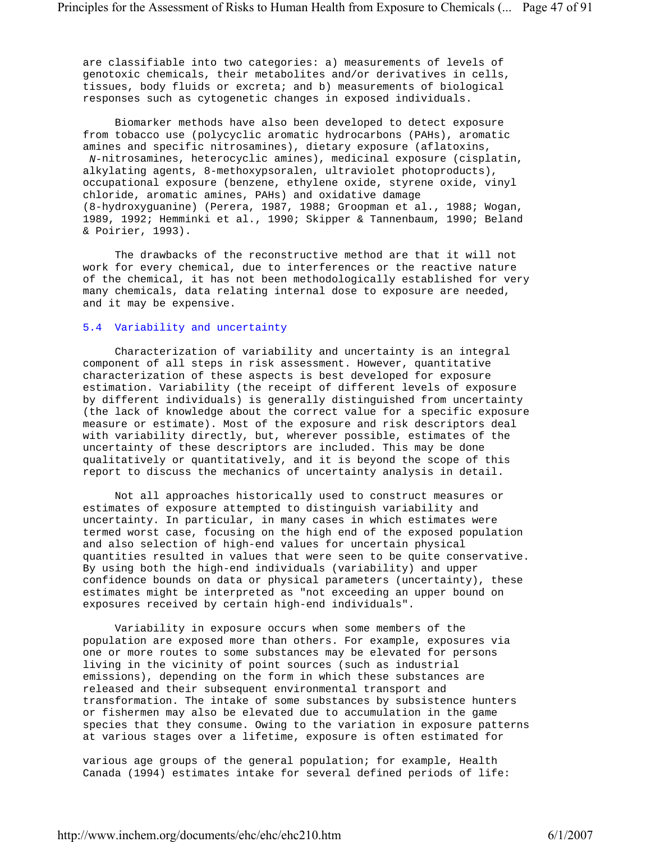are classifiable into two categories: a) measurements of levels of genotoxic chemicals, their metabolites and/or derivatives in cells, tissues, body fluids or excreta; and b) measurements of biological responses such as cytogenetic changes in exposed individuals.

 Biomarker methods have also been developed to detect exposure from tobacco use (polycyclic aromatic hydrocarbons (PAHs), aromatic amines and specific nitrosamines), dietary exposure (aflatoxins, *N-*nitrosamines, heterocyclic amines), medicinal exposure (cisplatin, alkylating agents, 8-methoxypsoralen, ultraviolet photoproducts), occupational exposure (benzene, ethylene oxide, styrene oxide, vinyl chloride, aromatic amines, PAHs) and oxidative damage (8-hydroxyguanine) (Perera, 1987, 1988; Groopman et al., 1988; Wogan, 1989, 1992; Hemminki et al., 1990; Skipper & Tannenbaum, 1990; Beland & Poirier, 1993).

 The drawbacks of the reconstructive method are that it will not work for every chemical, due to interferences or the reactive nature of the chemical, it has not been methodologically established for very many chemicals, data relating internal dose to exposure are needed, and it may be expensive.

# 5.4 Variability and uncertainty

 Characterization of variability and uncertainty is an integral component of all steps in risk assessment. However, quantitative characterization of these aspects is best developed for exposure estimation. Variability (the receipt of different levels of exposure by different individuals) is generally distinguished from uncertainty (the lack of knowledge about the correct value for a specific exposure measure or estimate). Most of the exposure and risk descriptors deal with variability directly, but, wherever possible, estimates of the uncertainty of these descriptors are included. This may be done qualitatively or quantitatively, and it is beyond the scope of this report to discuss the mechanics of uncertainty analysis in detail.

 Not all approaches historically used to construct measures or estimates of exposure attempted to distinguish variability and uncertainty. In particular, in many cases in which estimates were termed worst case, focusing on the high end of the exposed population and also selection of high-end values for uncertain physical quantities resulted in values that were seen to be quite conservative. By using both the high-end individuals (variability) and upper confidence bounds on data or physical parameters (uncertainty), these estimates might be interpreted as "not exceeding an upper bound on exposures received by certain high-end individuals".

 Variability in exposure occurs when some members of the population are exposed more than others. For example, exposures via one or more routes to some substances may be elevated for persons living in the vicinity of point sources (such as industrial emissions), depending on the form in which these substances are released and their subsequent environmental transport and transformation. The intake of some substances by subsistence hunters or fishermen may also be elevated due to accumulation in the game species that they consume. Owing to the variation in exposure patterns at various stages over a lifetime, exposure is often estimated for

 various age groups of the general population; for example, Health Canada (1994) estimates intake for several defined periods of life: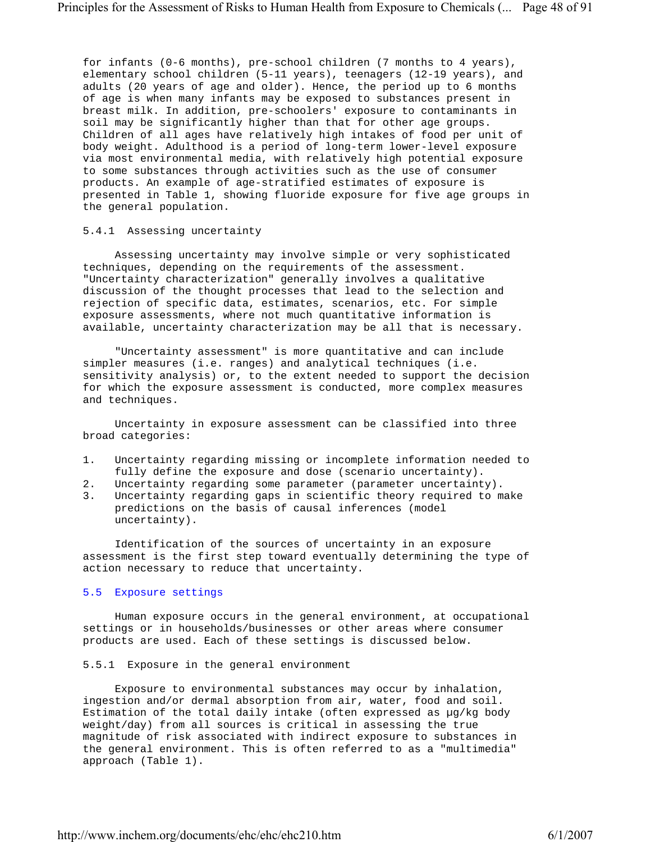for infants (0-6 months), pre-school children (7 months to 4 years), elementary school children (5-11 years), teenagers (12-19 years), and adults (20 years of age and older). Hence, the period up to 6 months of age is when many infants may be exposed to substances present in breast milk. In addition, pre-schoolers' exposure to contaminants in soil may be significantly higher than that for other age groups. Children of all ages have relatively high intakes of food per unit of body weight. Adulthood is a period of long-term lower-level exposure via most environmental media, with relatively high potential exposure to some substances through activities such as the use of consumer products. An example of age-stratified estimates of exposure is presented in Table 1, showing fluoride exposure for five age groups in the general population.

# 5.4.1 Assessing uncertainty

 Assessing uncertainty may involve simple or very sophisticated techniques, depending on the requirements of the assessment. "Uncertainty characterization" generally involves a qualitative discussion of the thought processes that lead to the selection and rejection of specific data, estimates, scenarios, etc. For simple exposure assessments, where not much quantitative information is available, uncertainty characterization may be all that is necessary.

 "Uncertainty assessment" is more quantitative and can include simpler measures (i.e. ranges) and analytical techniques (i.e. sensitivity analysis) or, to the extent needed to support the decision for which the exposure assessment is conducted, more complex measures and techniques.

 Uncertainty in exposure assessment can be classified into three broad categories:

- 1. Uncertainty regarding missing or incomplete information needed to fully define the exposure and dose (scenario uncertainty).
- 2. Uncertainty regarding some parameter (parameter uncertainty).
- 3. Uncertainty regarding gaps in scientific theory required to make predictions on the basis of causal inferences (model uncertainty).

 Identification of the sources of uncertainty in an exposure assessment is the first step toward eventually determining the type of action necessary to reduce that uncertainty.

### 5.5 Exposure settings

 Human exposure occurs in the general environment, at occupational settings or in households/businesses or other areas where consumer products are used. Each of these settings is discussed below.

# 5.5.1 Exposure in the general environment

 Exposure to environmental substances may occur by inhalation, ingestion and/or dermal absorption from air, water, food and soil. Estimation of the total daily intake (often expressed as µg/kg body weight/day) from all sources is critical in assessing the true magnitude of risk associated with indirect exposure to substances in the general environment. This is often referred to as a "multimedia" approach (Table 1).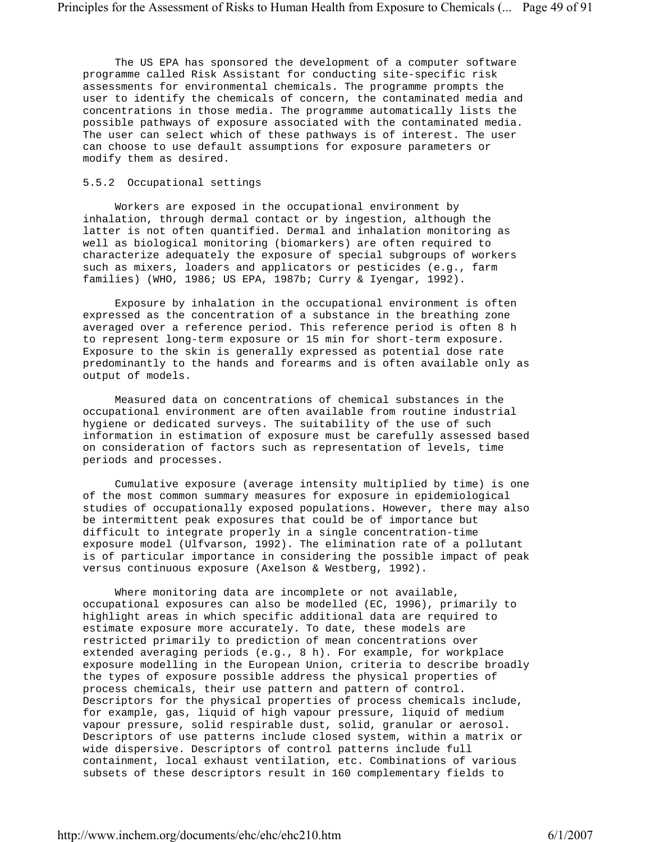The US EPA has sponsored the development of a computer software programme called Risk Assistant for conducting site-specific risk assessments for environmental chemicals. The programme prompts the user to identify the chemicals of concern, the contaminated media and concentrations in those media. The programme automatically lists the possible pathways of exposure associated with the contaminated media. The user can select which of these pathways is of interest. The user can choose to use default assumptions for exposure parameters or modify them as desired.

# 5.5.2 Occupational settings

 Workers are exposed in the occupational environment by inhalation, through dermal contact or by ingestion, although the latter is not often quantified. Dermal and inhalation monitoring as well as biological monitoring (biomarkers) are often required to characterize adequately the exposure of special subgroups of workers such as mixers, loaders and applicators or pesticides (e.g., farm families) (WHO, 1986; US EPA, 1987b; Curry & Iyengar, 1992).

 Exposure by inhalation in the occupational environment is often expressed as the concentration of a substance in the breathing zone averaged over a reference period. This reference period is often 8 h to represent long-term exposure or 15 min for short-term exposure. Exposure to the skin is generally expressed as potential dose rate predominantly to the hands and forearms and is often available only as output of models.

 Measured data on concentrations of chemical substances in the occupational environment are often available from routine industrial hygiene or dedicated surveys. The suitability of the use of such information in estimation of exposure must be carefully assessed based on consideration of factors such as representation of levels, time periods and processes.

 Cumulative exposure (average intensity multiplied by time) is one of the most common summary measures for exposure in epidemiological studies of occupationally exposed populations. However, there may also be intermittent peak exposures that could be of importance but difficult to integrate properly in a single concentration-time exposure model (Ulfvarson, 1992). The elimination rate of a pollutant is of particular importance in considering the possible impact of peak versus continuous exposure (Axelson & Westberg, 1992).

 Where monitoring data are incomplete or not available, occupational exposures can also be modelled (EC, 1996), primarily to highlight areas in which specific additional data are required to estimate exposure more accurately. To date, these models are restricted primarily to prediction of mean concentrations over extended averaging periods (e.g., 8 h). For example, for workplace exposure modelling in the European Union, criteria to describe broadly the types of exposure possible address the physical properties of process chemicals, their use pattern and pattern of control. Descriptors for the physical properties of process chemicals include, for example, gas, liquid of high vapour pressure, liquid of medium vapour pressure, solid respirable dust, solid, granular or aerosol. Descriptors of use patterns include closed system, within a matrix or wide dispersive. Descriptors of control patterns include full containment, local exhaust ventilation, etc. Combinations of various subsets of these descriptors result in 160 complementary fields to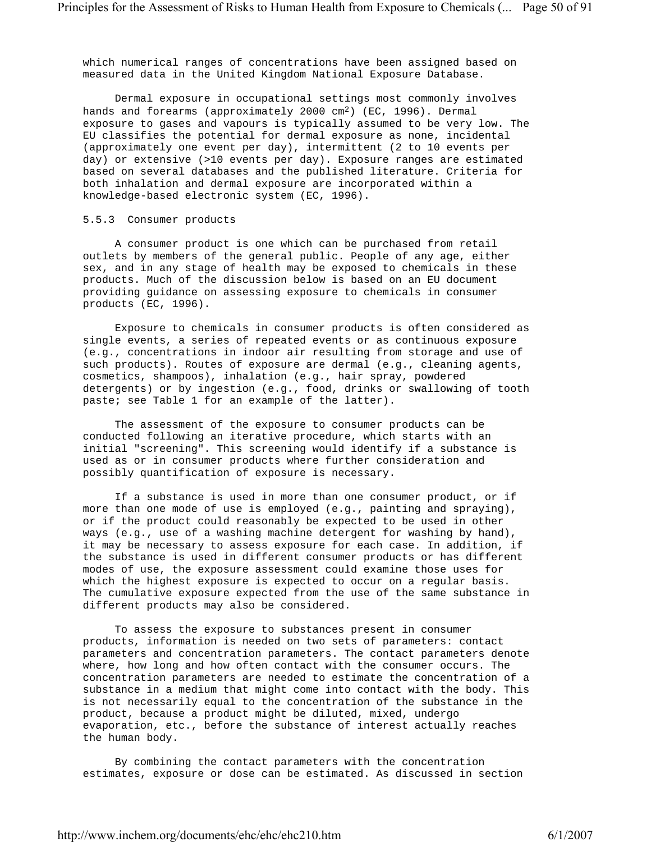which numerical ranges of concentrations have been assigned based on measured data in the United Kingdom National Exposure Database.

 Dermal exposure in occupational settings most commonly involves hands and forearms (approximately 2000 cm<sup>2</sup>) (EC, 1996). Dermal exposure to gases and vapours is typically assumed to be very low. The EU classifies the potential for dermal exposure as none, incidental (approximately one event per day), intermittent (2 to 10 events per day) or extensive (>10 events per day). Exposure ranges are estimated based on several databases and the published literature. Criteria for both inhalation and dermal exposure are incorporated within a knowledge-based electronic system (EC, 1996).

# 5.5.3 Consumer products

 A consumer product is one which can be purchased from retail outlets by members of the general public. People of any age, either sex, and in any stage of health may be exposed to chemicals in these products. Much of the discussion below is based on an EU document providing guidance on assessing exposure to chemicals in consumer products (EC, 1996).

 Exposure to chemicals in consumer products is often considered as single events, a series of repeated events or as continuous exposure (e.g., concentrations in indoor air resulting from storage and use of such products). Routes of exposure are dermal (e.g., cleaning agents, cosmetics, shampoos), inhalation (e.g., hair spray, powdered detergents) or by ingestion (e.g., food, drinks or swallowing of tooth paste; see Table 1 for an example of the latter).

 The assessment of the exposure to consumer products can be conducted following an iterative procedure, which starts with an initial "screening". This screening would identify if a substance is used as or in consumer products where further consideration and possibly quantification of exposure is necessary.

 If a substance is used in more than one consumer product, or if more than one mode of use is employed (e.g., painting and spraying), or if the product could reasonably be expected to be used in other ways (e.g., use of a washing machine detergent for washing by hand), it may be necessary to assess exposure for each case. In addition, if the substance is used in different consumer products or has different modes of use, the exposure assessment could examine those uses for which the highest exposure is expected to occur on a regular basis. The cumulative exposure expected from the use of the same substance in different products may also be considered.

 To assess the exposure to substances present in consumer products, information is needed on two sets of parameters: contact parameters and concentration parameters. The contact parameters denote where, how long and how often contact with the consumer occurs. The concentration parameters are needed to estimate the concentration of a substance in a medium that might come into contact with the body. This is not necessarily equal to the concentration of the substance in the product, because a product might be diluted, mixed, undergo evaporation, etc., before the substance of interest actually reaches the human body.

 By combining the contact parameters with the concentration estimates, exposure or dose can be estimated. As discussed in section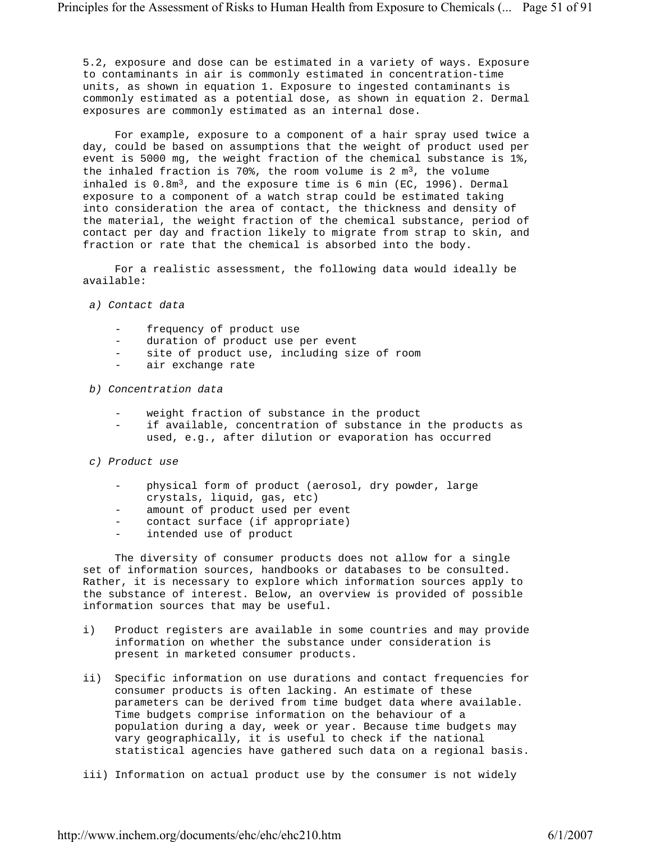5.2, exposure and dose can be estimated in a variety of ways. Exposure to contaminants in air is commonly estimated in concentration-time units, as shown in equation 1. Exposure to ingested contaminants is commonly estimated as a potential dose, as shown in equation 2. Dermal exposures are commonly estimated as an internal dose.

 For example, exposure to a component of a hair spray used twice a day, could be based on assumptions that the weight of product used per event is 5000 mg, the weight fraction of the chemical substance is 1%, the inhaled fraction is 70%, the room volume is 2  $m<sup>3</sup>$ , the volume inhaled is  $0.8m<sup>3</sup>$ , and the exposure time is 6 min (EC, 1996). Dermal exposure to a component of a watch strap could be estimated taking into consideration the area of contact, the thickness and density of the material, the weight fraction of the chemical substance, period of contact per day and fraction likely to migrate from strap to skin, and fraction or rate that the chemical is absorbed into the body.

 For a realistic assessment, the following data would ideally be available:

- *a) Contact data*
	- frequency of product use
	- duration of product use per event
	- site of product use, including size of room
	- air exchange rate

*b) Concentration data*

- weight fraction of substance in the product
- if available, concentration of substance in the products as used, e.g., after dilution or evaporation has occurred
- *c) Product use*
	- physical form of product (aerosol, dry powder, large crystals, liquid, gas, etc)
	- amount of product used per event
	- contact surface (if appropriate)
	- intended use of product

 The diversity of consumer products does not allow for a single set of information sources, handbooks or databases to be consulted. Rather, it is necessary to explore which information sources apply to the substance of interest. Below, an overview is provided of possible information sources that may be useful.

- i) Product registers are available in some countries and may provide information on whether the substance under consideration is present in marketed consumer products.
- ii) Specific information on use durations and contact frequencies for consumer products is often lacking. An estimate of these parameters can be derived from time budget data where available. Time budgets comprise information on the behaviour of a population during a day, week or year. Because time budgets may vary geographically, it is useful to check if the national statistical agencies have gathered such data on a regional basis.
- iii) Information on actual product use by the consumer is not widely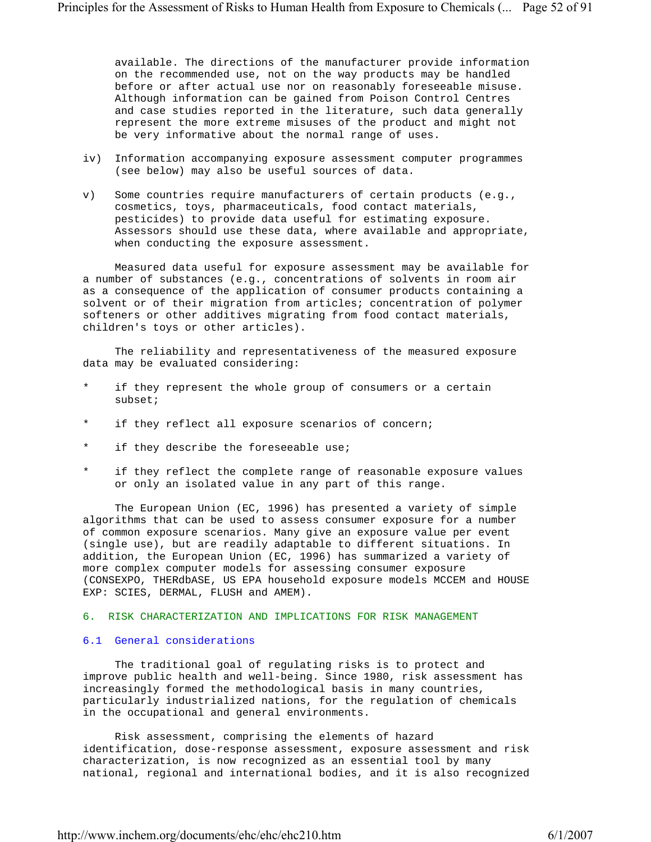available. The directions of the manufacturer provide information on the recommended use, not on the way products may be handled before or after actual use nor on reasonably foreseeable misuse. Although information can be gained from Poison Control Centres and case studies reported in the literature, such data generally represent the more extreme misuses of the product and might not be very informative about the normal range of uses.

- iv) Information accompanying exposure assessment computer programmes (see below) may also be useful sources of data.
- v) Some countries require manufacturers of certain products (e.g., cosmetics, toys, pharmaceuticals, food contact materials, pesticides) to provide data useful for estimating exposure. Assessors should use these data, where available and appropriate, when conducting the exposure assessment.

 Measured data useful for exposure assessment may be available for a number of substances (e.g., concentrations of solvents in room air as a consequence of the application of consumer products containing a solvent or of their migration from articles; concentration of polymer softeners or other additives migrating from food contact materials, children's toys or other articles).

 The reliability and representativeness of the measured exposure data may be evaluated considering:

- if they represent the whole group of consumers or a certain subset;
- \* if they reflect all exposure scenarios of concern;
- \* if they describe the foreseeable use;
- \* if they reflect the complete range of reasonable exposure values or only an isolated value in any part of this range.

 The European Union (EC, 1996) has presented a variety of simple algorithms that can be used to assess consumer exposure for a number of common exposure scenarios. Many give an exposure value per event (single use), but are readily adaptable to different situations. In addition, the European Union (EC, 1996) has summarized a variety of more complex computer models for assessing consumer exposure (CONSEXPO, THERdbASE, US EPA household exposure models MCCEM and HOUSE EXP: SCIES, DERMAL, FLUSH and AMEM).

#### 6. RISK CHARACTERIZATION AND IMPLICATIONS FOR RISK MANAGEMENT

# 6.1 General considerations

 The traditional goal of regulating risks is to protect and improve public health and well-being. Since 1980, risk assessment has increasingly formed the methodological basis in many countries, particularly industrialized nations, for the regulation of chemicals in the occupational and general environments.

 Risk assessment, comprising the elements of hazard identification, dose-response assessment, exposure assessment and risk characterization, is now recognized as an essential tool by many national, regional and international bodies, and it is also recognized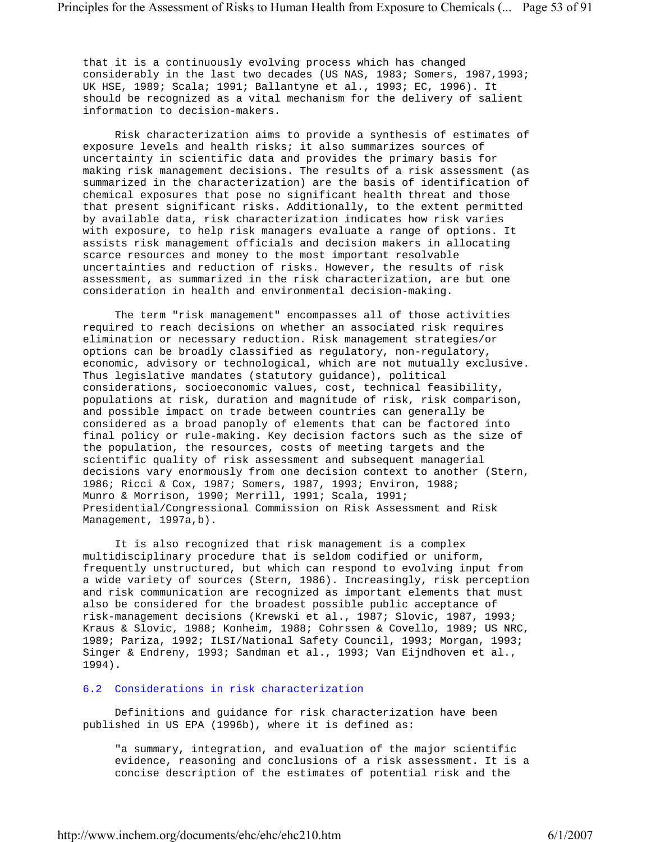that it is a continuously evolving process which has changed considerably in the last two decades (US NAS, 1983; Somers, 1987,1993; UK HSE, 1989; Scala; 1991; Ballantyne et al., 1993; EC, 1996). It should be recognized as a vital mechanism for the delivery of salient information to decision-makers.

 Risk characterization aims to provide a synthesis of estimates of exposure levels and health risks; it also summarizes sources of uncertainty in scientific data and provides the primary basis for making risk management decisions. The results of a risk assessment (as summarized in the characterization) are the basis of identification of chemical exposures that pose no significant health threat and those that present significant risks. Additionally, to the extent permitted by available data, risk characterization indicates how risk varies with exposure, to help risk managers evaluate a range of options. It assists risk management officials and decision makers in allocating scarce resources and money to the most important resolvable uncertainties and reduction of risks. However, the results of risk assessment, as summarized in the risk characterization, are but one consideration in health and environmental decision-making.

 The term "risk management" encompasses all of those activities required to reach decisions on whether an associated risk requires elimination or necessary reduction. Risk management strategies/or options can be broadly classified as regulatory, non-regulatory, economic, advisory or technological, which are not mutually exclusive. Thus legislative mandates (statutory guidance), political considerations, socioeconomic values, cost, technical feasibility, populations at risk, duration and magnitude of risk, risk comparison, and possible impact on trade between countries can generally be considered as a broad panoply of elements that can be factored into final policy or rule-making. Key decision factors such as the size of the population, the resources, costs of meeting targets and the scientific quality of risk assessment and subsequent managerial decisions vary enormously from one decision context to another (Stern, 1986; Ricci & Cox, 1987; Somers, 1987, 1993; Environ, 1988; Munro & Morrison, 1990; Merrill, 1991; Scala, 1991; Presidential/Congressional Commission on Risk Assessment and Risk Management, 1997a,b).

 It is also recognized that risk management is a complex multidisciplinary procedure that is seldom codified or uniform, frequently unstructured, but which can respond to evolving input from a wide variety of sources (Stern, 1986). Increasingly, risk perception and risk communication are recognized as important elements that must also be considered for the broadest possible public acceptance of risk-management decisions (Krewski et al., 1987; Slovic, 1987, 1993; Kraus & Slovic, 1988; Konheim, 1988; Cohrssen & Covello, 1989; US NRC, 1989; Pariza, 1992; ILSI/National Safety Council, 1993; Morgan, 1993; Singer & Endreny, 1993; Sandman et al., 1993; Van Eijndhoven et al., 1994).

# 6.2 Considerations in risk characterization

 Definitions and guidance for risk characterization have been published in US EPA (1996b), where it is defined as:

 "a summary, integration, and evaluation of the major scientific evidence, reasoning and conclusions of a risk assessment. It is a concise description of the estimates of potential risk and the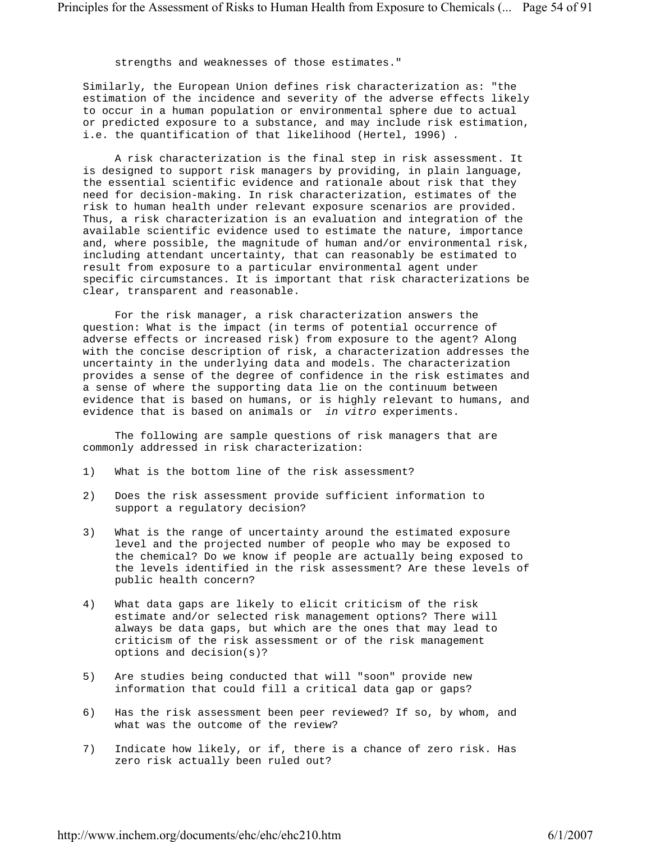strengths and weaknesses of those estimates."

 Similarly, the European Union defines risk characterization as: "the estimation of the incidence and severity of the adverse effects likely to occur in a human population or environmental sphere due to actual or predicted exposure to a substance, and may include risk estimation, i.e. the quantification of that likelihood (Hertel, 1996) *.*

 A risk characterization is the final step in risk assessment. It is designed to support risk managers by providing, in plain language, the essential scientific evidence and rationale about risk that they need for decision-making. In risk characterization, estimates of the risk to human health under relevant exposure scenarios are provided. Thus, a risk characterization is an evaluation and integration of the available scientific evidence used to estimate the nature, importance and, where possible, the magnitude of human and/or environmental risk, including attendant uncertainty, that can reasonably be estimated to result from exposure to a particular environmental agent under specific circumstances. It is important that risk characterizations be clear, transparent and reasonable.

 For the risk manager, a risk characterization answers the question: What is the impact (in terms of potential occurrence of adverse effects or increased risk) from exposure to the agent? Along with the concise description of risk, a characterization addresses the uncertainty in the underlying data and models. The characterization provides a sense of the degree of confidence in the risk estimates and a sense of where the supporting data lie on the continuum between evidence that is based on humans, or is highly relevant to humans, and evidence that is based on animals or *in vitro* experiments.

 The following are sample questions of risk managers that are commonly addressed in risk characterization:

- 1) What is the bottom line of the risk assessment?
- 2) Does the risk assessment provide sufficient information to support a regulatory decision?
- 3) What is the range of uncertainty around the estimated exposure level and the projected number of people who may be exposed to the chemical? Do we know if people are actually being exposed to the levels identified in the risk assessment? Are these levels of public health concern?
- 4) What data gaps are likely to elicit criticism of the risk estimate and/or selected risk management options? There will always be data gaps, but which are the ones that may lead to criticism of the risk assessment or of the risk management options and decision(s)?
- 5) Are studies being conducted that will "soon" provide new information that could fill a critical data gap or gaps?
- 6) Has the risk assessment been peer reviewed? If so, by whom, and what was the outcome of the review?
- 7) Indicate how likely, or if, there is a chance of zero risk. Has zero risk actually been ruled out?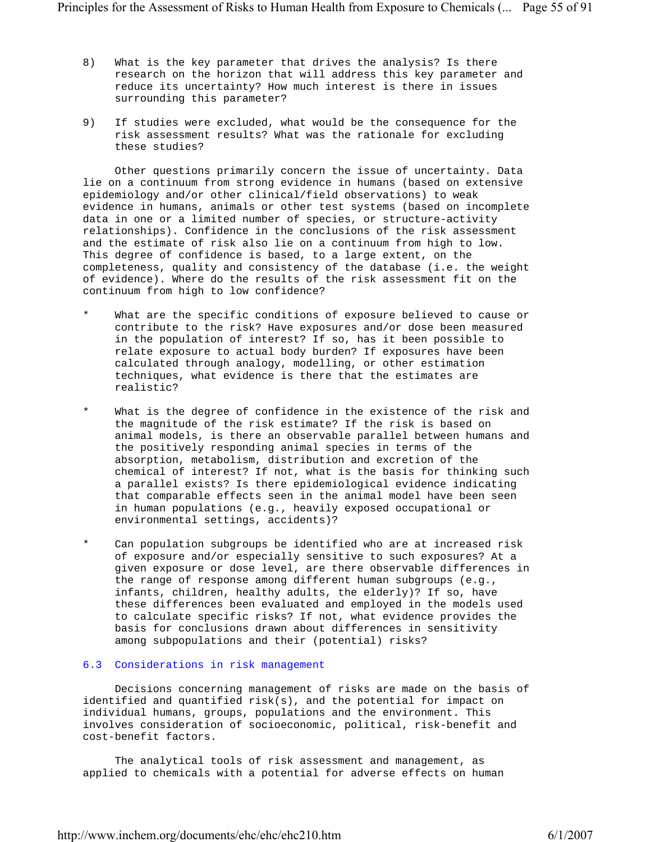- 8) What is the key parameter that drives the analysis? Is there research on the horizon that will address this key parameter and reduce its uncertainty? How much interest is there in issues surrounding this parameter?
- 9) If studies were excluded, what would be the consequence for the risk assessment results? What was the rationale for excluding these studies?

 Other questions primarily concern the issue of uncertainty. Data lie on a continuum from strong evidence in humans (based on extensive epidemiology and/or other clinical/field observations) to weak evidence in humans, animals or other test systems (based on incomplete data in one or a limited number of species, or structure-activity relationships). Confidence in the conclusions of the risk assessment and the estimate of risk also lie on a continuum from high to low. This degree of confidence is based, to a large extent, on the completeness, quality and consistency of the database (i.e. the weight of evidence). Where do the results of the risk assessment fit on the continuum from high to low confidence?

- What are the specific conditions of exposure believed to cause or contribute to the risk? Have exposures and/or dose been measured in the population of interest? If so, has it been possible to relate exposure to actual body burden? If exposures have been calculated through analogy, modelling, or other estimation techniques, what evidence is there that the estimates are realistic?
- \* What is the degree of confidence in the existence of the risk and the magnitude of the risk estimate? If the risk is based on animal models, is there an observable parallel between humans and the positively responding animal species in terms of the absorption, metabolism, distribution and excretion of the chemical of interest? If not, what is the basis for thinking such a parallel exists? Is there epidemiological evidence indicating that comparable effects seen in the animal model have been seen in human populations (e.g., heavily exposed occupational or environmental settings, accidents)?
- \* Can population subgroups be identified who are at increased risk of exposure and/or especially sensitive to such exposures? At a given exposure or dose level, are there observable differences in the range of response among different human subgroups (e.g., infants, children, healthy adults, the elderly)? If so, have these differences been evaluated and employed in the models used to calculate specific risks? If not, what evidence provides the basis for conclusions drawn about differences in sensitivity among subpopulations and their (potential) risks?

# 6.3 Considerations in risk management

 Decisions concerning management of risks are made on the basis of identified and quantified risk(s), and the potential for impact on individual humans, groups, populations and the environment. This involves consideration of socioeconomic, political, risk-benefit and cost-benefit factors.

 The analytical tools of risk assessment and management, as applied to chemicals with a potential for adverse effects on human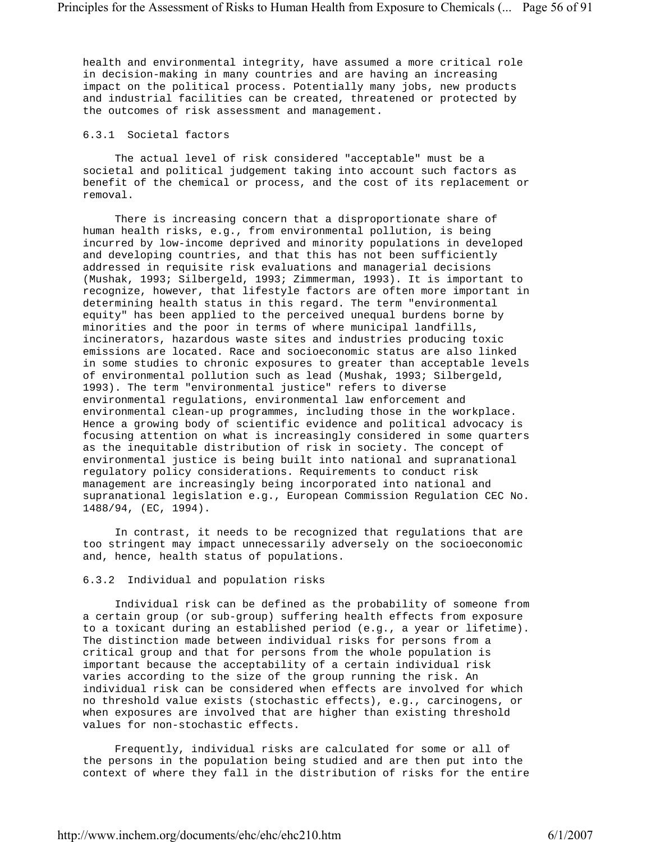health and environmental integrity, have assumed a more critical role in decision-making in many countries and are having an increasing impact on the political process. Potentially many jobs, new products and industrial facilities can be created, threatened or protected by the outcomes of risk assessment and management.

# 6.3.1 Societal factors

 The actual level of risk considered "acceptable" must be a societal and political judgement taking into account such factors as benefit of the chemical or process, and the cost of its replacement or removal.

 There is increasing concern that a disproportionate share of human health risks, e.g., from environmental pollution, is being incurred by low-income deprived and minority populations in developed and developing countries, and that this has not been sufficiently addressed in requisite risk evaluations and managerial decisions (Mushak, 1993; Silbergeld, 1993; Zimmerman, 1993). It is important to recognize, however, that lifestyle factors are often more important in determining health status in this regard. The term "environmental equity" has been applied to the perceived unequal burdens borne by minorities and the poor in terms of where municipal landfills, incinerators, hazardous waste sites and industries producing toxic emissions are located. Race and socioeconomic status are also linked in some studies to chronic exposures to greater than acceptable levels of environmental pollution such as lead (Mushak, 1993; Silbergeld, 1993). The term "environmental justice" refers to diverse environmental regulations, environmental law enforcement and environmental clean-up programmes, including those in the workplace. Hence a growing body of scientific evidence and political advocacy is focusing attention on what is increasingly considered in some quarters as the inequitable distribution of risk in society. The concept of environmental justice is being built into national and supranational regulatory policy considerations. Requirements to conduct risk management are increasingly being incorporated into national and supranational legislation e.g., European Commission Regulation CEC No. 1488/94, (EC, 1994).

 In contrast, it needs to be recognized that regulations that are too stringent may impact unnecessarily adversely on the socioeconomic and, hence, health status of populations.

# 6.3.2 Individual and population risks

 Individual risk can be defined as the probability of someone from a certain group (or sub-group) suffering health effects from exposure to a toxicant during an established period (e.g., a year or lifetime). The distinction made between individual risks for persons from a critical group and that for persons from the whole population is important because the acceptability of a certain individual risk varies according to the size of the group running the risk. An individual risk can be considered when effects are involved for which no threshold value exists (stochastic effects), e.g., carcinogens, or when exposures are involved that are higher than existing threshold values for non-stochastic effects.

 Frequently, individual risks are calculated for some or all of the persons in the population being studied and are then put into the context of where they fall in the distribution of risks for the entire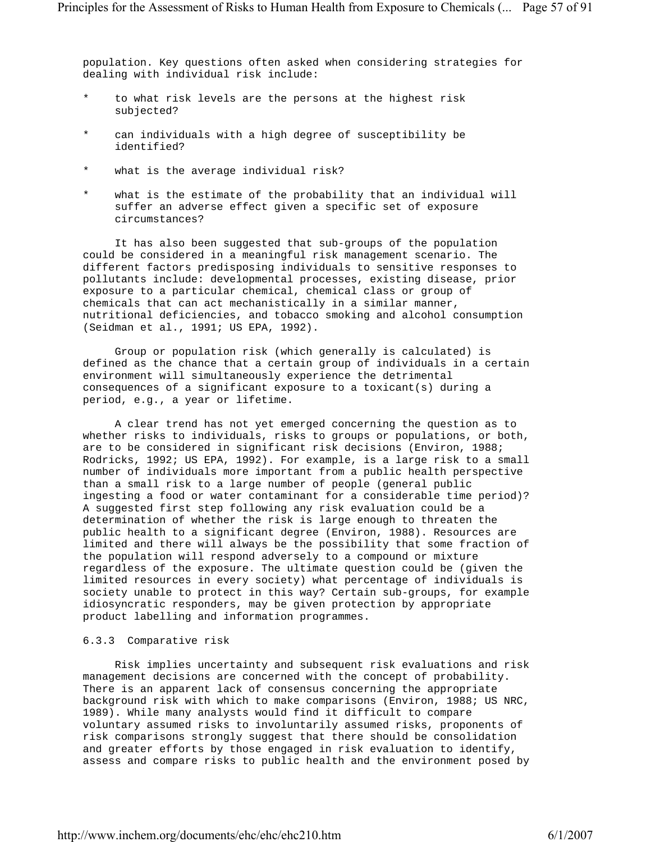population. Key questions often asked when considering strategies for dealing with individual risk include:

- \* to what risk levels are the persons at the highest risk subjected?
- \* can individuals with a high degree of susceptibility be identified?
- what is the average individual risk?
- what is the estimate of the probability that an individual will suffer an adverse effect given a specific set of exposure circumstances?

 It has also been suggested that sub-groups of the population could be considered in a meaningful risk management scenario. The different factors predisposing individuals to sensitive responses to pollutants include: developmental processes, existing disease, prior exposure to a particular chemical, chemical class or group of chemicals that can act mechanistically in a similar manner, nutritional deficiencies, and tobacco smoking and alcohol consumption (Seidman et al., 1991; US EPA, 1992).

 Group or population risk (which generally is calculated) is defined as the chance that a certain group of individuals in a certain environment will simultaneously experience the detrimental consequences of a significant exposure to a toxicant(s) during a period, e.g., a year or lifetime.

 A clear trend has not yet emerged concerning the question as to whether risks to individuals, risks to groups or populations, or both, are to be considered in significant risk decisions (Environ, 1988; Rodricks, 1992; US EPA, 1992). For example, is a large risk to a small number of individuals more important from a public health perspective than a small risk to a large number of people (general public ingesting a food or water contaminant for a considerable time period)? A suggested first step following any risk evaluation could be a determination of whether the risk is large enough to threaten the public health to a significant degree (Environ, 1988). Resources are limited and there will always be the possibility that some fraction of the population will respond adversely to a compound or mixture regardless of the exposure. The ultimate question could be (given the limited resources in every society) what percentage of individuals is society unable to protect in this way? Certain sub-groups, for example idiosyncratic responders, may be given protection by appropriate product labelling and information programmes.

#### 6.3.3 Comparative risk

 Risk implies uncertainty and subsequent risk evaluations and risk management decisions are concerned with the concept of probability. There is an apparent lack of consensus concerning the appropriate background risk with which to make comparisons (Environ, 1988; US NRC, 1989). While many analysts would find it difficult to compare voluntary assumed risks to involuntarily assumed risks, proponents of risk comparisons strongly suggest that there should be consolidation and greater efforts by those engaged in risk evaluation to identify, assess and compare risks to public health and the environment posed by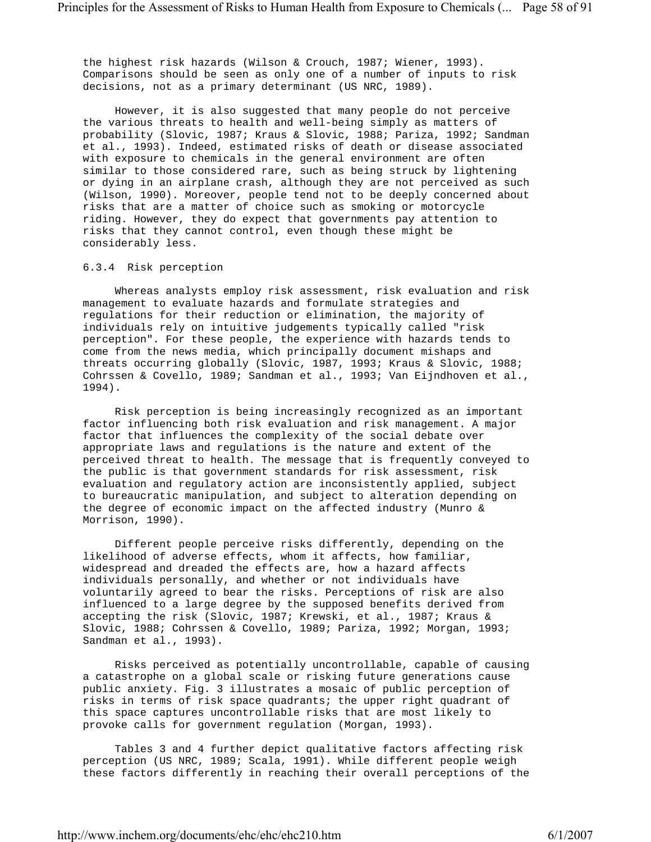the highest risk hazards (Wilson & Crouch, 1987; Wiener, 1993). Comparisons should be seen as only one of a number of inputs to risk decisions, not as a primary determinant (US NRC, 1989).

 However, it is also suggested that many people do not perceive the various threats to health and well-being simply as matters of probability (Slovic, 1987; Kraus & Slovic, 1988; Pariza, 1992; Sandman et al., 1993). Indeed, estimated risks of death or disease associated with exposure to chemicals in the general environment are often similar to those considered rare, such as being struck by lightening or dying in an airplane crash, although they are not perceived as such (Wilson, 1990). Moreover, people tend not to be deeply concerned about risks that are a matter of choice such as smoking or motorcycle riding. However, they do expect that governments pay attention to risks that they cannot control, even though these might be considerably less.

#### 6.3.4 Risk perception

 Whereas analysts employ risk assessment, risk evaluation and risk management to evaluate hazards and formulate strategies and regulations for their reduction or elimination, the majority of individuals rely on intuitive judgements typically called "risk perception". For these people, the experience with hazards tends to come from the news media, which principally document mishaps and threats occurring globally (Slovic, 1987, 1993; Kraus & Slovic, 1988; Cohrssen & Covello, 1989; Sandman et al., 1993; Van Eijndhoven et al., 1994).

 Risk perception is being increasingly recognized as an important factor influencing both risk evaluation and risk management. A major factor that influences the complexity of the social debate over appropriate laws and regulations is the nature and extent of the perceived threat to health. The message that is frequently conveyed to the public is that government standards for risk assessment, risk evaluation and regulatory action are inconsistently applied, subject to bureaucratic manipulation, and subject to alteration depending on the degree of economic impact on the affected industry (Munro & Morrison, 1990).

 Different people perceive risks differently, depending on the likelihood of adverse effects, whom it affects, how familiar, widespread and dreaded the effects are, how a hazard affects individuals personally, and whether or not individuals have voluntarily agreed to bear the risks. Perceptions of risk are also influenced to a large degree by the supposed benefits derived from accepting the risk (Slovic, 1987; Krewski, et al., 1987; Kraus & Slovic, 1988; Cohrssen & Covello, 1989; Pariza, 1992; Morgan, 1993; Sandman et al., 1993).

 Risks perceived as potentially uncontrollable, capable of causing a catastrophe on a global scale or risking future generations cause public anxiety. Fig. 3 illustrates a mosaic of public perception of risks in terms of risk space quadrants; the upper right quadrant of this space captures uncontrollable risks that are most likely to provoke calls for government regulation (Morgan, 1993).

 Tables 3 and 4 further depict qualitative factors affecting risk perception (US NRC, 1989; Scala, 1991). While different people weigh these factors differently in reaching their overall perceptions of the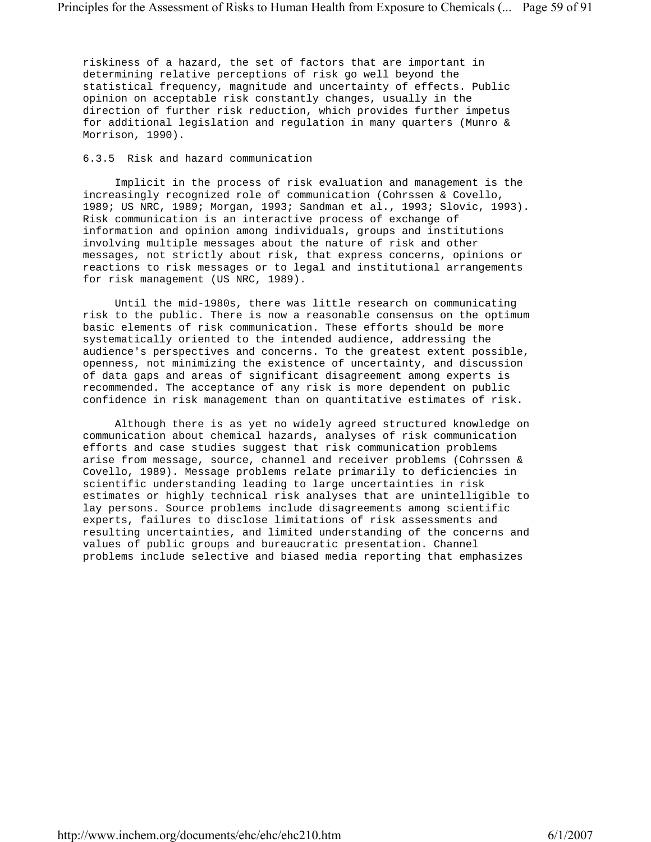riskiness of a hazard, the set of factors that are important in determining relative perceptions of risk go well beyond the statistical frequency, magnitude and uncertainty of effects. Public opinion on acceptable risk constantly changes, usually in the direction of further risk reduction, which provides further impetus for additional legislation and regulation in many quarters (Munro & Morrison, 1990).

### 6.3.5 Risk and hazard communication

 Implicit in the process of risk evaluation and management is the increasingly recognized role of communication (Cohrssen & Covello, 1989; US NRC, 1989; Morgan, 1993; Sandman et al., 1993; Slovic, 1993). Risk communication is an interactive process of exchange of information and opinion among individuals, groups and institutions involving multiple messages about the nature of risk and other messages, not strictly about risk, that express concerns, opinions or reactions to risk messages or to legal and institutional arrangements for risk management (US NRC, 1989).

 Until the mid-1980s, there was little research on communicating risk to the public. There is now a reasonable consensus on the optimum basic elements of risk communication. These efforts should be more systematically oriented to the intended audience, addressing the audience's perspectives and concerns. To the greatest extent possible, openness, not minimizing the existence of uncertainty, and discussion of data gaps and areas of significant disagreement among experts is recommended. The acceptance of any risk is more dependent on public confidence in risk management than on quantitative estimates of risk.

 Although there is as yet no widely agreed structured knowledge on communication about chemical hazards, analyses of risk communication efforts and case studies suggest that risk communication problems arise from message, source, channel and receiver problems (Cohrssen & Covello, 1989). Message problems relate primarily to deficiencies in scientific understanding leading to large uncertainties in risk estimates or highly technical risk analyses that are unintelligible to lay persons. Source problems include disagreements among scientific experts, failures to disclose limitations of risk assessments and resulting uncertainties, and limited understanding of the concerns and values of public groups and bureaucratic presentation. Channel problems include selective and biased media reporting that emphasizes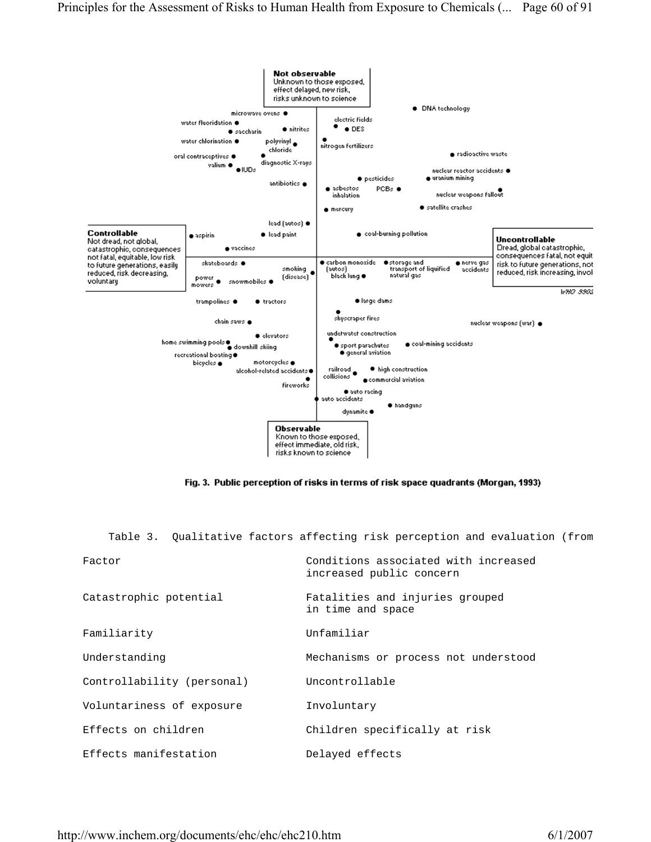

Fig. 3. Public perception of risks in terms of risk space quadrants (Morgan, 1993)

|                            | Table 3. Qualitative factors affecting risk perception and evaluation (from |
|----------------------------|-----------------------------------------------------------------------------|
| Factor                     | Conditions associated with increased<br>increased public concern            |
| Catastrophic potential     | Fatalities and injuries grouped<br>in time and space                        |
| Familiarity                | Unfamiliar                                                                  |
| Understanding              | Mechanisms or process not understood                                        |
| Controllability (personal) | Uncontrollable                                                              |
| Voluntariness of exposure  | Involuntary                                                                 |
| Effects on children        | Children specifically at risk                                               |
| Effects manifestation      | Delayed effects                                                             |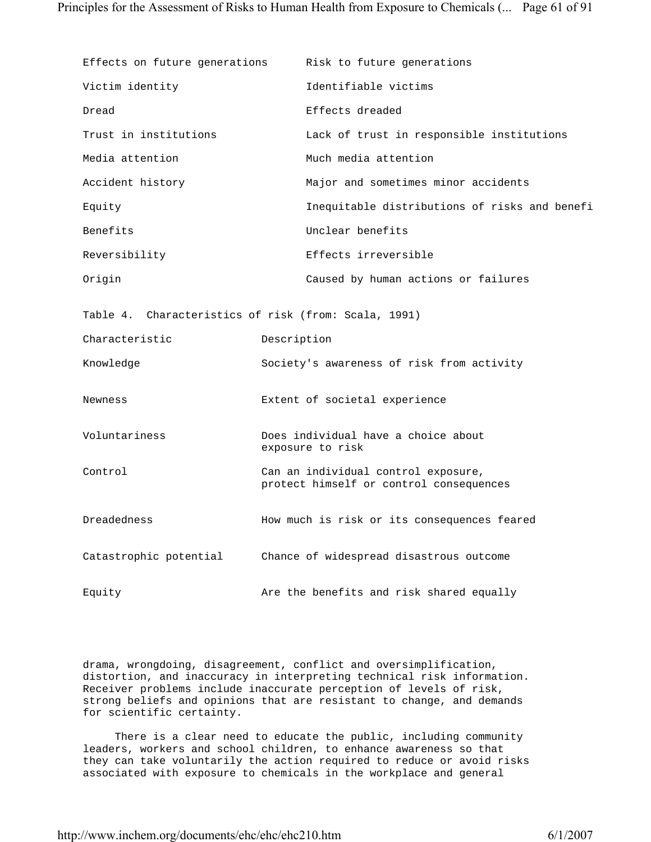| Effects on future generations                        |             | Risk to future generations                                                     |
|------------------------------------------------------|-------------|--------------------------------------------------------------------------------|
| Victim identity                                      |             | Identifiable victims                                                           |
| Dread                                                |             | Effects dreaded                                                                |
| Trust in institutions                                |             | Lack of trust in responsible institutions                                      |
| Media attention                                      |             | Much media attention                                                           |
| Accident history                                     |             | Major and sometimes minor accidents                                            |
| Equity                                               |             | Inequitable distributions of risks and benefi                                  |
| Benefits                                             |             | Unclear benefits                                                               |
| Reversibility                                        |             | Effects irreversible                                                           |
| Origin                                               |             | Caused by human actions or failures                                            |
| Table 4. Characteristics of risk (from: Scala, 1991) |             |                                                                                |
| Characteristic                                       | Description |                                                                                |
| Knowledge                                            |             | Society's awareness of risk from activity                                      |
| Newness                                              |             | Extent of societal experience                                                  |
| Voluntariness                                        |             | Does individual have a choice about<br>exposure to risk                        |
| Control                                              |             | Can an individual control exposure,<br>protect himself or control consequences |
| Dreadedness                                          |             | How much is risk or its consequences feared                                    |
| Catastrophic potential                               |             | Chance of widespread disastrous outcome                                        |
| Equity                                               |             | Are the benefits and risk shared equally                                       |
|                                                      |             |                                                                                |

 drama, wrongdoing, disagreement, conflict and oversimplification, distortion, and inaccuracy in interpreting technical risk information. Receiver problems include inaccurate perception of levels of risk, strong beliefs and opinions that are resistant to change, and demands for scientific certainty.

 There is a clear need to educate the public, including community leaders, workers and school children, to enhance awareness so that they can take voluntarily the action required to reduce or avoid risks associated with exposure to chemicals in the workplace and general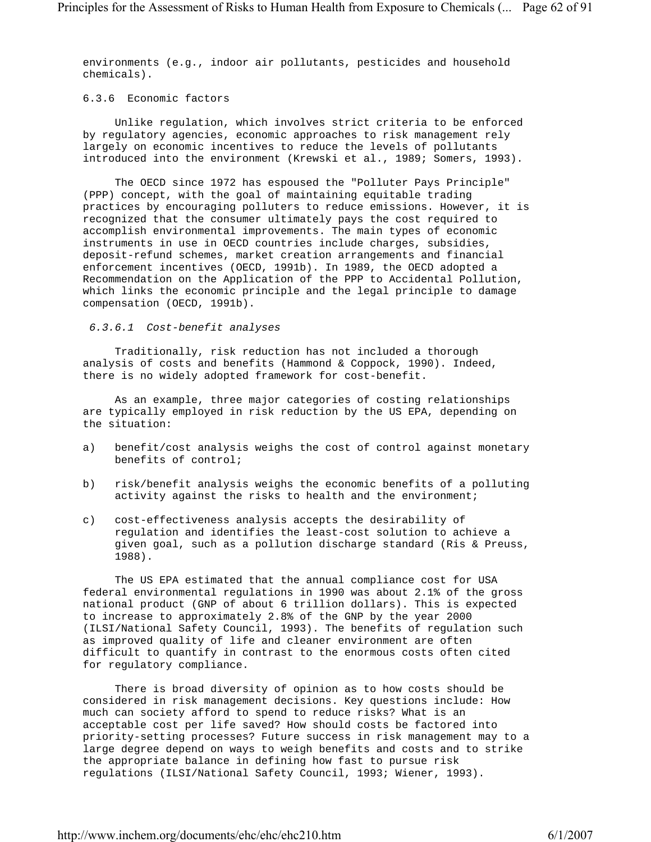environments (e.g., indoor air pollutants, pesticides and household chemicals).

6.3.6 Economic factors

 Unlike regulation, which involves strict criteria to be enforced by regulatory agencies, economic approaches to risk management rely largely on economic incentives to reduce the levels of pollutants introduced into the environment (Krewski et al., 1989; Somers, 1993).

 The OECD since 1972 has espoused the "Polluter Pays Principle" (PPP) concept, with the goal of maintaining equitable trading practices by encouraging polluters to reduce emissions. However, it is recognized that the consumer ultimately pays the cost required to accomplish environmental improvements. The main types of economic instruments in use in OECD countries include charges, subsidies, deposit-refund schemes, market creation arrangements and financial enforcement incentives (OECD, 1991b). In 1989, the OECD adopted a Recommendation on the Application of the PPP to Accidental Pollution, which links the economic principle and the legal principle to damage compensation (OECD, 1991b).

*6.3.6.1 Cost-benefit analyses*

 Traditionally, risk reduction has not included a thorough analysis of costs and benefits (Hammond & Coppock, 1990). Indeed, there is no widely adopted framework for cost-benefit.

 As an example, three major categories of costing relationships are typically employed in risk reduction by the US EPA, depending on the situation:

- a) benefit/cost analysis weighs the cost of control against monetary benefits of control;
- b) risk/benefit analysis weighs the economic benefits of a polluting activity against the risks to health and the environment;
- c) cost-effectiveness analysis accepts the desirability of regulation and identifies the least-cost solution to achieve a given goal, such as a pollution discharge standard (Ris & Preuss, 1988).

 The US EPA estimated that the annual compliance cost for USA federal environmental regulations in 1990 was about 2.1% of the gross national product (GNP of about 6 trillion dollars). This is expected to increase to approximately 2.8% of the GNP by the year 2000 (ILSI/National Safety Council, 1993). The benefits of regulation such as improved quality of life and cleaner environment are often difficult to quantify in contrast to the enormous costs often cited for regulatory compliance.

 There is broad diversity of opinion as to how costs should be considered in risk management decisions. Key questions include: How much can society afford to spend to reduce risks? What is an acceptable cost per life saved? How should costs be factored into priority-setting processes? Future success in risk management may to a large degree depend on ways to weigh benefits and costs and to strike the appropriate balance in defining how fast to pursue risk regulations (ILSI/National Safety Council, 1993; Wiener, 1993).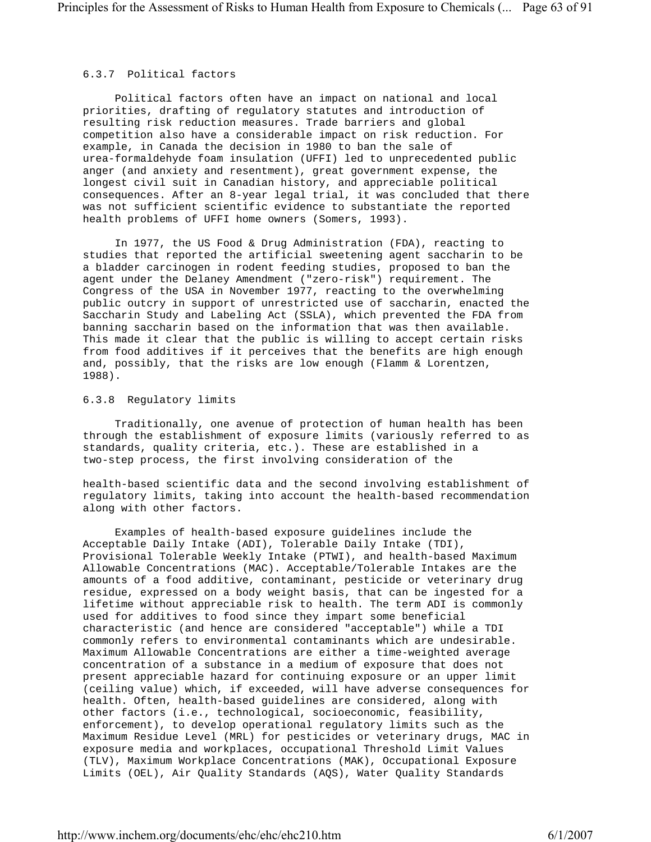# 6.3.7 Political factors

 Political factors often have an impact on national and local priorities, drafting of regulatory statutes and introduction of resulting risk reduction measures. Trade barriers and global competition also have a considerable impact on risk reduction. For example, in Canada the decision in 1980 to ban the sale of urea-formaldehyde foam insulation (UFFI) led to unprecedented public anger (and anxiety and resentment), great government expense, the longest civil suit in Canadian history, and appreciable political consequences. After an 8-year legal trial, it was concluded that there was not sufficient scientific evidence to substantiate the reported health problems of UFFI home owners (Somers, 1993).

 In 1977, the US Food & Drug Administration (FDA), reacting to studies that reported the artificial sweetening agent saccharin to be a bladder carcinogen in rodent feeding studies, proposed to ban the agent under the Delaney Amendment ("zero-risk") requirement. The Congress of the USA in November 1977, reacting to the overwhelming public outcry in support of unrestricted use of saccharin, enacted the Saccharin Study and Labeling Act (SSLA), which prevented the FDA from banning saccharin based on the information that was then available. This made it clear that the public is willing to accept certain risks from food additives if it perceives that the benefits are high enough and, possibly, that the risks are low enough (Flamm & Lorentzen, 1988).

#### 6.3.8 Regulatory limits

 Traditionally, one avenue of protection of human health has been through the establishment of exposure limits (variously referred to as standards, quality criteria, etc.). These are established in a two-step process, the first involving consideration of the

 health-based scientific data and the second involving establishment of regulatory limits, taking into account the health-based recommendation along with other factors.

 Examples of health-based exposure guidelines include the Acceptable Daily Intake (ADI), Tolerable Daily Intake (TDI), Provisional Tolerable Weekly Intake (PTWI), and health-based Maximum Allowable Concentrations (MAC). Acceptable/Tolerable Intakes are the amounts of a food additive, contaminant, pesticide or veterinary drug residue, expressed on a body weight basis, that can be ingested for a lifetime without appreciable risk to health. The term ADI is commonly used for additives to food since they impart some beneficial characteristic (and hence are considered "acceptable") while a TDI commonly refers to environmental contaminants which are undesirable. Maximum Allowable Concentrations are either a time-weighted average concentration of a substance in a medium of exposure that does not present appreciable hazard for continuing exposure or an upper limit (ceiling value) which, if exceeded, will have adverse consequences for health. Often, health-based guidelines are considered, along with other factors (i.e., technological, socioeconomic, feasibility, enforcement), to develop operational regulatory limits such as the Maximum Residue Level (MRL) for pesticides or veterinary drugs, MAC in exposure media and workplaces, occupational Threshold Limit Values (TLV), Maximum Workplace Concentrations (MAK), Occupational Exposure Limits (OEL), Air Quality Standards (AQS), Water Quality Standards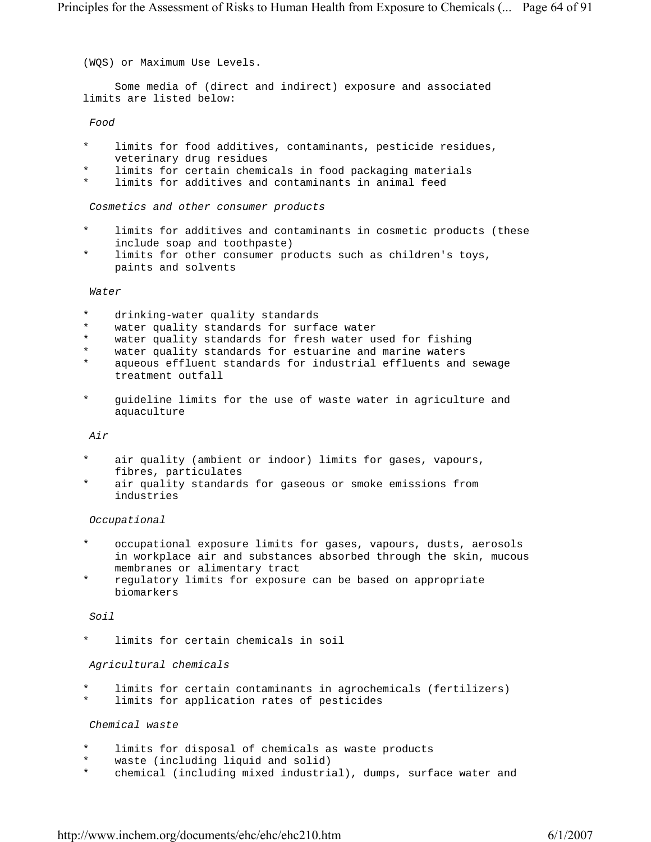(WQS) or Maximum Use Levels.

 Some media of (direct and indirect) exposure and associated limits are listed below:

*Food*

- limits for food additives, contaminants, pesticide residues, veterinary drug residues
- limits for certain chemicals in food packaging materials
- limits for additives and contaminants in animal feed

*Cosmetics and other consumer products*

- limits for additives and contaminants in cosmetic products (these include soap and toothpaste)
- limits for other consumer products such as children's toys, paints and solvents

*Water*

- drinking-water quality standards
- water quality standards for surface water
- water quality standards for fresh water used for fishing
- water quality standards for estuarine and marine waters
- aqueous effluent standards for industrial effluents and sewage treatment outfall
- guideline limits for the use of waste water in agriculture and aquaculture

*Air*

- air quality (ambient or indoor) limits for gases, vapours, fibres, particulates
- air quality standards for gaseous or smoke emissions from industries

# *Occupational*

- occupational exposure limits for gases, vapours, dusts, aerosols in workplace air and substances absorbed through the skin, mucous membranes or alimentary tract
- regulatory limits for exposure can be based on appropriate biomarkers

*Soil*

limits for certain chemicals in soil

# *Agricultural chemicals*

- limits for certain contaminants in agrochemicals (fertilizers)
- limits for application rates of pesticides

# *Chemical waste*

- \* limits for disposal of chemicals as waste products
- waste (including liquid and solid)
- chemical (including mixed industrial), dumps, surface water and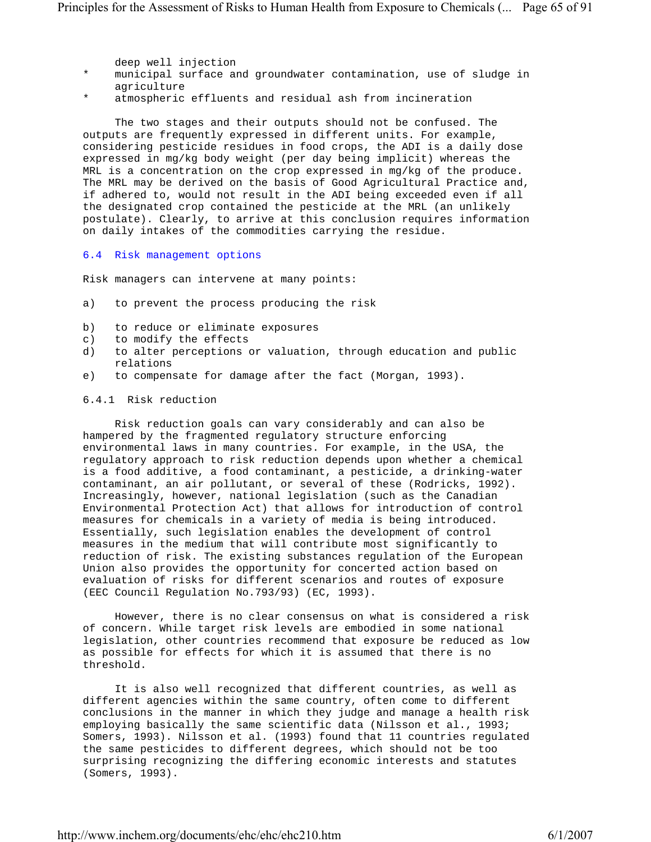deep well injection

- municipal surface and groundwater contamination, use of sludge in agriculture<br>\* atmospheric
- atmospheric effluents and residual ash from incineration

 The two stages and their outputs should not be confused. The outputs are frequently expressed in different units. For example, considering pesticide residues in food crops, the ADI is a daily dose expressed in mg/kg body weight (per day being implicit) whereas the MRL is a concentration on the crop expressed in mg/kg of the produce. The MRL may be derived on the basis of Good Agricultural Practice and, if adhered to, would not result in the ADI being exceeded even if all the designated crop contained the pesticide at the MRL (an unlikely postulate). Clearly, to arrive at this conclusion requires information on daily intakes of the commodities carrying the residue.

#### 6.4 Risk management options

Risk managers can intervene at many points:

- a) to prevent the process producing the risk
- b) to reduce or eliminate exposures
- c) to modify the effects
- d) to alter perceptions or valuation, through education and public relations
- e) to compensate for damage after the fact (Morgan, 1993).

#### 6.4.1 Risk reduction

 Risk reduction goals can vary considerably and can also be hampered by the fragmented regulatory structure enforcing environmental laws in many countries. For example, in the USA, the regulatory approach to risk reduction depends upon whether a chemical is a food additive, a food contaminant, a pesticide, a drinking-water contaminant, an air pollutant, or several of these (Rodricks, 1992). Increasingly, however, national legislation (such as the Canadian Environmental Protection Act) that allows for introduction of control measures for chemicals in a variety of media is being introduced. Essentially, such legislation enables the development of control measures in the medium that will contribute most significantly to reduction of risk. The existing substances regulation of the European Union also provides the opportunity for concerted action based on evaluation of risks for different scenarios and routes of exposure (EEC Council Regulation No.793/93) (EC, 1993).

 However, there is no clear consensus on what is considered a risk of concern. While target risk levels are embodied in some national legislation, other countries recommend that exposure be reduced as low as possible for effects for which it is assumed that there is no threshold.

 It is also well recognized that different countries, as well as different agencies within the same country, often come to different conclusions in the manner in which they judge and manage a health risk employing basically the same scientific data (Nilsson et al., 1993; Somers, 1993). Nilsson et al. (1993) found that 11 countries regulated the same pesticides to different degrees, which should not be too surprising recognizing the differing economic interests and statutes (Somers, 1993).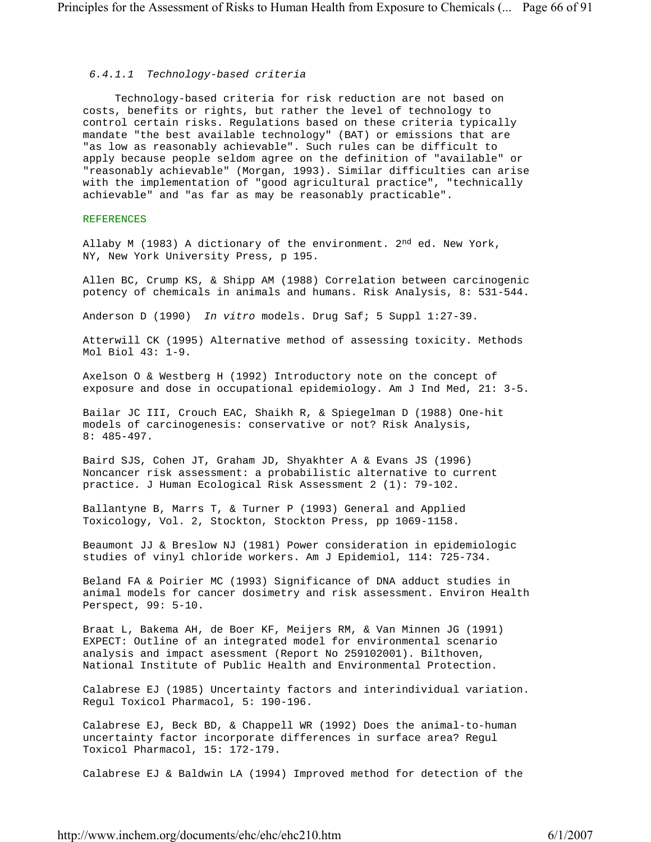# *6.4.1.1 Technology-based criteria*

 Technology-based criteria for risk reduction are not based on costs, benefits or rights, but rather the level of technology to control certain risks. Regulations based on these criteria typically mandate "the best available technology" (BAT) or emissions that are "as low as reasonably achievable". Such rules can be difficult to apply because people seldom agree on the definition of "available" or "reasonably achievable" (Morgan, 1993). Similar difficulties can arise with the implementation of "good agricultural practice", "technically achievable" and "as far as may be reasonably practicable".

#### REFERENCES

Allaby M (1983) A dictionary of the environment.  $2<sup>nd</sup>$  ed. New York, NY, New York University Press, p 195.

 Allen BC, Crump KS, & Shipp AM (1988) Correlation between carcinogenic potency of chemicals in animals and humans. Risk Analysis, 8: 531-544.

Anderson D (1990) *In vitro* models. Drug Saf; 5 Suppl 1:27-39.

 Atterwill CK (1995) Alternative method of assessing toxicity. Methods Mol Biol 43: 1-9.

 Axelson O & Westberg H (1992) Introductory note on the concept of exposure and dose in occupational epidemiology. Am J Ind Med, 21: 3-5.

 Bailar JC III, Crouch EAC, Shaikh R, & Spiegelman D (1988) One-hit models of carcinogenesis: conservative or not? Risk Analysis, 8: 485-497.

 Baird SJS, Cohen JT, Graham JD, Shyakhter A & Evans JS (1996) Noncancer risk assessment: a probabilistic alternative to current practice. J Human Ecological Risk Assessment 2 (1): 79-102.

 Ballantyne B, Marrs T, & Turner P (1993) General and Applied Toxicology, Vol. 2, Stockton, Stockton Press, pp 1069-1158.

 Beaumont JJ & Breslow NJ (1981) Power consideration in epidemiologic studies of vinyl chloride workers. Am J Epidemiol, 114: 725-734.

 Beland FA & Poirier MC (1993) Significance of DNA adduct studies in animal models for cancer dosimetry and risk assessment. Environ Health Perspect, 99: 5-10.

 Braat L, Bakema AH, de Boer KF, Meijers RM, & Van Minnen JG (1991) EXPECT: Outline of an integrated model for environmental scenario analysis and impact asessment (Report No 259102001). Bilthoven, National Institute of Public Health and Environmental Protection.

 Calabrese EJ (1985) Uncertainty factors and interindividual variation. Regul Toxicol Pharmacol, 5: 190-196.

 Calabrese EJ, Beck BD, & Chappell WR (1992) Does the animal-to-human uncertainty factor incorporate differences in surface area? Regul Toxicol Pharmacol, 15: 172-179.

Calabrese EJ & Baldwin LA (1994) Improved method for detection of the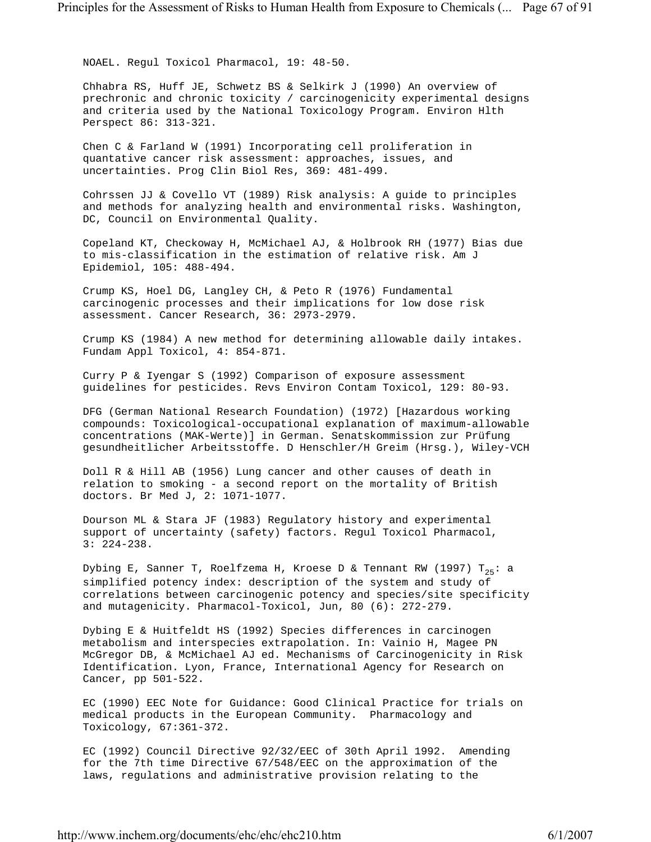NOAEL. Regul Toxicol Pharmacol, 19: 48-50.

 Chhabra RS, Huff JE, Schwetz BS & Selkirk J (1990) An overview of prechronic and chronic toxicity / carcinogenicity experimental designs and criteria used by the National Toxicology Program. Environ Hlth Perspect 86: 313-321.

 Chen C & Farland W (1991) Incorporating cell proliferation in quantative cancer risk assessment: approaches, issues, and uncertainties. Prog Clin Biol Res, 369: 481-499.

 Cohrssen JJ & Covello VT (1989) Risk analysis: A guide to principles and methods for analyzing health and environmental risks. Washington, DC, Council on Environmental Quality.

 Copeland KT, Checkoway H, McMichael AJ, & Holbrook RH (1977) Bias due to mis-classification in the estimation of relative risk. Am J Epidemiol, 105: 488-494.

 Crump KS, Hoel DG, Langley CH, & Peto R (1976) Fundamental carcinogenic processes and their implications for low dose risk assessment. Cancer Research, 36: 2973-2979.

 Crump KS (1984) A new method for determining allowable daily intakes. Fundam Appl Toxicol, 4: 854-871.

 Curry P & Iyengar S (1992) Comparison of exposure assessment guidelines for pesticides. Revs Environ Contam Toxicol, 129: 80-93.

 DFG (German National Research Foundation) (1972) [Hazardous working compounds: Toxicological-occupational explanation of maximum-allowable concentrations (MAK-Werte)] in German. Senatskommission zur Prüfung gesundheitlicher Arbeitsstoffe. D Henschler/H Greim (Hrsg.), Wiley-VCH

 Doll R & Hill AB (1956) Lung cancer and other causes of death in relation to smoking - a second report on the mortality of British doctors. Br Med J, 2: 1071-1077.

 Dourson ML & Stara JF (1983) Regulatory history and experimental support of uncertainty (safety) factors. Regul Toxicol Pharmacol, 3: 224-238.

Dybing E, Sanner T, Roelfzema H, Kroese D & Tennant RW (1997) T<sub>25</sub>: a simplified potency index: description of the system and study of correlations between carcinogenic potency and species/site specificity and mutagenicity. Pharmacol-Toxicol, Jun, 80 (6): 272-279.

 Dybing E & Huitfeldt HS (1992) Species differences in carcinogen metabolism and interspecies extrapolation. In: Vainio H, Magee PN McGregor DB, & McMichael AJ ed. Mechanisms of Carcinogenicity in Risk Identification. Lyon, France, International Agency for Research on Cancer, pp 501-522.

 EC (1990) EEC Note for Guidance: Good Clinical Practice for trials on medical products in the European Community. Pharmacology and Toxicology, 67:361-372.

 EC (1992) Council Directive 92/32/EEC of 30th April 1992. Amending for the 7th time Directive 67/548/EEC on the approximation of the laws, regulations and administrative provision relating to the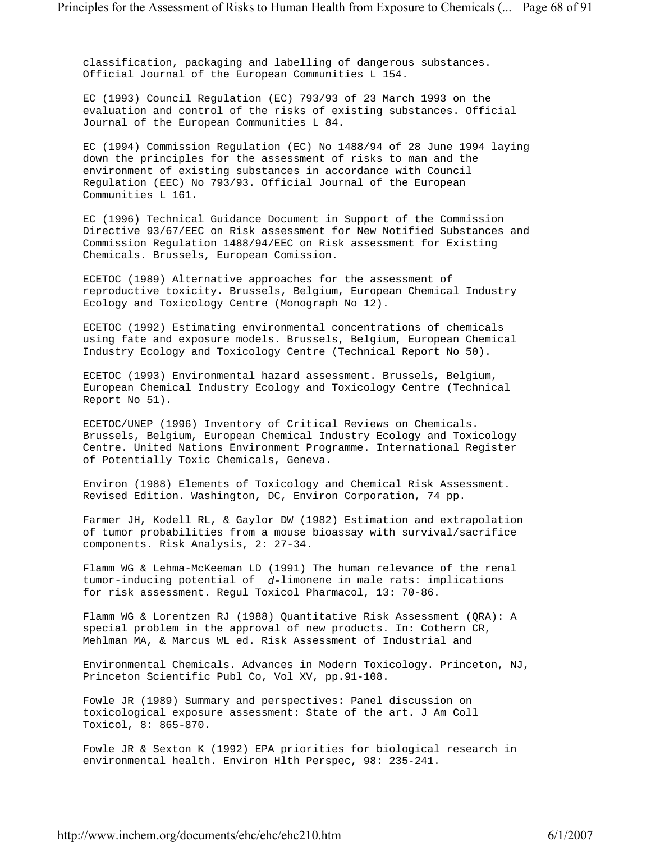classification, packaging and labelling of dangerous substances. Official Journal of the European Communities L 154.

 EC (1993) Council Regulation (EC) 793/93 of 23 March 1993 on the evaluation and control of the risks of existing substances. Official Journal of the European Communities L 84.

 EC (1994) Commission Regulation (EC) No 1488/94 of 28 June 1994 laying down the principles for the assessment of risks to man and the environment of existing substances in accordance with Council Regulation (EEC) No 793/93. Official Journal of the European Communities L 161.

 EC (1996) Technical Guidance Document in Support of the Commission Directive 93/67/EEC on Risk assessment for New Notified Substances and Commission Regulation 1488/94/EEC on Risk assessment for Existing Chemicals. Brussels, European Comission.

 ECETOC (1989) Alternative approaches for the assessment of reproductive toxicity. Brussels, Belgium, European Chemical Industry Ecology and Toxicology Centre (Monograph No 12).

 ECETOC (1992) Estimating environmental concentrations of chemicals using fate and exposure models. Brussels, Belgium, European Chemical Industry Ecology and Toxicology Centre (Technical Report No 50).

 ECETOC (1993) Environmental hazard assessment. Brussels, Belgium, European Chemical Industry Ecology and Toxicology Centre (Technical Report No 51).

 ECETOC/UNEP (1996) Inventory of Critical Reviews on Chemicals. Brussels, Belgium, European Chemical Industry Ecology and Toxicology Centre. United Nations Environment Programme. International Register of Potentially Toxic Chemicals, Geneva.

 Environ (1988) Elements of Toxicology and Chemical Risk Assessment. Revised Edition. Washington, DC, Environ Corporation, 74 pp.

 Farmer JH, Kodell RL, & Gaylor DW (1982) Estimation and extrapolation of tumor probabilities from a mouse bioassay with survival/sacrifice components. Risk Analysis, 2: 27-34.

 Flamm WG & Lehma-McKeeman LD (1991) The human relevance of the renal tumor-inducing potential of *d-*limonene in male rats: implications for risk assessment. Regul Toxicol Pharmacol, 13: 70-86.

 Flamm WG & Lorentzen RJ (1988) Quantitative Risk Assessment (QRA): A special problem in the approval of new products. In: Cothern CR, Mehlman MA, & Marcus WL ed. Risk Assessment of Industrial and

 Environmental Chemicals. Advances in Modern Toxicology. Princeton, NJ, Princeton Scientific Publ Co, Vol XV, pp.91-108.

 Fowle JR (1989) Summary and perspectives: Panel discussion on toxicological exposure assessment: State of the art. J Am Coll Toxicol, 8: 865-870.

 Fowle JR & Sexton K (1992) EPA priorities for biological research in environmental health. Environ Hlth Perspec, 98: 235-241.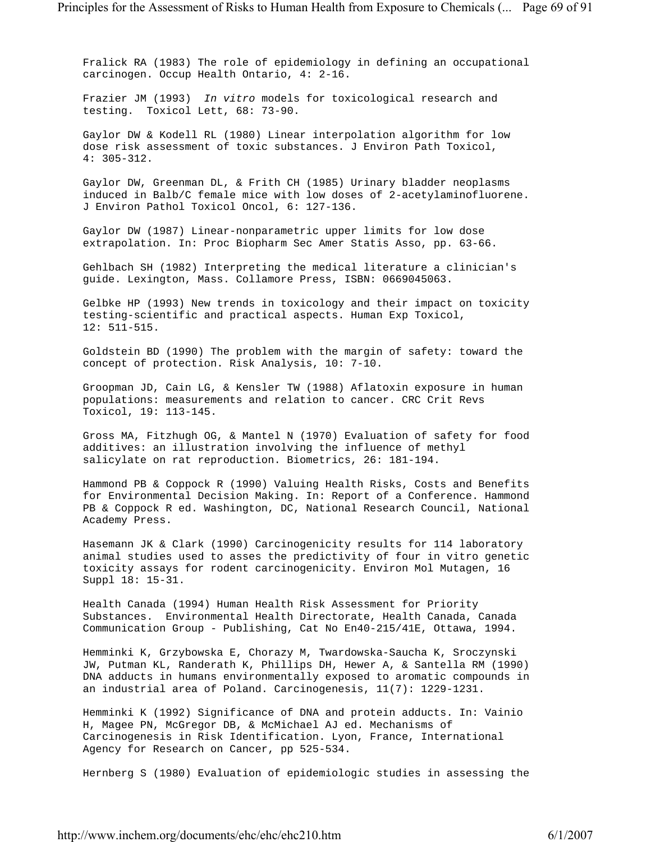Fralick RA (1983) The role of epidemiology in defining an occupational carcinogen. Occup Health Ontario, 4: 2-16.

 Frazier JM (1993) *In vitro* models for toxicological research and testing. Toxicol Lett, 68: 73-90.

 Gaylor DW & Kodell RL (1980) Linear interpolation algorithm for low dose risk assessment of toxic substances. J Environ Path Toxicol, 4: 305-312.

 Gaylor DW, Greenman DL, & Frith CH (1985) Urinary bladder neoplasms induced in Balb/C female mice with low doses of 2-acetylaminofluorene. J Environ Pathol Toxicol Oncol, 6: 127-136.

 Gaylor DW (1987) Linear-nonparametric upper limits for low dose extrapolation. In: Proc Biopharm Sec Amer Statis Asso, pp. 63-66.

 Gehlbach SH (1982) Interpreting the medical literature a clinician's guide. Lexington, Mass. Collamore Press, ISBN: 0669045063.

 Gelbke HP (1993) New trends in toxicology and their impact on toxicity testing-scientific and practical aspects. Human Exp Toxicol, 12: 511-515.

 Goldstein BD (1990) The problem with the margin of safety: toward the concept of protection. Risk Analysis, 10: 7-10.

 Groopman JD, Cain LG, & Kensler TW (1988) Aflatoxin exposure in human populations: measurements and relation to cancer. CRC Crit Revs Toxicol, 19: 113-145.

 Gross MA, Fitzhugh OG, & Mantel N (1970) Evaluation of safety for food additives: an illustration involving the influence of methyl salicylate on rat reproduction. Biometrics, 26: 181-194.

 Hammond PB & Coppock R (1990) Valuing Health Risks, Costs and Benefits for Environmental Decision Making. In: Report of a Conference. Hammond PB & Coppock R ed. Washington, DC, National Research Council, National Academy Press.

 Hasemann JK & Clark (1990) Carcinogenicity results for 114 laboratory animal studies used to asses the predictivity of four in vitro genetic toxicity assays for rodent carcinogenicity. Environ Mol Mutagen, 16 Suppl 18: 15-31.

 Health Canada (1994) Human Health Risk Assessment for Priority Substances. Environmental Health Directorate, Health Canada, Canada Communication Group - Publishing, Cat No En40-215/41E, Ottawa, 1994.

 Hemminki K, Grzybowska E, Chorazy M, Twardowska-Saucha K, Sroczynski JW, Putman KL, Randerath K, Phillips DH, Hewer A, & Santella RM (1990) DNA adducts in humans environmentally exposed to aromatic compounds in an industrial area of Poland. Carcinogenesis, 11(7): 1229-1231.

 Hemminki K (1992) Significance of DNA and protein adducts. In: Vainio H, Magee PN, McGregor DB, & McMichael AJ ed. Mechanisms of Carcinogenesis in Risk Identification. Lyon, France, International Agency for Research on Cancer, pp 525-534.

Hernberg S (1980) Evaluation of epidemiologic studies in assessing the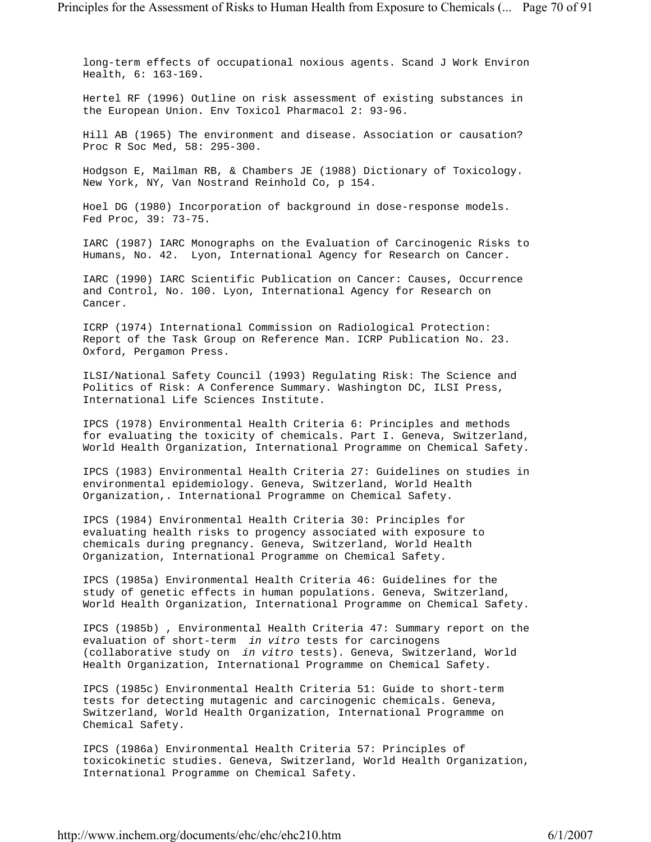long-term effects of occupational noxious agents. Scand J Work Environ Health, 6: 163-169.

 Hertel RF (1996) Outline on risk assessment of existing substances in the European Union. Env Toxicol Pharmacol 2: 93-96.

 Hill AB (1965) The environment and disease. Association or causation? Proc R Soc Med, 58: 295-300.

 Hodgson E, Mailman RB, & Chambers JE (1988) Dictionary of Toxicology. New York, NY, Van Nostrand Reinhold Co, p 154.

 Hoel DG (1980) Incorporation of background in dose-response models. Fed Proc, 39: 73-75.

 IARC (1987) IARC Monographs on the Evaluation of Carcinogenic Risks to Humans, No. 42. Lyon, International Agency for Research on Cancer.

 IARC (1990) IARC Scientific Publication on Cancer: Causes, Occurrence and Control, No. 100. Lyon, International Agency for Research on Cancer.

 ICRP (1974) International Commission on Radiological Protection: Report of the Task Group on Reference Man. ICRP Publication No. 23. Oxford, Pergamon Press.

 ILSI/National Safety Council (1993) Regulating Risk: The Science and Politics of Risk: A Conference Summary. Washington DC, ILSI Press, International Life Sciences Institute.

 IPCS (1978) Environmental Health Criteria 6: Principles and methods for evaluating the toxicity of chemicals. Part I. Geneva, Switzerland, World Health Organization, International Programme on Chemical Safety.

 IPCS (1983) Environmental Health Criteria 27: Guidelines on studies in environmental epidemiology. Geneva, Switzerland, World Health Organization,. International Programme on Chemical Safety.

 IPCS (1984) Environmental Health Criteria 30: Principles for evaluating health risks to progency associated with exposure to chemicals during pregnancy. Geneva, Switzerland, World Health Organization, International Programme on Chemical Safety.

 IPCS (1985a) Environmental Health Criteria 46: Guidelines for the study of genetic effects in human populations. Geneva, Switzerland, World Health Organization, International Programme on Chemical Safety.

 IPCS (1985b) , Environmental Health Criteria 47: Summary report on the evaluation of short-term *in vitro* tests for carcinogens (collaborative study on *in vitro* tests). Geneva, Switzerland, World Health Organization, International Programme on Chemical Safety.

 IPCS (1985c) Environmental Health Criteria 51: Guide to short-term tests for detecting mutagenic and carcinogenic chemicals. Geneva, Switzerland, World Health Organization, International Programme on Chemical Safety.

 IPCS (1986a) Environmental Health Criteria 57: Principles of toxicokinetic studies. Geneva, Switzerland, World Health Organization, International Programme on Chemical Safety.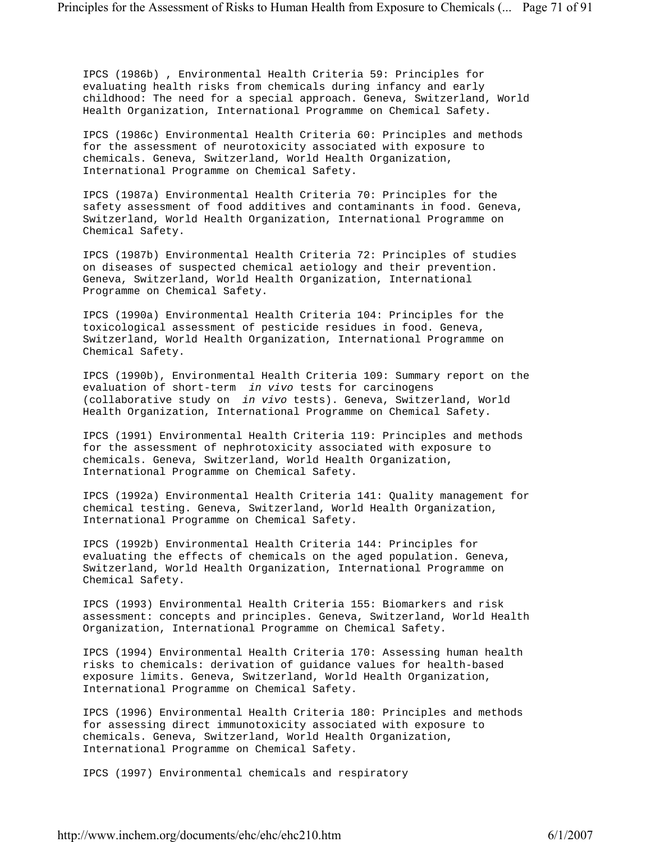IPCS (1986b) , Environmental Health Criteria 59: Principles for evaluating health risks from chemicals during infancy and early childhood: The need for a special approach. Geneva, Switzerland, World Health Organization, International Programme on Chemical Safety.

 IPCS (1986c) Environmental Health Criteria 60: Principles and methods for the assessment of neurotoxicity associated with exposure to chemicals. Geneva, Switzerland, World Health Organization, International Programme on Chemical Safety.

 IPCS (1987a) Environmental Health Criteria 70: Principles for the safety assessment of food additives and contaminants in food. Geneva, Switzerland, World Health Organization, International Programme on Chemical Safety.

 IPCS (1987b) Environmental Health Criteria 72: Principles of studies on diseases of suspected chemical aetiology and their prevention. Geneva, Switzerland, World Health Organization, International Programme on Chemical Safety.

 IPCS (1990a) Environmental Health Criteria 104: Principles for the toxicological assessment of pesticide residues in food. Geneva, Switzerland, World Health Organization, International Programme on Chemical Safety.

 IPCS (1990b), Environmental Health Criteria 109: Summary report on the evaluation of short-term *in vivo* tests for carcinogens (collaborative study on *in vivo* tests). Geneva, Switzerland, World Health Organization, International Programme on Chemical Safety.

 IPCS (1991) Environmental Health Criteria 119: Principles and methods for the assessment of nephrotoxicity associated with exposure to chemicals. Geneva, Switzerland, World Health Organization, International Programme on Chemical Safety.

 IPCS (1992a) Environmental Health Criteria 141: Quality management for chemical testing. Geneva, Switzerland, World Health Organization, International Programme on Chemical Safety.

 IPCS (1992b) Environmental Health Criteria 144: Principles for evaluating the effects of chemicals on the aged population. Geneva, Switzerland, World Health Organization, International Programme on Chemical Safety.

 IPCS (1993) Environmental Health Criteria 155: Biomarkers and risk assessment: concepts and principles. Geneva, Switzerland, World Health Organization, International Programme on Chemical Safety.

 IPCS (1994) Environmental Health Criteria 170: Assessing human health risks to chemicals: derivation of guidance values for health-based exposure limits. Geneva, Switzerland, World Health Organization, International Programme on Chemical Safety.

 IPCS (1996) Environmental Health Criteria 180: Principles and methods for assessing direct immunotoxicity associated with exposure to chemicals. Geneva, Switzerland, World Health Organization, International Programme on Chemical Safety.

IPCS (1997) Environmental chemicals and respiratory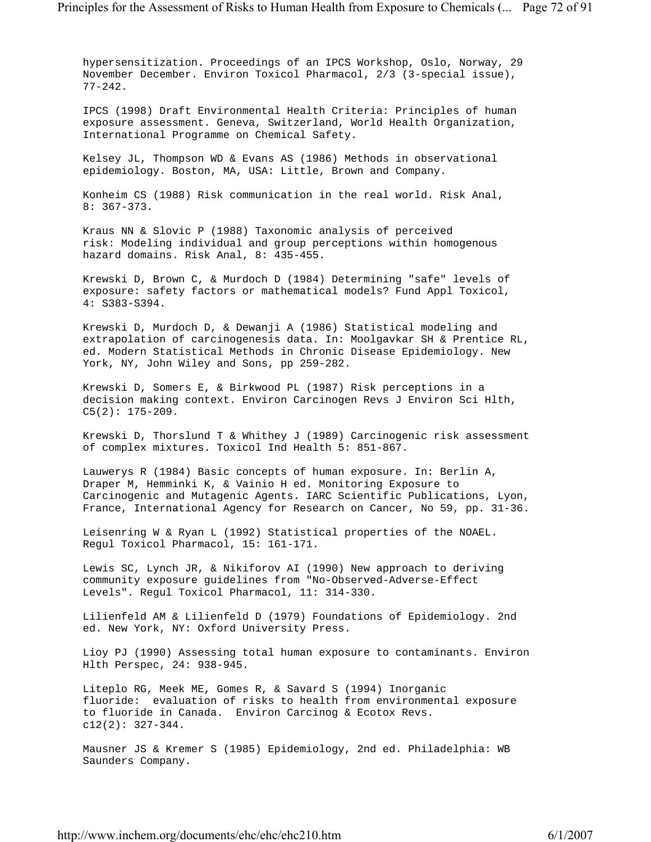hypersensitization. Proceedings of an IPCS Workshop, Oslo, Norway, 29 November December. Environ Toxicol Pharmacol, 2/3 (3-special issue), 77-242.

 IPCS (1998) Draft Environmental Health Criteria: Principles of human exposure assessment. Geneva, Switzerland, World Health Organization, International Programme on Chemical Safety.

 Kelsey JL, Thompson WD & Evans AS (1986) Methods in observational epidemiology. Boston, MA, USA: Little, Brown and Company.

 Konheim CS (1988) Risk communication in the real world. Risk Anal, 8: 367-373.

 Kraus NN & Slovic P (1988) Taxonomic analysis of perceived risk: Modeling individual and group perceptions within homogenous hazard domains. Risk Anal, 8: 435-455.

 Krewski D, Brown C, & Murdoch D (1984) Determining "safe" levels of exposure: safety factors or mathematical models? Fund Appl Toxicol, 4: S383-S394.

 Krewski D, Murdoch D, & Dewanji A (1986) Statistical modeling and extrapolation of carcinogenesis data. In: Moolgavkar SH & Prentice RL, ed. Modern Statistical Methods in Chronic Disease Epidemiology. New York, NY, John Wiley and Sons, pp 259-282.

 Krewski D, Somers E, & Birkwood PL (1987) Risk perceptions in a decision making context. Environ Carcinogen Revs J Environ Sci Hlth,  $C5(2): 175-209.$ 

 Krewski D, Thorslund T & Whithey J (1989) Carcinogenic risk assessment of complex mixtures. Toxicol Ind Health 5: 851-867.

 Lauwerys R (1984) Basic concepts of human exposure. In: Berlin A, Draper M, Hemminki K, & Vainio H ed. Monitoring Exposure to Carcinogenic and Mutagenic Agents. IARC Scientific Publications, Lyon, France, International Agency for Research on Cancer, No 59, pp. 31-36.

 Leisenring W & Ryan L (1992) Statistical properties of the NOAEL. Regul Toxicol Pharmacol, 15: 161-171.

 Lewis SC, Lynch JR, & Nikiforov AI (1990) New approach to deriving community exposure guidelines from "No-Observed-Adverse-Effect Levels". Regul Toxicol Pharmacol, 11: 314-330.

 Lilienfeld AM & Lilienfeld D (1979) Foundations of Epidemiology. 2nd ed. New York, NY: Oxford University Press.

 Lioy PJ (1990) Assessing total human exposure to contaminants. Environ Hlth Perspec, 24: 938-945.

 Liteplo RG, Meek ME, Gomes R, & Savard S (1994) Inorganic fluoride: evaluation of risks to health from environmental exposure to fluoride in Canada. Environ Carcinog & Ecotox Revs. c12(2): 327-344.

 Mausner JS & Kremer S (1985) Epidemiology, 2nd ed. Philadelphia: WB Saunders Company.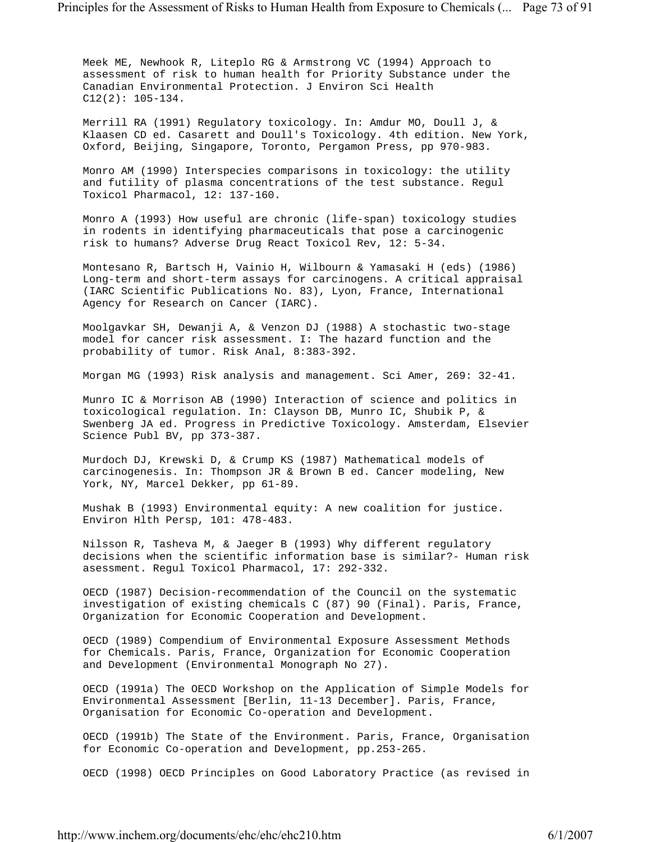Meek ME, Newhook R, Liteplo RG & Armstrong VC (1994) Approach to assessment of risk to human health for Priority Substance under the Canadian Environmental Protection. J Environ Sci Health  $C12(2): 105-134.$ 

 Merrill RA (1991) Regulatory toxicology. In: Amdur MO, Doull J, & Klaasen CD ed. Casarett and Doull's Toxicology. 4th edition. New York, Oxford, Beijing, Singapore, Toronto, Pergamon Press, pp 970-983.

 Monro AM (1990) Interspecies comparisons in toxicology: the utility and futility of plasma concentrations of the test substance. Regul Toxicol Pharmacol, 12: 137-160.

 Monro A (1993) How useful are chronic (life-span) toxicology studies in rodents in identifying pharmaceuticals that pose a carcinogenic risk to humans? Adverse Drug React Toxicol Rev, 12: 5-34.

 Montesano R, Bartsch H, Vainio H, Wilbourn & Yamasaki H (eds) (1986) Long-term and short-term assays for carcinogens. A critical appraisal (IARC Scientific Publications No. 83), Lyon, France, International Agency for Research on Cancer (IARC).

 Moolgavkar SH, Dewanji A, & Venzon DJ (1988) A stochastic two-stage model for cancer risk assessment. I: The hazard function and the probability of tumor. Risk Anal, 8:383-392.

Morgan MG (1993) Risk analysis and management. Sci Amer, 269: 32-41.

 Munro IC & Morrison AB (1990) Interaction of science and politics in toxicological regulation. In: Clayson DB, Munro IC, Shubik P, & Swenberg JA ed. Progress in Predictive Toxicology. Amsterdam, Elsevier Science Publ BV, pp 373-387.

 Murdoch DJ, Krewski D, & Crump KS (1987) Mathematical models of carcinogenesis. In: Thompson JR & Brown B ed. Cancer modeling, New York, NY, Marcel Dekker, pp 61-89.

 Mushak B (1993) Environmental equity: A new coalition for justice. Environ Hlth Persp, 101: 478-483.

 Nilsson R, Tasheva M, & Jaeger B (1993) Why different regulatory decisions when the scientific information base is similar?- Human risk asessment. Regul Toxicol Pharmacol, 17: 292-332.

 OECD (1987) Decision-recommendation of the Council on the systematic investigation of existing chemicals C (87) 90 (Final). Paris, France, Organization for Economic Cooperation and Development.

 OECD (1989) Compendium of Environmental Exposure Assessment Methods for Chemicals. Paris, France, Organization for Economic Cooperation and Development (Environmental Monograph No 27).

 OECD (1991a) The OECD Workshop on the Application of Simple Models for Environmental Assessment [Berlin, 11-13 December]. Paris, France, Organisation for Economic Co-operation and Development.

 OECD (1991b) The State of the Environment. Paris, France, Organisation for Economic Co-operation and Development, pp.253-265.

OECD (1998) OECD Principles on Good Laboratory Practice (as revised in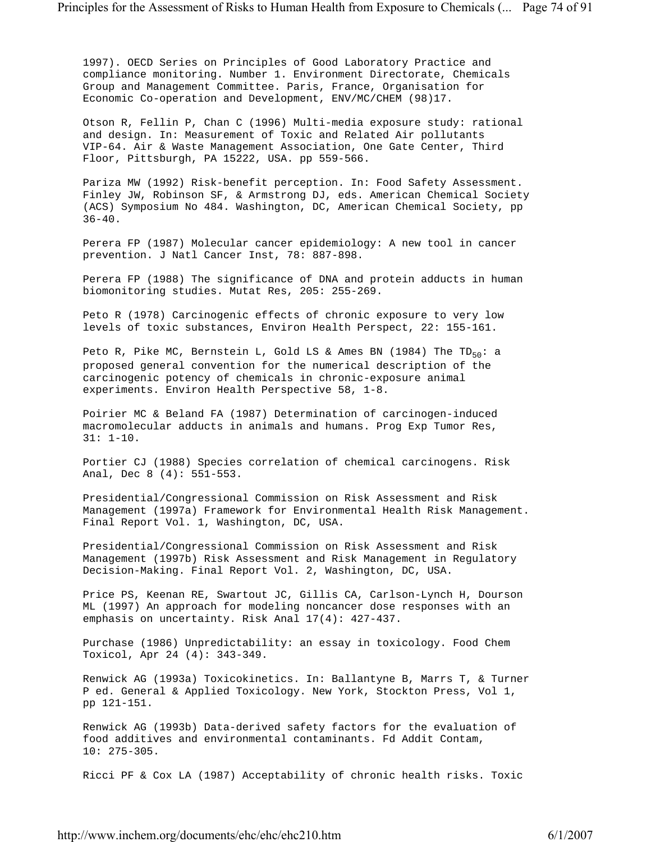1997). OECD Series on Principles of Good Laboratory Practice and compliance monitoring. Number 1. Environment Directorate, Chemicals Group and Management Committee. Paris, France, Organisation for Economic Co-operation and Development, ENV/MC/CHEM (98)17.

 Otson R, Fellin P, Chan C (1996) Multi-media exposure study: rational and design. In: Measurement of Toxic and Related Air pollutants VIP-64. Air & Waste Management Association, One Gate Center, Third Floor, Pittsburgh, PA 15222, USA. pp 559-566.

 Pariza MW (1992) Risk-benefit perception. In: Food Safety Assessment. Finley JW, Robinson SF, & Armstrong DJ, eds. American Chemical Society (ACS) Symposium No 484. Washington, DC, American Chemical Society, pp  $36 - 40$ .

 Perera FP (1987) Molecular cancer epidemiology: A new tool in cancer prevention. J Natl Cancer Inst, 78: 887-898.

 Perera FP (1988) The significance of DNA and protein adducts in human biomonitoring studies. Mutat Res, 205: 255-269.

 Peto R (1978) Carcinogenic effects of chronic exposure to very low levels of toxic substances, Environ Health Perspect, 22: 155-161.

Peto R, Pike MC, Bernstein L, Gold LS & Ames BN (1984) The TD<sub>50</sub>: a proposed general convention for the numerical description of the carcinogenic potency of chemicals in chronic-exposure animal experiments. Environ Health Perspective 58, 1-8.

 Poirier MC & Beland FA (1987) Determination of carcinogen-induced macromolecular adducts in animals and humans. Prog Exp Tumor Res, 31: 1-10.

 Portier CJ (1988) Species correlation of chemical carcinogens. Risk Anal, Dec 8 (4): 551-553.

 Presidential/Congressional Commission on Risk Assessment and Risk Management (1997a) Framework for Environmental Health Risk Management. Final Report Vol. 1, Washington, DC, USA.

 Presidential/Congressional Commission on Risk Assessment and Risk Management (1997b) Risk Assessment and Risk Management in Regulatory Decision-Making. Final Report Vol. 2, Washington, DC, USA.

 Price PS, Keenan RE, Swartout JC, Gillis CA, Carlson-Lynch H, Dourson ML (1997) An approach for modeling noncancer dose responses with an emphasis on uncertainty. Risk Anal 17(4): 427-437.

 Purchase (1986) Unpredictability: an essay in toxicology. Food Chem Toxicol, Apr 24 (4): 343-349.

 Renwick AG (1993a) Toxicokinetics. In: Ballantyne B, Marrs T, & Turner P ed. General & Applied Toxicology. New York, Stockton Press, Vol 1, pp 121-151.

 Renwick AG (1993b) Data-derived safety factors for the evaluation of food additives and environmental contaminants. Fd Addit Contam, 10: 275-305.

Ricci PF & Cox LA (1987) Acceptability of chronic health risks. Toxic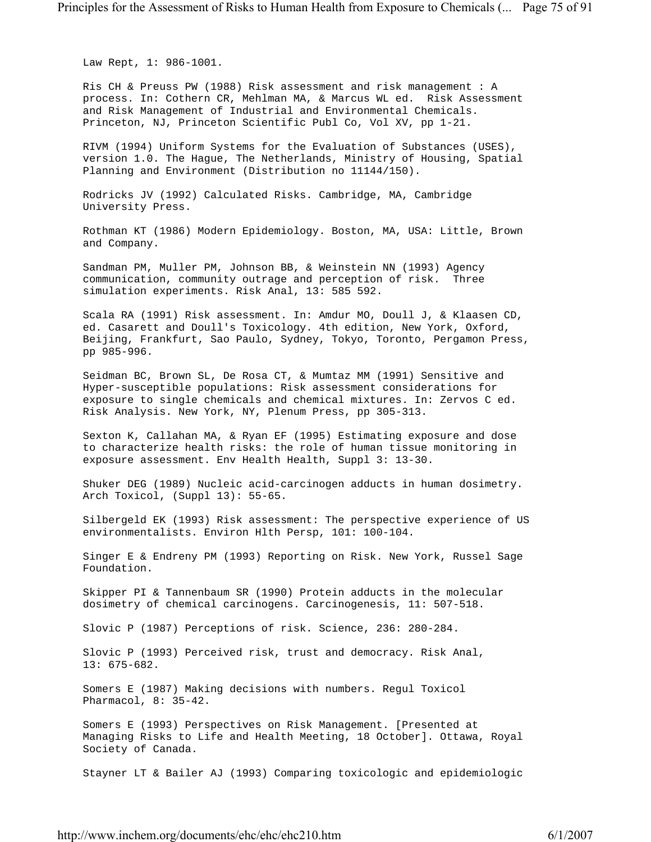Law Rept, 1: 986-1001.

 Ris CH & Preuss PW (1988) Risk assessment and risk management : A process. In: Cothern CR, Mehlman MA, & Marcus WL ed. Risk Assessment and Risk Management of Industrial and Environmental Chemicals. Princeton, NJ, Princeton Scientific Publ Co, Vol XV, pp 1-21.

 RIVM (1994) Uniform Systems for the Evaluation of Substances (USES), version 1.0. The Hague, The Netherlands, Ministry of Housing, Spatial Planning and Environment (Distribution no 11144/150).

 Rodricks JV (1992) Calculated Risks. Cambridge, MA, Cambridge University Press.

 Rothman KT (1986) Modern Epidemiology. Boston, MA, USA: Little, Brown and Company.

 Sandman PM, Muller PM, Johnson BB, & Weinstein NN (1993) Agency communication, community outrage and perception of risk. Three simulation experiments. Risk Anal, 13: 585 592.

 Scala RA (1991) Risk assessment. In: Amdur MO, Doull J, & Klaasen CD, ed. Casarett and Doull's Toxicology. 4th edition, New York, Oxford, Beijing, Frankfurt, Sao Paulo, Sydney, Tokyo, Toronto, Pergamon Press, pp 985-996.

 Seidman BC, Brown SL, De Rosa CT, & Mumtaz MM (1991) Sensitive and Hyper-susceptible populations: Risk assessment considerations for exposure to single chemicals and chemical mixtures. In: Zervos C ed. Risk Analysis. New York, NY, Plenum Press, pp 305-313.

 Sexton K, Callahan MA, & Ryan EF (1995) Estimating exposure and dose to characterize health risks: the role of human tissue monitoring in exposure assessment. Env Health Health, Suppl 3: 13-30.

 Shuker DEG (1989) Nucleic acid-carcinogen adducts in human dosimetry. Arch Toxicol, (Suppl 13): 55-65.

 Silbergeld EK (1993) Risk assessment: The perspective experience of US environmentalists. Environ Hlth Persp, 101: 100-104.

 Singer E & Endreny PM (1993) Reporting on Risk. New York, Russel Sage Foundation.

 Skipper PI & Tannenbaum SR (1990) Protein adducts in the molecular dosimetry of chemical carcinogens. Carcinogenesis, 11: 507-518.

Slovic P (1987) Perceptions of risk. Science, 236: 280-284.

 Slovic P (1993) Perceived risk, trust and democracy. Risk Anal, 13: 675-682.

 Somers E (1987) Making decisions with numbers. Regul Toxicol Pharmacol, 8: 35-42.

 Somers E (1993) Perspectives on Risk Management. [Presented at Managing Risks to Life and Health Meeting, 18 October]. Ottawa, Royal Society of Canada.

Stayner LT & Bailer AJ (1993) Comparing toxicologic and epidemiologic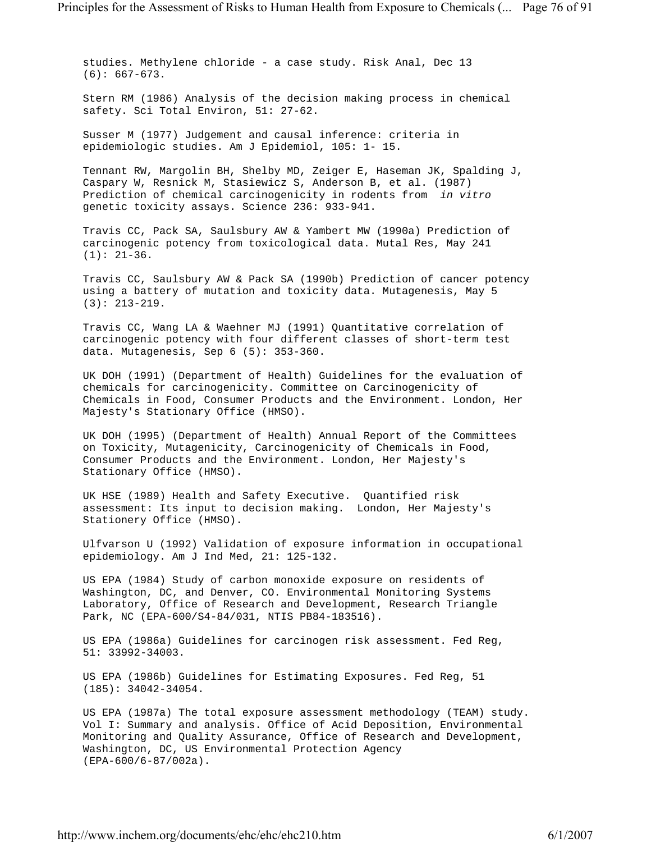studies. Methylene chloride - a case study. Risk Anal, Dec 13

 (6): 667-673. Stern RM (1986) Analysis of the decision making process in chemical safety. Sci Total Environ, 51: 27-62. Susser M (1977) Judgement and causal inference: criteria in epidemiologic studies. Am J Epidemiol, 105: 1- 15. Tennant RW, Margolin BH, Shelby MD, Zeiger E, Haseman JK, Spalding J, Caspary W, Resnick M, Stasiewicz S, Anderson B, et al. (1987) Prediction of chemical carcinogenicity in rodents from *in vitro* genetic toxicity assays. Science 236: 933-941. Travis CC, Pack SA, Saulsbury AW & Yambert MW (1990a) Prediction of carcinogenic potency from toxicological data. Mutal Res, May 241  $(1): 21-36.$  Travis CC, Saulsbury AW & Pack SA (1990b) Prediction of cancer potency using a battery of mutation and toxicity data. Mutagenesis, May 5 (3): 213-219. Travis CC, Wang LA & Waehner MJ (1991) Quantitative correlation of carcinogenic potency with four different classes of short-term test data. Mutagenesis, Sep 6 (5): 353-360. UK DOH (1991) (Department of Health) Guidelines for the evaluation of chemicals for carcinogenicity. Committee on Carcinogenicity of Chemicals in Food, Consumer Products and the Environment. London, Her Majesty's Stationary Office (HMSO). UK DOH (1995) (Department of Health) Annual Report of the Committees on Toxicity, Mutagenicity, Carcinogenicity of Chemicals in Food, Consumer Products and the Environment. London, Her Majesty's Stationary Office (HMSO). UK HSE (1989) Health and Safety Executive. Quantified risk assessment: Its input to decision making. London, Her Majesty's Stationery Office (HMSO). Ulfvarson U (1992) Validation of exposure information in occupational epidemiology. Am J Ind Med, 21: 125-132. US EPA (1984) Study of carbon monoxide exposure on residents of Washington, DC, and Denver, CO. Environmental Monitoring Systems Laboratory, Office of Research and Development, Research Triangle Park, NC (EPA-600/S4-84/031, NTIS PB84-183516). US EPA (1986a) Guidelines for carcinogen risk assessment. Fed Reg, 51: 33992-34003. US EPA (1986b) Guidelines for Estimating Exposures. Fed Reg, 51 (185): 34042-34054. US EPA (1987a) The total exposure assessment methodology (TEAM) study. Vol I: Summary and analysis. Office of Acid Deposition, Environmental Monitoring and Quality Assurance, Office of Research and Development, Washington, DC, US Environmental Protection Agency (EPA-600/6-87/002a).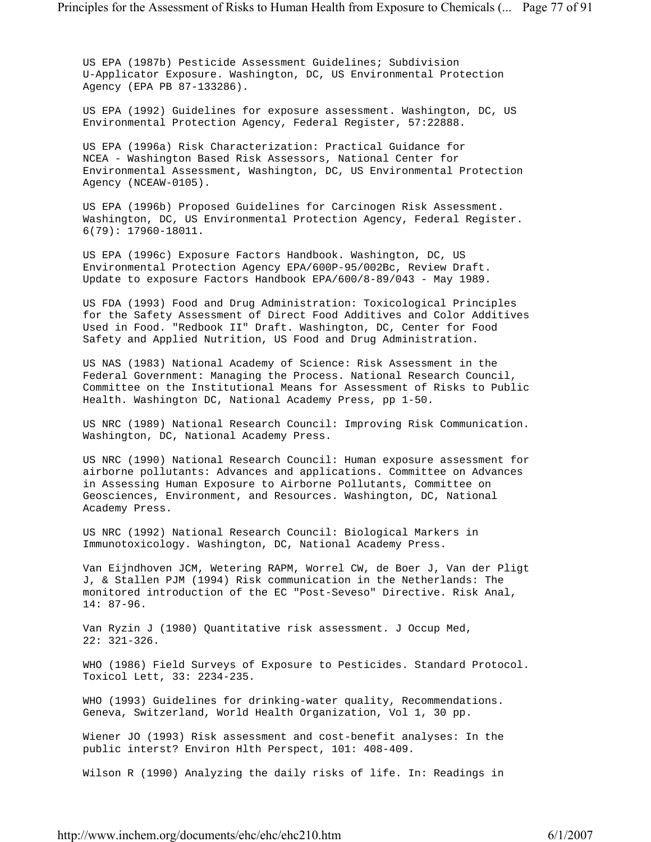US EPA (1987b) Pesticide Assessment Guidelines; Subdivision U-Applicator Exposure. Washington, DC, US Environmental Protection Agency (EPA PB 87-133286).

 US EPA (1992) Guidelines for exposure assessment. Washington, DC, US Environmental Protection Agency, Federal Register, 57:22888.

 US EPA (1996a) Risk Characterization: Practical Guidance for NCEA - Washington Based Risk Assessors, National Center for Environmental Assessment, Washington, DC, US Environmental Protection Agency (NCEAW-0105).

 US EPA (1996b) Proposed Guidelines for Carcinogen Risk Assessment. Washington, DC, US Environmental Protection Agency, Federal Register. 6(79): 17960-18011.

 US EPA (1996c) Exposure Factors Handbook. Washington, DC, US Environmental Protection Agency EPA/600P-95/002Bc, Review Draft. Update to exposure Factors Handbook EPA/600/8-89/043 - May 1989.

 US FDA (1993) Food and Drug Administration: Toxicological Principles for the Safety Assessment of Direct Food Additives and Color Additives Used in Food. "Redbook II" Draft. Washington, DC, Center for Food Safety and Applied Nutrition, US Food and Drug Administration.

 US NAS (1983) National Academy of Science: Risk Assessment in the Federal Government: Managing the Process. National Research Council, Committee on the Institutional Means for Assessment of Risks to Public Health. Washington DC, National Academy Press, pp 1-50.

 US NRC (1989) National Research Council: Improving Risk Communication. Washington, DC, National Academy Press.

 US NRC (1990) National Research Council: Human exposure assessment for airborne pollutants: Advances and applications. Committee on Advances in Assessing Human Exposure to Airborne Pollutants, Committee on Geosciences, Environment, and Resources. Washington, DC, National Academy Press.

 US NRC (1992) National Research Council: Biological Markers in Immunotoxicology. Washington, DC, National Academy Press.

 Van Eijndhoven JCM, Wetering RAPM, Worrel CW, de Boer J, Van der Pligt J, & Stallen PJM (1994) Risk communication in the Netherlands: The monitored introduction of the EC "Post-Seveso" Directive. Risk Anal, 14: 87-96.

 Van Ryzin J (1980) Quantitative risk assessment. J Occup Med, 22: 321-326.

 WHO (1986) Field Surveys of Exposure to Pesticides. Standard Protocol. Toxicol Lett, 33: 2234-235.

 WHO (1993) Guidelines for drinking-water quality, Recommendations. Geneva, Switzerland, World Health Organization, Vol 1, 30 pp.

 Wiener JO (1993) Risk assessment and cost-benefit analyses: In the public interst? Environ Hlth Perspect, 101: 408-409.

Wilson R (1990) Analyzing the daily risks of life. In: Readings in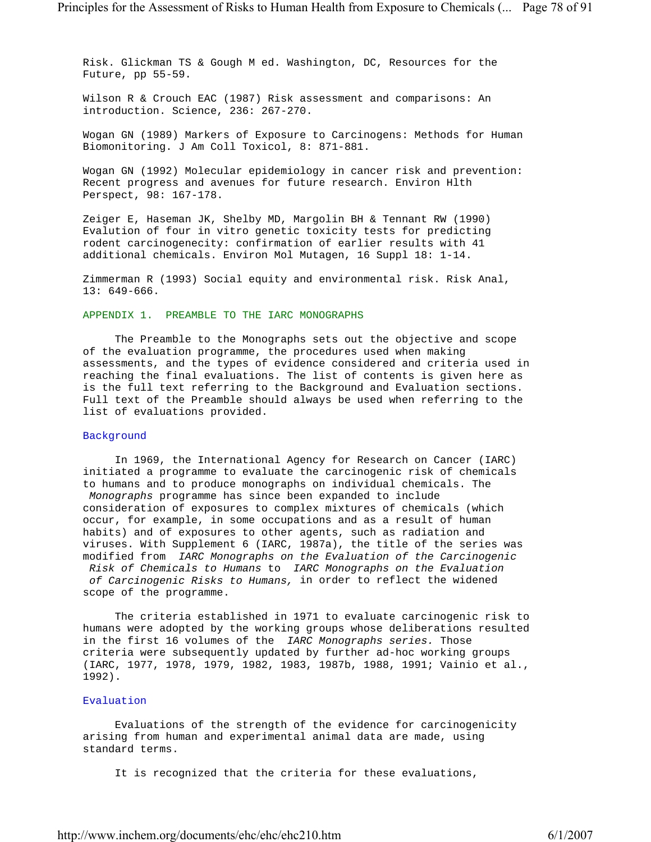Risk. Glickman TS & Gough M ed. Washington, DC, Resources for the Future, pp 55-59.

 Wilson R & Crouch EAC (1987) Risk assessment and comparisons: An introduction. Science, 236: 267-270.

 Wogan GN (1989) Markers of Exposure to Carcinogens: Methods for Human Biomonitoring. J Am Coll Toxicol, 8: 871-881.

 Wogan GN (1992) Molecular epidemiology in cancer risk and prevention: Recent progress and avenues for future research. Environ Hlth Perspect, 98: 167-178.

 Zeiger E, Haseman JK, Shelby MD, Margolin BH & Tennant RW (1990) Evalution of four in vitro genetic toxicity tests for predicting rodent carcinogenecity: confirmation of earlier results with 41 additional chemicals. Environ Mol Mutagen, 16 Suppl 18: 1-14.

 Zimmerman R (1993) Social equity and environmental risk. Risk Anal, 13: 649-666.

# APPENDIX 1. PREAMBLE TO THE IARC MONOGRAPHS

 The Preamble to the Monographs sets out the objective and scope of the evaluation programme, the procedures used when making assessments, and the types of evidence considered and criteria used in reaching the final evaluations. The list of contents is given here as is the full text referring to the Background and Evaluation sections. Full text of the Preamble should always be used when referring to the list of evaluations provided.

### Background

 In 1969, the International Agency for Research on Cancer (IARC) initiated a programme to evaluate the carcinogenic risk of chemicals to humans and to produce monographs on individual chemicals. The *Monographs* programme has since been expanded to include consideration of exposures to complex mixtures of chemicals (which occur, for example, in some occupations and as a result of human habits) and of exposures to other agents, such as radiation and viruses. With Supplement 6 (IARC, 1987a), the title of the series was modified from *IARC Monographs on the Evaluation of the Carcinogenic Risk of Chemicals to Humans* to *IARC Monographs on the Evaluation of Carcinogenic Risks to Humans,* in order to reflect the widened scope of the programme.

 The criteria established in 1971 to evaluate carcinogenic risk to humans were adopted by the working groups whose deliberations resulted in the first 16 volumes of the *IARC Monographs series.* Those criteria were subsequently updated by further ad-hoc working groups (IARC, 1977, 1978, 1979, 1982, 1983, 1987b, 1988, 1991; Vainio et al., 1992).

#### Evaluation

 Evaluations of the strength of the evidence for carcinogenicity arising from human and experimental animal data are made, using standard terms.

It is recognized that the criteria for these evaluations,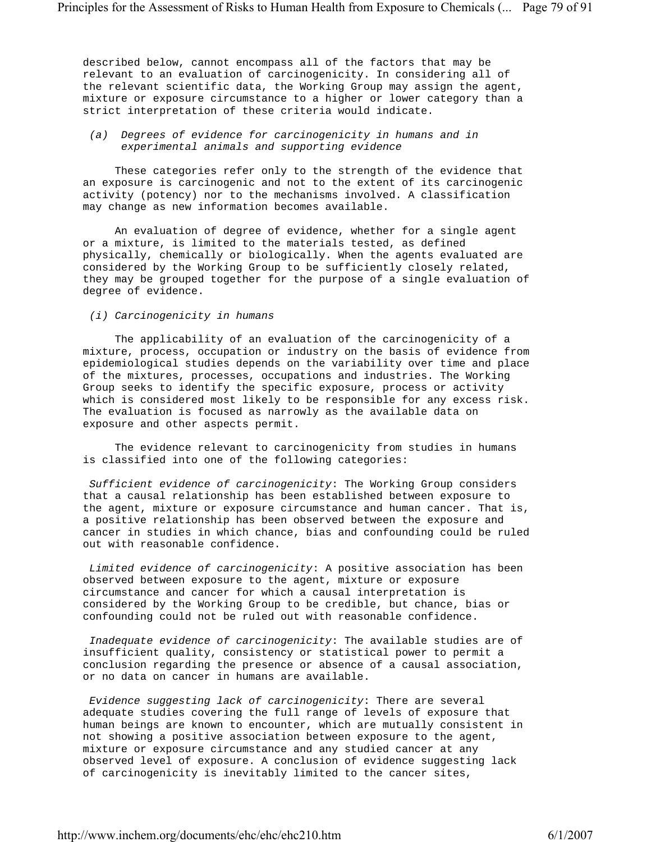described below, cannot encompass all of the factors that may be relevant to an evaluation of carcinogenicity. In considering all of the relevant scientific data, the Working Group may assign the agent, mixture or exposure circumstance to a higher or lower category than a strict interpretation of these criteria would indicate.

# *(a) Degrees of evidence for carcinogenicity in humans and in experimental animals and supporting evidence*

 These categories refer only to the strength of the evidence that an exposure is carcinogenic and not to the extent of its carcinogenic activity (potency) nor to the mechanisms involved. A classification may change as new information becomes available.

 An evaluation of degree of evidence, whether for a single agent or a mixture, is limited to the materials tested, as defined physically, chemically or biologically. When the agents evaluated are considered by the Working Group to be sufficiently closely related, they may be grouped together for the purpose of a single evaluation of degree of evidence.

## *(i) Carcinogenicity in humans*

 The applicability of an evaluation of the carcinogenicity of a mixture, process, occupation or industry on the basis of evidence from epidemiological studies depends on the variability over time and place of the mixtures, processes, occupations and industries. The Working Group seeks to identify the specific exposure, process or activity which is considered most likely to be responsible for any excess risk. The evaluation is focused as narrowly as the available data on exposure and other aspects permit.

 The evidence relevant to carcinogenicity from studies in humans is classified into one of the following categories:

 *Sufficient evidence of carcinogenicity*: The Working Group considers that a causal relationship has been established between exposure to the agent, mixture or exposure circumstance and human cancer. That is, a positive relationship has been observed between the exposure and cancer in studies in which chance, bias and confounding could be ruled out with reasonable confidence.

 *Limited evidence of carcinogenicity*: A positive association has been observed between exposure to the agent, mixture or exposure circumstance and cancer for which a causal interpretation is considered by the Working Group to be credible, but chance, bias or confounding could not be ruled out with reasonable confidence.

 *Inadequate evidence of carcinogenicity*: The available studies are of insufficient quality, consistency or statistical power to permit a conclusion regarding the presence or absence of a causal association, or no data on cancer in humans are available.

 *Evidence suggesting lack of carcinogenicity*: There are several adequate studies covering the full range of levels of exposure that human beings are known to encounter, which are mutually consistent in not showing a positive association between exposure to the agent, mixture or exposure circumstance and any studied cancer at any observed level of exposure. A conclusion of evidence suggesting lack of carcinogenicity is inevitably limited to the cancer sites,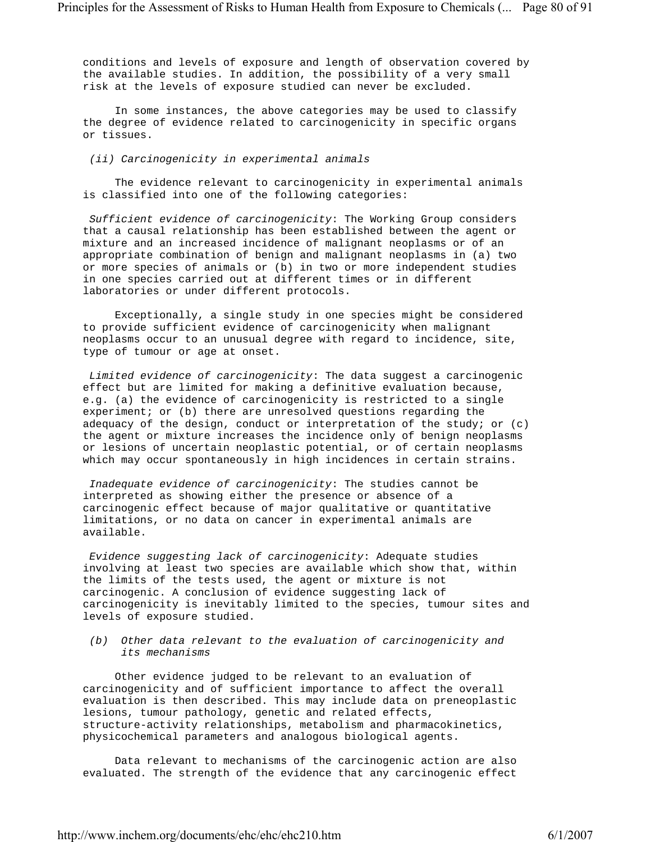conditions and levels of exposure and length of observation covered by the available studies. In addition, the possibility of a very small risk at the levels of exposure studied can never be excluded.

 In some instances, the above categories may be used to classify the degree of evidence related to carcinogenicity in specific organs or tissues.

*(ii) Carcinogenicity in experimental animals*

 The evidence relevant to carcinogenicity in experimental animals is classified into one of the following categories:

 *Sufficient evidence of carcinogenicity*: The Working Group considers that a causal relationship has been established between the agent or mixture and an increased incidence of malignant neoplasms or of an appropriate combination of benign and malignant neoplasms in (a) two or more species of animals or (b) in two or more independent studies in one species carried out at different times or in different laboratories or under different protocols.

 Exceptionally, a single study in one species might be considered to provide sufficient evidence of carcinogenicity when malignant neoplasms occur to an unusual degree with regard to incidence, site, type of tumour or age at onset.

 *Limited evidence of carcinogenicity*: The data suggest a carcinogenic effect but are limited for making a definitive evaluation because, e.g. (a) the evidence of carcinogenicity is restricted to a single experiment; or (b) there are unresolved questions regarding the adequacy of the design, conduct or interpretation of the study; or (c) the agent or mixture increases the incidence only of benign neoplasms or lesions of uncertain neoplastic potential, or of certain neoplasms which may occur spontaneously in high incidences in certain strains.

 *Inadequate evidence of carcinogenicity*: The studies cannot be interpreted as showing either the presence or absence of a carcinogenic effect because of major qualitative or quantitative limitations, or no data on cancer in experimental animals are available.

 *Evidence suggesting lack of carcinogenicity*: Adequate studies involving at least two species are available which show that, within the limits of the tests used, the agent or mixture is not carcinogenic. A conclusion of evidence suggesting lack of carcinogenicity is inevitably limited to the species, tumour sites and levels of exposure studied.

 *(b) Other data relevant to the evaluation of carcinogenicity and its mechanisms*

 Other evidence judged to be relevant to an evaluation of carcinogenicity and of sufficient importance to affect the overall evaluation is then described. This may include data on preneoplastic lesions, tumour pathology, genetic and related effects, structure-activity relationships, metabolism and pharmacokinetics, physicochemical parameters and analogous biological agents.

 Data relevant to mechanisms of the carcinogenic action are also evaluated. The strength of the evidence that any carcinogenic effect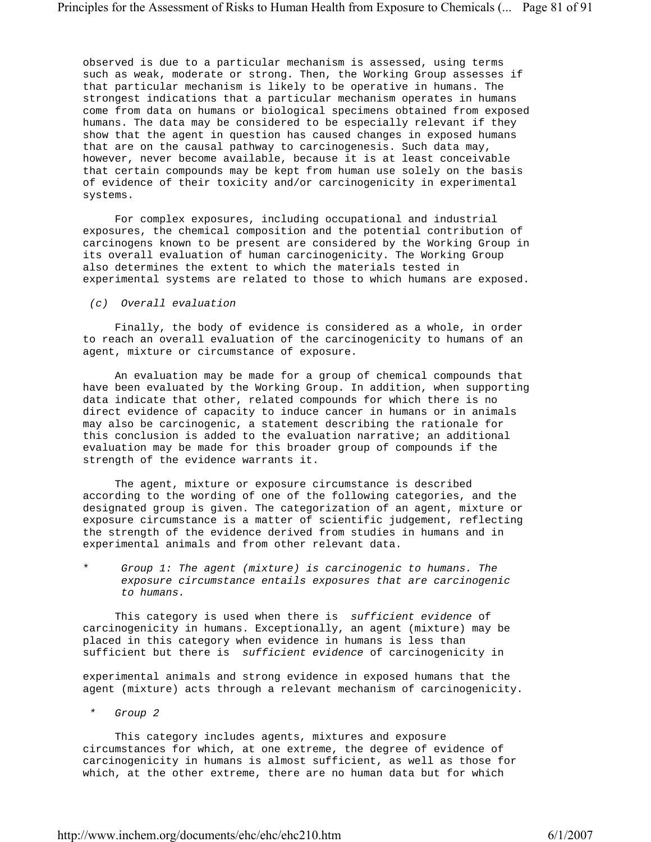observed is due to a particular mechanism is assessed, using terms such as weak, moderate or strong. Then, the Working Group assesses if that particular mechanism is likely to be operative in humans. The strongest indications that a particular mechanism operates in humans come from data on humans or biological specimens obtained from exposed humans. The data may be considered to be especially relevant if they show that the agent in question has caused changes in exposed humans that are on the causal pathway to carcinogenesis. Such data may, however, never become available, because it is at least conceivable that certain compounds may be kept from human use solely on the basis of evidence of their toxicity and/or carcinogenicity in experimental systems.

 For complex exposures, including occupational and industrial exposures, the chemical composition and the potential contribution of carcinogens known to be present are considered by the Working Group in its overall evaluation of human carcinogenicity. The Working Group also determines the extent to which the materials tested in experimental systems are related to those to which humans are exposed.

### *(c) Overall evaluation*

 Finally, the body of evidence is considered as a whole, in order to reach an overall evaluation of the carcinogenicity to humans of an agent, mixture or circumstance of exposure.

 An evaluation may be made for a group of chemical compounds that have been evaluated by the Working Group. In addition, when supporting data indicate that other, related compounds for which there is no direct evidence of capacity to induce cancer in humans or in animals may also be carcinogenic, a statement describing the rationale for this conclusion is added to the evaluation narrative; an additional evaluation may be made for this broader group of compounds if the strength of the evidence warrants it.

 The agent, mixture or exposure circumstance is described according to the wording of one of the following categories, and the designated group is given. The categorization of an agent, mixture or exposure circumstance is a matter of scientific judgement, reflecting the strength of the evidence derived from studies in humans and in experimental animals and from other relevant data.

 \* *Group 1: The agent (mixture) is carcinogenic to humans. The exposure circumstance entails exposures that are carcinogenic to humans.*

 This category is used when there is *sufficient evidence* of carcinogenicity in humans. Exceptionally, an agent (mixture) may be placed in this category when evidence in humans is less than sufficient but there is *sufficient evidence* of carcinogenicity in

 experimental animals and strong evidence in exposed humans that the agent (mixture) acts through a relevant mechanism of carcinogenicity.

*\* Group 2*

 This category includes agents, mixtures and exposure circumstances for which, at one extreme, the degree of evidence of carcinogenicity in humans is almost sufficient, as well as those for which, at the other extreme, there are no human data but for which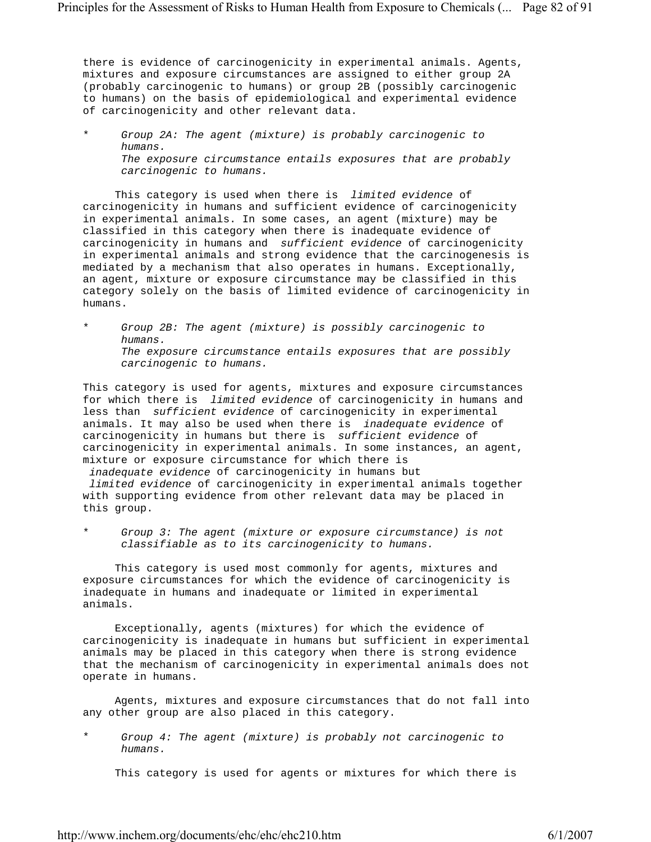there is evidence of carcinogenicity in experimental animals. Agents, mixtures and exposure circumstances are assigned to either group 2A (probably carcinogenic to humans) or group 2B (possibly carcinogenic to humans) on the basis of epidemiological and experimental evidence of carcinogenicity and other relevant data.

 \* *Group 2A: The agent (mixture) is probably carcinogenic to humans. The exposure circumstance entails exposures that are probably carcinogenic to humans.*

 This category is used when there is *limited evidence* of carcinogenicity in humans and sufficient evidence of carcinogenicity in experimental animals. In some cases, an agent (mixture) may be classified in this category when there is inadequate evidence of carcinogenicity in humans and *sufficient evidence* of carcinogenicity in experimental animals and strong evidence that the carcinogenesis is mediated by a mechanism that also operates in humans. Exceptionally, an agent, mixture or exposure circumstance may be classified in this category solely on the basis of limited evidence of carcinogenicity in humans.

 \* *Group 2B: The agent (mixture) is possibly carcinogenic to humans. The exposure circumstance entails exposures that are possibly carcinogenic to humans.*

 This category is used for agents, mixtures and exposure circumstances for which there is *limited evidence* of carcinogenicity in humans and less than *sufficient evidence* of carcinogenicity in experimental animals. It may also be used when there is *inadequate evidence* of carcinogenicity in humans but there is *sufficient evidence* of carcinogenicity in experimental animals. In some instances, an agent, mixture or exposure circumstance for which there is

 *inadequate evidence* of carcinogenicity in humans but *limited evidence* of carcinogenicity in experimental animals together with supporting evidence from other relevant data may be placed in this group.

 \* *Group 3: The agent (mixture or exposure circumstance) is not classifiable as to its carcinogenicity to humans.*

 This category is used most commonly for agents, mixtures and exposure circumstances for which the evidence of carcinogenicity is inadequate in humans and inadequate or limited in experimental animals.

 Exceptionally, agents (mixtures) for which the evidence of carcinogenicity is inadequate in humans but sufficient in experimental animals may be placed in this category when there is strong evidence that the mechanism of carcinogenicity in experimental animals does not operate in humans.

 Agents, mixtures and exposure circumstances that do not fall into any other group are also placed in this category.

 \* *Group 4: The agent (mixture) is probably not carcinogenic to humans.*

This category is used for agents or mixtures for which there is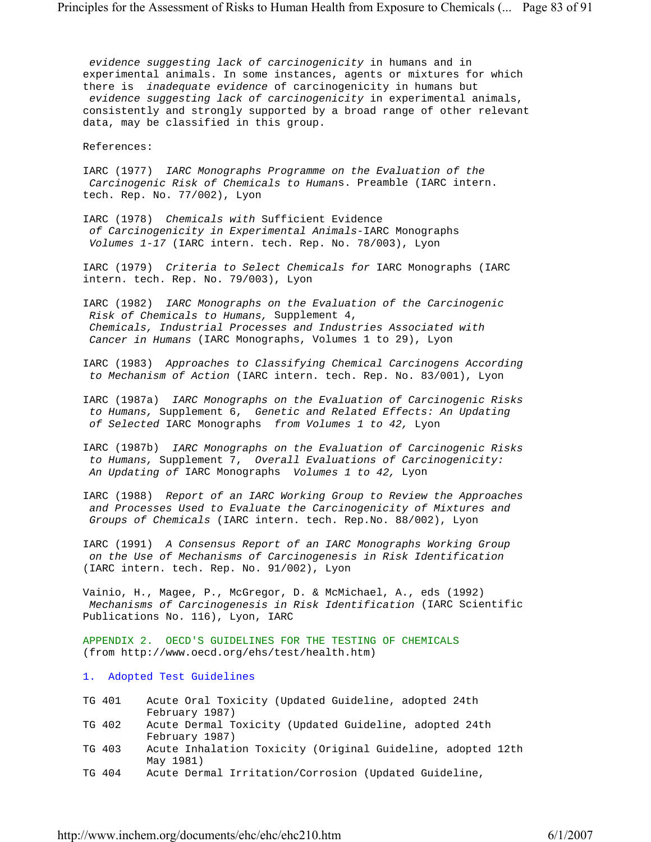*evidence suggesting lack of carcinogenicity* in humans and in experimental animals. In some instances, agents or mixtures for which there is *inadequate evidence* of carcinogenicity in humans but *evidence suggesting lack of carcinogenicity* in experimental animals, consistently and strongly supported by a broad range of other relevant data, may be classified in this group.

References:

 IARC (1977) *IARC Monographs Programme on the Evaluation of the Carcinogenic Risk of Chemicals to Human*s. Preamble (IARC intern. tech. Rep. No. 77/002), Lyon

 IARC (1978) *Chemicals with* Sufficient Evidence *of Carcinogenicity in Experimental Animals-*IARC Monographs *Volumes 1-17* (IARC intern. tech. Rep. No. 78/003), Lyon

 IARC (1979) *Criteria to Select Chemicals for* IARC Monographs (IARC intern. tech. Rep. No. 79/003), Lyon

 IARC (1982) *IARC Monographs on the Evaluation of the Carcinogenic Risk of Chemicals to Humans,* Supplement 4, *Chemicals, Industrial Processes and Industries Associated with Cancer in Humans* (IARC Monographs, Volumes 1 to 29), Lyon

 IARC (1983) *Approaches to Classifying Chemical Carcinogens According to Mechanism of Action* (IARC intern. tech. Rep. No. 83/001), Lyon

 IARC (1987a) *IARC Monographs on the Evaluation of Carcinogenic Risks to Humans,* Supplement 6, *Genetic and Related Effects: An Updating of Selected* IARC Monographs *from Volumes 1 to 42,* Lyon

 IARC (1987b) *IARC Monographs on the Evaluation of Carcinogenic Risks to Humans,* Supplement 7, *Overall Evaluations of Carcinogenicity: An Updating of* IARC Monographs *Volumes 1 to 42,* Lyon

 IARC (1988) *Report of an IARC Working Group to Review the Approaches and Processes Used to Evaluate the Carcinogenicity of Mixtures and Groups of Chemicals* (IARC intern. tech. Rep.No. 88/002), Lyon

 IARC (1991) *A Consensus Report of an IARC Monographs Working Group on the Use of Mechanisms of Carcinogenesis in Risk Identification* (IARC intern. tech. Rep. No. 91/002), Lyon

 Vainio, H., Magee, P., McGregor, D. & McMichael, A., eds (1992) *Mechanisms of Carcinogenesis in Risk Identification* (IARC Scientific Publications No. 116), Lyon, IARC

 APPENDIX 2. OECD'S GUIDELINES FOR THE TESTING OF CHEMICALS (from http://www.oecd.org/ehs/test/health.htm)

## 1. Adopted Test Guidelines

|  | TG 401      |                |  |  |  |  | Acute Oral Toxicity (Updated Guideline, adopted 24th |  |
|--|-------------|----------------|--|--|--|--|------------------------------------------------------|--|
|  |             | February 1987) |  |  |  |  |                                                      |  |
|  | $-\sim$ 100 | .              |  |  |  |  |                                                      |  |

- TG 402 Acute Dermal Toxicity (Updated Guideline, adopted 24th February 1987)
- TG 403 Acute Inhalation Toxicity (Original Guideline, adopted 12th May 1981)

TG 404 Acute Dermal Irritation/Corrosion (Updated Guideline,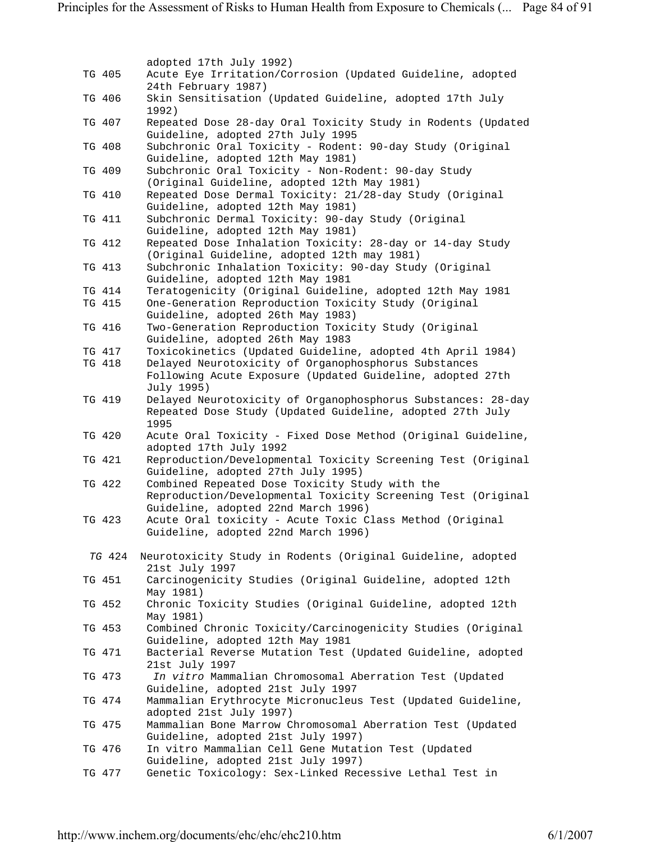|        | adopted 17th July 1992)                                                                          |
|--------|--------------------------------------------------------------------------------------------------|
| TG 405 | Acute Eye Irritation/Corrosion (Updated Guideline, adopted<br>24th February 1987)                |
| TG 406 | Skin Sensitisation (Updated Guideline, adopted 17th July                                         |
| TG 407 | 1992)<br>Repeated Dose 28-day Oral Toxicity Study in Rodents (Updated                            |
|        | Guideline, adopted 27th July 1995                                                                |
| TG 408 | Subchronic Oral Toxicity - Rodent: 90-day Study (Original                                        |
|        | Guideline, adopted 12th May 1981)                                                                |
| TG 409 | Subchronic Oral Toxicity - Non-Rodent: 90-day Study                                              |
|        | (Original Guideline, adopted 12th May 1981)                                                      |
| TG 410 | Repeated Dose Dermal Toxicity: 21/28-day Study (Original                                         |
|        | Guideline, adopted 12th May 1981)                                                                |
| TG 411 | Subchronic Dermal Toxicity: 90-day Study (Original                                               |
| TG 412 | Guideline, adopted 12th May 1981)<br>Repeated Dose Inhalation Toxicity: 28-day or 14-day Study   |
|        | (Original Guideline, adopted 12th may 1981)                                                      |
| TG 413 | Subchronic Inhalation Toxicity: 90-day Study (Original                                           |
|        | Guideline, adopted 12th May 1981                                                                 |
| TG 414 | Teratogenicity (Original Guideline, adopted 12th May 1981                                        |
| TG 415 | One-Generation Reproduction Toxicity Study (Original                                             |
|        | Guideline, adopted 26th May 1983)                                                                |
| TG 416 | Two-Generation Reproduction Toxicity Study (Original<br>Guideline, adopted 26th May 1983         |
| TG 417 | Toxicokinetics (Updated Guideline, adopted 4th April 1984)                                       |
| TG 418 | Delayed Neurotoxicity of Organophosphorus Substances                                             |
|        | Following Acute Exposure (Updated Guideline, adopted 27th                                        |
|        | July 1995)                                                                                       |
| TG 419 | Delayed Neurotoxicity of Organophosphorus Substances: 28-day                                     |
|        | Repeated Dose Study (Updated Guideline, adopted 27th July                                        |
| TG 420 | 1995<br>Acute Oral Toxicity - Fixed Dose Method (Original Guideline,                             |
|        | adopted 17th July 1992                                                                           |
| TG 421 | Reproduction/Developmental Toxicity Screening Test (Original                                     |
|        | Guideline, adopted 27th July 1995)                                                               |
| TG 422 | Combined Repeated Dose Toxicity Study with the                                                   |
|        | Reproduction/Developmental Toxicity Screening Test (Original                                     |
| TG 423 | Guideline, adopted 22nd March 1996)<br>Acute Oral toxicity - Acute Toxic Class Method (Original  |
|        | Guideline, adopted 22nd March 1996)                                                              |
|        |                                                                                                  |
| TG 424 | Neurotoxicity Study in Rodents (Original Guideline, adopted                                      |
|        | 21st July 1997                                                                                   |
| TG 451 | Carcinogenicity Studies (Original Guideline, adopted 12th                                        |
|        | May 1981)<br>Chronic Toxicity Studies (Original Guideline, adopted 12th                          |
| TG 452 | May 1981)                                                                                        |
| TG 453 | Combined Chronic Toxicity/Carcinogenicity Studies (Original                                      |
|        | Guideline, adopted 12th May 1981                                                                 |
| TG 471 | Bacterial Reverse Mutation Test (Updated Guideline, adopted                                      |
|        | 21st July 1997                                                                                   |
| TG 473 | In vitro Mammalian Chromosomal Aberration Test (Updated                                          |
| TG 474 | Guideline, adopted 21st July 1997<br>Mammalian Erythrocyte Micronucleus Test (Updated Guideline, |
|        | adopted 21st July 1997)                                                                          |
| TG 475 | Mammalian Bone Marrow Chromosomal Aberration Test (Updated                                       |
|        | Guideline, adopted 21st July 1997)                                                               |
| TG 476 | In vitro Mammalian Cell Gene Mutation Test (Updated                                              |
|        | Guideline, adopted 21st July 1997)                                                               |
| TG 477 | Genetic Toxicology: Sex-Linked Recessive Lethal Test in                                          |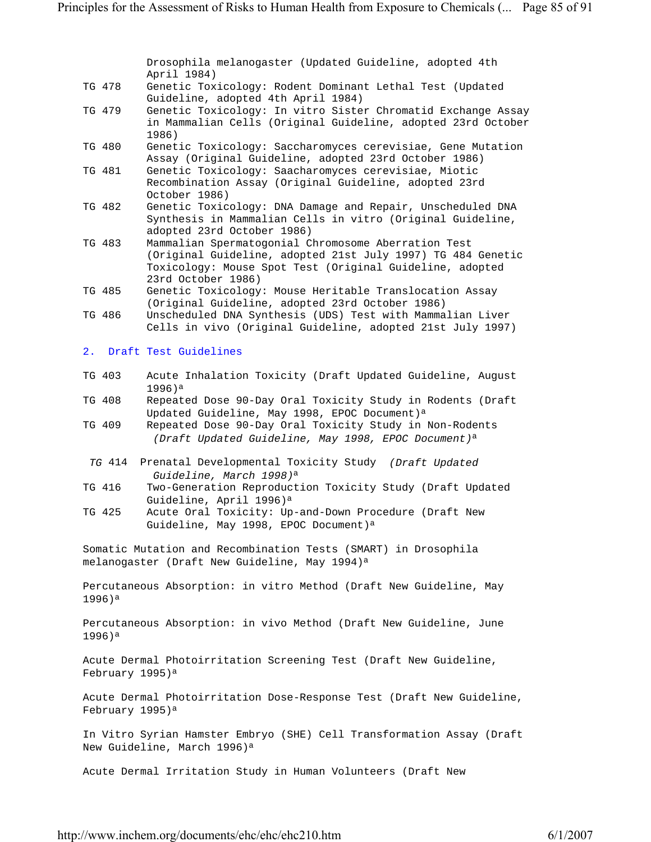Drosophila melanogaster (Updated Guideline, adopted 4th April 1984)

- TG 478 Genetic Toxicology: Rodent Dominant Lethal Test (Updated Guideline, adopted 4th April 1984)
- TG 479 Genetic Toxicology: In vitro Sister Chromatid Exchange Assay in Mammalian Cells (Original Guideline, adopted 23rd October 1986)
- TG 480 Genetic Toxicology: Saccharomyces cerevisiae, Gene Mutation Assay (Original Guideline, adopted 23rd October 1986)
- TG 481 Genetic Toxicology: Saacharomyces cerevisiae, Miotic Recombination Assay (Original Guideline, adopted 23rd October 1986)
- TG 482 Genetic Toxicology: DNA Damage and Repair, Unscheduled DNA Synthesis in Mammalian Cells in vitro (Original Guideline, adopted 23rd October 1986)
- TG 483 Mammalian Spermatogonial Chromosome Aberration Test (Original Guideline, adopted 21st July 1997) TG 484 Genetic Toxicology: Mouse Spot Test (Original Guideline, adopted 23rd October 1986)
- TG 485 Genetic Toxicology: Mouse Heritable Translocation Assay (Original Guideline, adopted 23rd October 1986)
- TG 486 Unscheduled DNA Synthesis (UDS) Test with Mammalian Liver Cells in vivo (Original Guideline, adopted 21st July 1997)

## 2. Draft Test Guidelines

- TG 403 Acute Inhalation Toxicity (Draft Updated Guideline, August 1996)a
- TG 408 Repeated Dose 90-Day Oral Toxicity Study in Rodents (Draft Updated Guideline, May 1998, EPOC Document)<sup>a</sup>
- TG 409 Repeated Dose 90-Day Oral Toxicity Study in Non-Rodents *(Draft Updated Guideline, May 1998, EPOC Document)*<sup>a</sup>
- *TG* 414 Prenatal Developmental Toxicity Study *(Draft Updated Guideline, March 1998)*<sup>a</sup>
- TG 416 Two-Generation Reproduction Toxicity Study (Draft Updated Guideline, April 1996)<sup>a</sup>
- TG 425 Acute Oral Toxicity: Up-and-Down Procedure (Draft New Guideline, May 1998, EPOC Document)<sup>a</sup>

 Somatic Mutation and Recombination Tests (SMART) in Drosophila melanogaster (Draft New Guideline, May 1994)<sup>a</sup>

 Percutaneous Absorption: in vitro Method (Draft New Guideline, May  $1996$ <sup>a</sup>

 Percutaneous Absorption: in vivo Method (Draft New Guideline, June 1996)a

 Acute Dermal Photoirritation Screening Test (Draft New Guideline, February 1995)<sup>a</sup>

 Acute Dermal Photoirritation Dose-Response Test (Draft New Guideline, February 1995)<sup>a</sup>

 In Vitro Syrian Hamster Embryo (SHE) Cell Transformation Assay (Draft New Guideline, March 1996)<sup>a</sup>

Acute Dermal Irritation Study in Human Volunteers (Draft New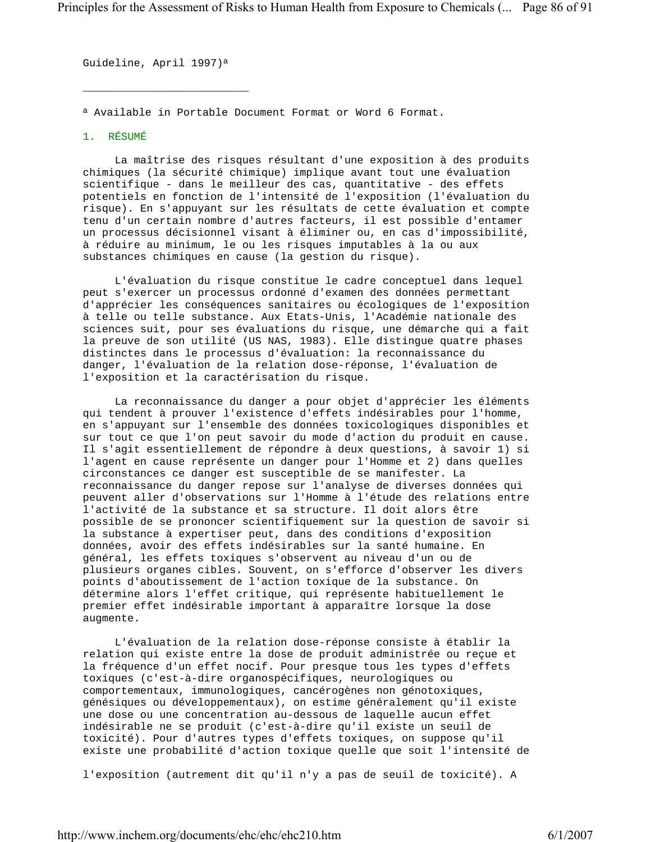Guideline, April 1997)<sup>a</sup>

\_\_\_\_\_\_\_\_\_\_\_\_\_\_\_\_\_\_\_\_\_\_\_\_\_\_

a Available in Portable Document Format or Word 6 Format.

# 1. RÉSUMÉ

 La maîtrise des risques résultant d'une exposition à des produits chimiques (la sécurité chimique) implique avant tout une évaluation scientifique - dans le meilleur des cas, quantitative - des effets potentiels en fonction de l'intensité de l'exposition (l'évaluation du risque). En s'appuyant sur les résultats de cette évaluation et compte tenu d'un certain nombre d'autres facteurs, il est possible d'entamer un processus décisionnel visant à éliminer ou, en cas d'impossibilité, à réduire au minimum, le ou les risques imputables à la ou aux substances chimiques en cause (la gestion du risque).

 L'évaluation du risque constitue le cadre conceptuel dans lequel peut s'exercer un processus ordonné d'examen des données permettant d'apprécier les conséquences sanitaires ou écologiques de l'exposition à telle ou telle substance. Aux Etats-Unis, l'Académie nationale des sciences suit, pour ses évaluations du risque, une démarche qui a fait la preuve de son utilité (US NAS, 1983). Elle distingue quatre phases distinctes dans le processus d'évaluation: la reconnaissance du danger, l'évaluation de la relation dose-réponse, l'évaluation de l'exposition et la caractérisation du risque.

 La reconnaissance du danger a pour objet d'apprécier les éléments qui tendent à prouver l'existence d'effets indésirables pour l'homme, en s'appuyant sur l'ensemble des données toxicologiques disponibles et sur tout ce que l'on peut savoir du mode d'action du produit en cause. Il s'agit essentiellement de répondre à deux questions, à savoir 1) si l'agent en cause représente un danger pour l'Homme et 2) dans quelles circonstances ce danger est susceptible de se manifester. La reconnaissance du danger repose sur l'analyse de diverses données qui peuvent aller d'observations sur l'Homme à l'étude des relations entre l'activité de la substance et sa structure. Il doit alors être possible de se prononcer scientifiquement sur la question de savoir si la substance à expertiser peut, dans des conditions d'exposition données, avoir des effets indésirables sur la santé humaine. En général, les effets toxiques s'observent au niveau d'un ou de plusieurs organes cibles. Souvent, on s'efforce d'observer les divers points d'aboutissement de l'action toxique de la substance. On détermine alors l'effet critique, qui représente habituellement le premier effet indésirable important à apparaître lorsque la dose augmente.

 L'évaluation de la relation dose-réponse consiste à établir la relation qui existe entre la dose de produit administrée ou reçue et la fréquence d'un effet nocif. Pour presque tous les types d'effets toxiques (c'est-à-dire organospécifiques, neurologiques ou comportementaux, immunologiques, cancérogènes non génotoxiques, génésiques ou développementaux), on estime généralement qu'il existe une dose ou une concentration au-dessous de laquelle aucun effet indésirable ne se produit (c'est-à-dire qu'il existe un seuil de toxicité). Pour d'autres types d'effets toxiques, on suppose qu'il existe une probabilité d'action toxique quelle que soit l'intensité de

l'exposition (autrement dit qu'il n'y a pas de seuil de toxicité). A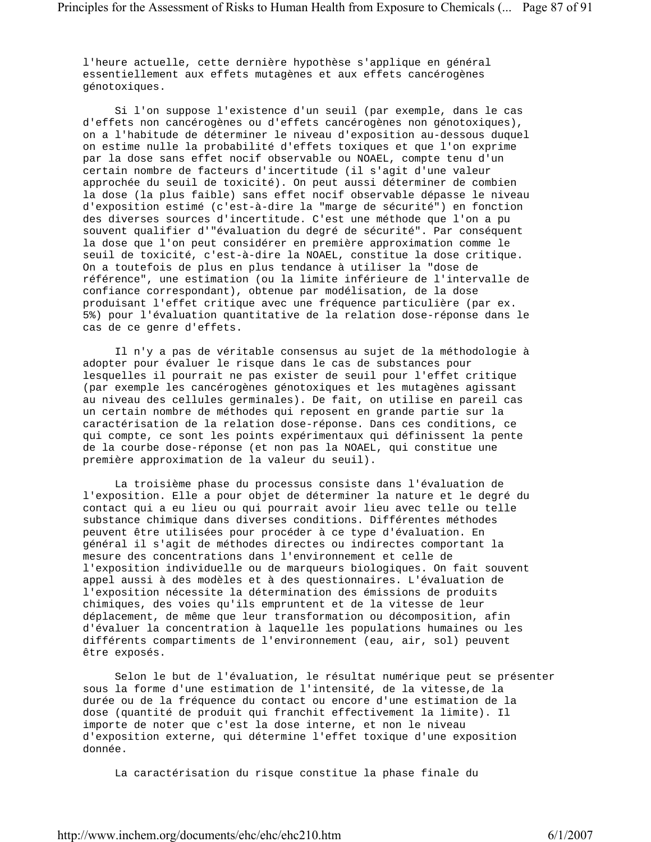l'heure actuelle, cette dernière hypothèse s'applique en général essentiellement aux effets mutagènes et aux effets cancérogènes génotoxiques.

 Si l'on suppose l'existence d'un seuil (par exemple, dans le cas d'effets non cancérogènes ou d'effets cancérogènes non génotoxiques), on a l'habitude de déterminer le niveau d'exposition au-dessous duquel on estime nulle la probabilité d'effets toxiques et que l'on exprime par la dose sans effet nocif observable ou NOAEL, compte tenu d'un certain nombre de facteurs d'incertitude (il s'agit d'une valeur approchée du seuil de toxicité). On peut aussi déterminer de combien la dose (la plus faible) sans effet nocif observable dépasse le niveau d'exposition estimé (c'est-à-dire la "marge de sécurité") en fonction des diverses sources d'incertitude. C'est une méthode que l'on a pu souvent qualifier d'"évaluation du degré de sécurité". Par conséquent la dose que l'on peut considérer en première approximation comme le seuil de toxicité, c'est-à-dire la NOAEL, constitue la dose critique. On a toutefois de plus en plus tendance à utiliser la "dose de référence", une estimation (ou la limite inférieure de l'intervalle de confiance correspondant), obtenue par modélisation, de la dose produisant l'effet critique avec une fréquence particulière (par ex. 5%) pour l'évaluation quantitative de la relation dose-réponse dans le cas de ce genre d'effets.

 Il n'y a pas de véritable consensus au sujet de la méthodologie à adopter pour évaluer le risque dans le cas de substances pour lesquelles il pourrait ne pas exister de seuil pour l'effet critique (par exemple les cancérogènes génotoxiques et les mutagènes agissant au niveau des cellules germinales). De fait, on utilise en pareil cas un certain nombre de méthodes qui reposent en grande partie sur la caractérisation de la relation dose-réponse. Dans ces conditions, ce qui compte, ce sont les points expérimentaux qui définissent la pente de la courbe dose-réponse (et non pas la NOAEL, qui constitue une première approximation de la valeur du seuil).

 La troisième phase du processus consiste dans l'évaluation de l'exposition. Elle a pour objet de déterminer la nature et le degré du contact qui a eu lieu ou qui pourrait avoir lieu avec telle ou telle substance chimique dans diverses conditions. Différentes méthodes peuvent être utilisées pour procéder à ce type d'évaluation. En général il s'agit de méthodes directes ou indirectes comportant la mesure des concentrations dans l'environnement et celle de l'exposition individuelle ou de marqueurs biologiques. On fait souvent appel aussi à des modèles et à des questionnaires. L'évaluation de l'exposition nécessite la détermination des émissions de produits chimiques, des voies qu'ils empruntent et de la vitesse de leur déplacement, de même que leur transformation ou décomposition, afin d'évaluer la concentration à laquelle les populations humaines ou les différents compartiments de l'environnement (eau, air, sol) peuvent être exposés.

 Selon le but de l'évaluation, le résultat numérique peut se présenter sous la forme d'une estimation de l'intensité, de la vitesse,de la durée ou de la fréquence du contact ou encore d'une estimation de la dose (quantité de produit qui franchit effectivement la limite). Il importe de noter que c'est la dose interne, et non le niveau d'exposition externe, qui détermine l'effet toxique d'une exposition donnée.

La caractérisation du risque constitue la phase finale du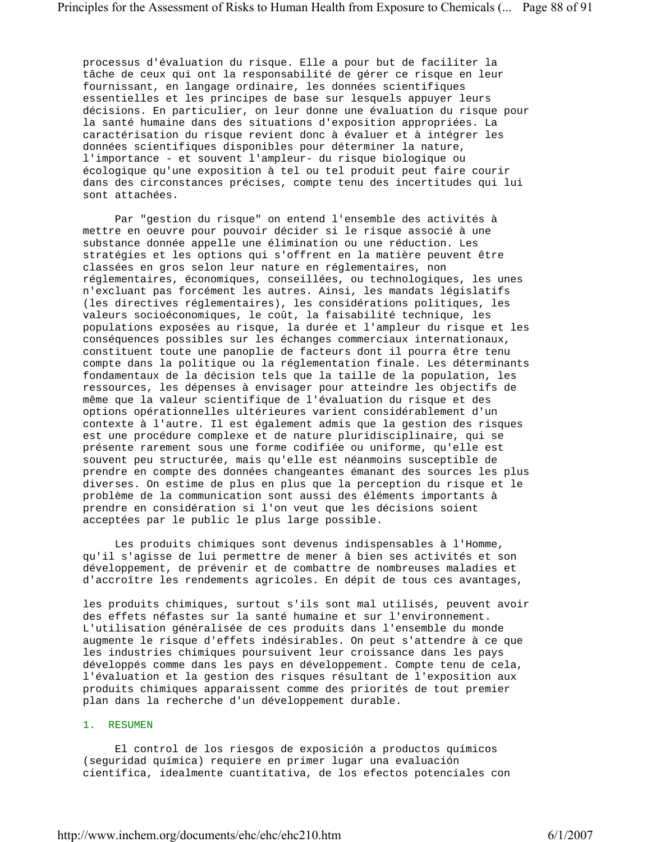processus d'évaluation du risque. Elle a pour but de faciliter la tâche de ceux qui ont la responsabilité de gérer ce risque en leur fournissant, en langage ordinaire, les données scientifiques essentielles et les principes de base sur lesquels appuyer leurs décisions. En particulier, on leur donne une évaluation du risque pour la santé humaine dans des situations d'exposition appropriées. La caractérisation du risque revient donc à évaluer et à intégrer les données scientifiques disponibles pour déterminer la nature, l'importance - et souvent l'ampleur- du risque biologique ou écologique qu'une exposition à tel ou tel produit peut faire courir dans des circonstances précises, compte tenu des incertitudes qui lui sont attachées.

 Par "gestion du risque" on entend l'ensemble des activités à mettre en oeuvre pour pouvoir décider si le risque associé à une substance donnée appelle une élimination ou une réduction. Les stratégies et les options qui s'offrent en la matière peuvent être classées en gros selon leur nature en réglementaires, non réglementaires, économiques, conseillées, ou technologiques, les unes n'excluant pas forcément les autres. Ainsi, les mandats législatifs (les directives réglementaires), les considérations politiques, les valeurs socioéconomiques, le coût, la faisabilité technique, les populations exposées au risque, la durée et l'ampleur du risque et les conséquences possibles sur les échanges commerciaux internationaux, constituent toute une panoplie de facteurs dont il pourra être tenu compte dans la politique ou la réglementation finale. Les déterminants fondamentaux de la décision tels que la taille de la population, les ressources, les dépenses à envisager pour atteindre les objectifs de même que la valeur scientifique de l'évaluation du risque et des options opérationnelles ultérieures varient considérablement d'un contexte à l'autre. Il est également admis que la gestion des risques est une procédure complexe et de nature pluridisciplinaire, qui se présente rarement sous une forme codifiée ou uniforme, qu'elle est souvent peu structurée, mais qu'elle est néanmoins susceptible de prendre en compte des données changeantes émanant des sources les plus diverses. On estime de plus en plus que la perception du risque et le problème de la communication sont aussi des éléments importants à prendre en considération si l'on veut que les décisions soient acceptées par le public le plus large possible.

 Les produits chimiques sont devenus indispensables à l'Homme, qu'il s'agisse de lui permettre de mener à bien ses activités et son développement, de prévenir et de combattre de nombreuses maladies et d'accroître les rendements agricoles. En dépit de tous ces avantages,

 les produits chimiques, surtout s'ils sont mal utilisés, peuvent avoir des effets néfastes sur la santé humaine et sur l'environnement. L'utilisation généralisée de ces produits dans l'ensemble du monde augmente le risque d'effets indésirables. On peut s'attendre à ce que les industries chimiques poursuivent leur croissance dans les pays développés comme dans les pays en développement. Compte tenu de cela, l'évaluation et la gestion des risques résultant de l'exposition aux produits chimiques apparaissent comme des priorités de tout premier plan dans la recherche d'un développement durable.

#### 1. RESUMEN

 El control de los riesgos de exposición a productos químicos (seguridad química) requiere en primer lugar una evaluación científica, idealmente cuantitativa, de los efectos potenciales con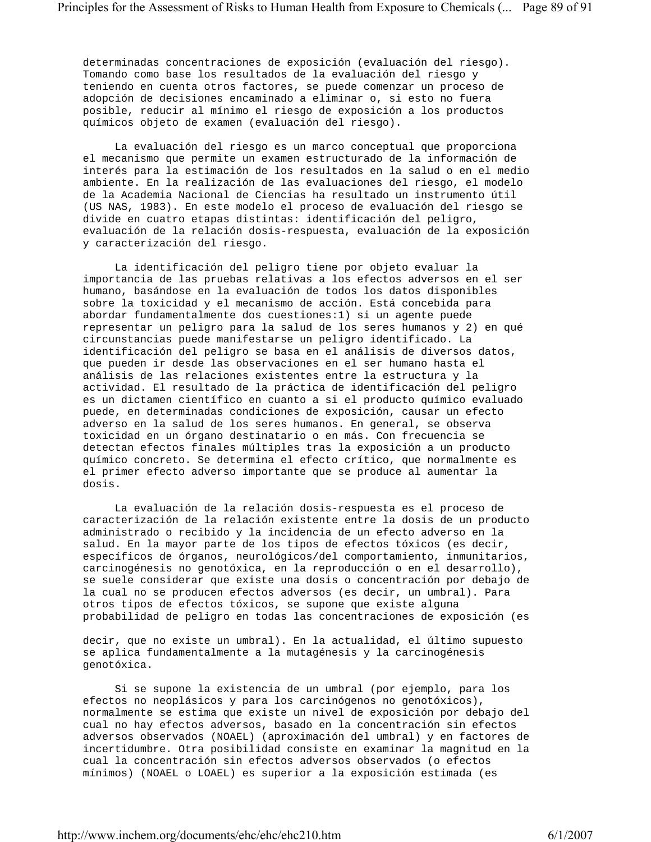determinadas concentraciones de exposición (evaluación del riesgo). Tomando como base los resultados de la evaluación del riesgo y teniendo en cuenta otros factores, se puede comenzar un proceso de adopción de decisiones encaminado a eliminar o, si esto no fuera posible, reducir al mínimo el riesgo de exposición a los productos químicos objeto de examen (evaluación del riesgo).

 La evaluación del riesgo es un marco conceptual que proporciona el mecanismo que permite un examen estructurado de la información de interés para la estimación de los resultados en la salud o en el medio ambiente. En la realización de las evaluaciones del riesgo, el modelo de la Academia Nacional de Ciencias ha resultado un instrumento útil (US NAS, 1983). En este modelo el proceso de evaluación del riesgo se divide en cuatro etapas distintas: identificación del peligro, evaluación de la relación dosis-respuesta, evaluación de la exposición y caracterización del riesgo.

 La identificación del peligro tiene por objeto evaluar la importancia de las pruebas relativas a los efectos adversos en el ser humano, basándose en la evaluación de todos los datos disponibles sobre la toxicidad y el mecanismo de acción. Está concebida para abordar fundamentalmente dos cuestiones:1) si un agente puede representar un peligro para la salud de los seres humanos y 2) en qué circunstancias puede manifestarse un peligro identificado. La identificación del peligro se basa en el análisis de diversos datos, que pueden ir desde las observaciones en el ser humano hasta el análisis de las relaciones existentes entre la estructura y la actividad. El resultado de la práctica de identificación del peligro es un dictamen científico en cuanto a si el producto químico evaluado puede, en determinadas condiciones de exposición, causar un efecto adverso en la salud de los seres humanos. En general, se observa toxicidad en un órgano destinatario o en más. Con frecuencia se detectan efectos finales múltiples tras la exposición a un producto químico concreto. Se determina el efecto crítico, que normalmente es el primer efecto adverso importante que se produce al aumentar la dosis.

 La evaluación de la relación dosis-respuesta es el proceso de caracterización de la relación existente entre la dosis de un producto administrado o recibido y la incidencia de un efecto adverso en la salud. En la mayor parte de los tipos de efectos tóxicos (es decir, específicos de órganos, neurológicos/del comportamiento, inmunitarios, carcinogénesis no genotóxica, en la reproducción o en el desarrollo), se suele considerar que existe una dosis o concentración por debajo de la cual no se producen efectos adversos (es decir, un umbral). Para otros tipos de efectos tóxicos, se supone que existe alguna probabilidad de peligro en todas las concentraciones de exposición (es

 decir, que no existe un umbral). En la actualidad, el último supuesto se aplica fundamentalmente a la mutagénesis y la carcinogénesis genotóxica.

 Si se supone la existencia de un umbral (por ejemplo, para los efectos no neoplásicos y para los carcinógenos no genotóxicos), normalmente se estima que existe un nivel de exposición por debajo del cual no hay efectos adversos, basado en la concentración sin efectos adversos observados (NOAEL) (aproximación del umbral) y en factores de incertidumbre. Otra posibilidad consiste en examinar la magnitud en la cual la concentración sin efectos adversos observados (o efectos mínimos) (NOAEL o LOAEL) es superior a la exposición estimada (es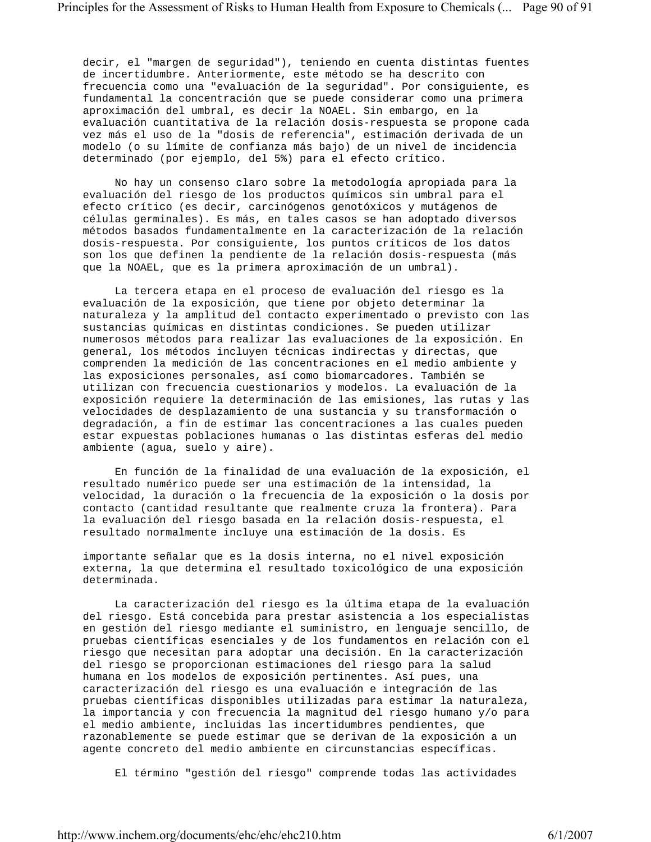decir, el "margen de seguridad"), teniendo en cuenta distintas fuentes de incertidumbre. Anteriormente, este método se ha descrito con frecuencia como una "evaluación de la seguridad". Por consiguiente, es fundamental la concentración que se puede considerar como una primera aproximación del umbral, es decir la NOAEL. Sin embargo, en la evaluación cuantitativa de la relación dosis-respuesta se propone cada vez más el uso de la "dosis de referencia", estimación derivada de un modelo (o su límite de confianza más bajo) de un nivel de incidencia determinado (por ejemplo, del 5%) para el efecto crítico.

 No hay un consenso claro sobre la metodología apropiada para la evaluación del riesgo de los productos químicos sin umbral para el efecto crítico (es decir, carcinógenos genotóxicos y mutágenos de células germinales). Es más, en tales casos se han adoptado diversos métodos basados fundamentalmente en la caracterización de la relación dosis-respuesta. Por consiguiente, los puntos críticos de los datos son los que definen la pendiente de la relación dosis-respuesta (más que la NOAEL, que es la primera aproximación de un umbral).

 La tercera etapa en el proceso de evaluación del riesgo es la evaluación de la exposición, que tiene por objeto determinar la naturaleza y la amplitud del contacto experimentado o previsto con las sustancias químicas en distintas condiciones. Se pueden utilizar numerosos métodos para realizar las evaluaciones de la exposición. En general, los métodos incluyen técnicas indirectas y directas, que comprenden la medición de las concentraciones en el medio ambiente y las exposiciones personales, así como biomarcadores. También se utilizan con frecuencia cuestionarios y modelos. La evaluación de la exposición requiere la determinación de las emisiones, las rutas y las velocidades de desplazamiento de una sustancia y su transformación o degradación, a fin de estimar las concentraciones a las cuales pueden estar expuestas poblaciones humanas o las distintas esferas del medio ambiente (agua, suelo y aire).

 En función de la finalidad de una evaluación de la exposición, el resultado numérico puede ser una estimación de la intensidad, la velocidad, la duración o la frecuencia de la exposición o la dosis por contacto (cantidad resultante que realmente cruza la frontera). Para la evaluación del riesgo basada en la relación dosis-respuesta, el resultado normalmente incluye una estimación de la dosis. Es

 importante señalar que es la dosis interna, no el nivel exposición externa, la que determina el resultado toxicológico de una exposición determinada.

 La caracterización del riesgo es la última etapa de la evaluación del riesgo. Está concebida para prestar asistencia a los especialistas en gestión del riesgo mediante el suministro, en lenguaje sencillo, de pruebas científicas esenciales y de los fundamentos en relación con el riesgo que necesitan para adoptar una decisión. En la caracterización del riesgo se proporcionan estimaciones del riesgo para la salud humana en los modelos de exposición pertinentes. Así pues, una caracterización del riesgo es una evaluación e integración de las pruebas científicas disponibles utilizadas para estimar la naturaleza, la importancia y con frecuencia la magnitud del riesgo humano y/o para el medio ambiente, incluidas las incertidumbres pendientes, que razonablemente se puede estimar que se derivan de la exposición a un agente concreto del medio ambiente en circunstancias específicas.

El término "gestión del riesgo" comprende todas las actividades